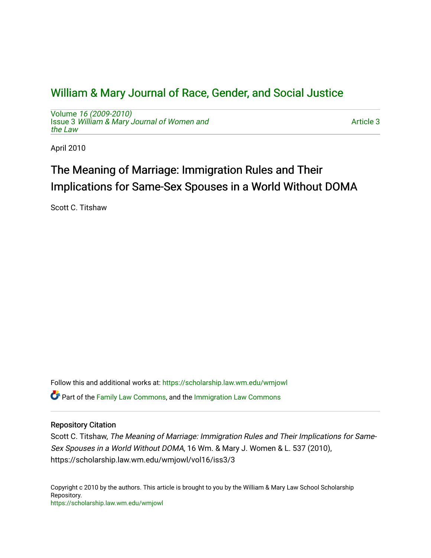## [William & Mary Journal of Race, Gender, and Social Justice](https://scholarship.law.wm.edu/wmjowl)

Volume [16 \(2009-2010\)](https://scholarship.law.wm.edu/wmjowl/vol16)  Issue 3 [William & Mary Journal of Women and](https://scholarship.law.wm.edu/wmjowl/vol16/iss3) [the Law](https://scholarship.law.wm.edu/wmjowl/vol16/iss3)

[Article 3](https://scholarship.law.wm.edu/wmjowl/vol16/iss3/3) 

April 2010

# The Meaning of Marriage: Immigration Rules and Their Implications for Same-Sex Spouses in a World Without DOMA

Scott C. Titshaw

Follow this and additional works at: [https://scholarship.law.wm.edu/wmjowl](https://scholarship.law.wm.edu/wmjowl?utm_source=scholarship.law.wm.edu%2Fwmjowl%2Fvol16%2Fiss3%2F3&utm_medium=PDF&utm_campaign=PDFCoverPages) 

Part of the [Family Law Commons,](http://network.bepress.com/hgg/discipline/602?utm_source=scholarship.law.wm.edu%2Fwmjowl%2Fvol16%2Fiss3%2F3&utm_medium=PDF&utm_campaign=PDFCoverPages) and the [Immigration Law Commons](http://network.bepress.com/hgg/discipline/604?utm_source=scholarship.law.wm.edu%2Fwmjowl%2Fvol16%2Fiss3%2F3&utm_medium=PDF&utm_campaign=PDFCoverPages) 

## Repository Citation

Scott C. Titshaw, The Meaning of Marriage: Immigration Rules and Their Implications for Same-Sex Spouses in a World Without DOMA, 16 Wm. & Mary J. Women & L. 537 (2010), https://scholarship.law.wm.edu/wmjowl/vol16/iss3/3

Copyright c 2010 by the authors. This article is brought to you by the William & Mary Law School Scholarship Repository. <https://scholarship.law.wm.edu/wmjowl>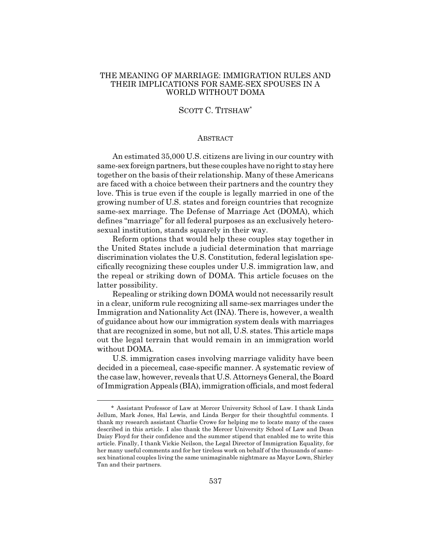#### THE MEANING OF MARRIAGE: IMMIGRATION RULES AND THEIR IMPLICATIONS FOR SAME-SEX SPOUSES IN A WORLD WITHOUT DOMA

#### SCOTT C. TITSHAW\*

#### **ABSTRACT**

An estimated 35,000 U.S. citizens are living in our country with same-sex foreign partners, but these couples have no right to stay here together on the basis of their relationship. Many of these Americans are faced with a choice between their partners and the country they love. This is true even if the couple is legally married in one of the growing number of U.S. states and foreign countries that recognize same-sex marriage. The Defense of Marriage Act (DOMA), which defines "marriage" for all federal purposes as an exclusively heterosexual institution, stands squarely in their way.

Reform options that would help these couples stay together in the United States include a judicial determination that marriage discrimination violates the U.S. Constitution, federal legislation specifically recognizing these couples under U.S. immigration law, and the repeal or striking down of DOMA. This article focuses on the latter possibility.

Repealing or striking down DOMA would not necessarily result in a clear, uniform rule recognizing all same-sex marriages under the Immigration and Nationality Act (INA). There is, however, a wealth of guidance about how our immigration system deals with marriages that are recognized in some, but not all, U.S. states. This article maps out the legal terrain that would remain in an immigration world without DOMA.

U.S. immigration cases involving marriage validity have been decided in a piecemeal, case-specific manner. A systematic review of the case law, however, reveals that U.S. Attorneys General, the Board of Immigration Appeals (BIA), immigration officials, and most federal

<sup>\*</sup> Assistant Professor of Law at Mercer University School of Law. I thank Linda Jellum, Mark Jones, Hal Lewis, and Linda Berger for their thoughtful comments. I thank my research assistant Charlie Crowe for helping me to locate many of the cases described in this article. I also thank the Mercer University School of Law and Dean Daisy Floyd for their confidence and the summer stipend that enabled me to write this article. Finally, I thank Vickie Neilson, the Legal Director of Immigration Equality, for her many useful comments and for her tireless work on behalf of the thousands of samesex binational couples living the same unimaginable nightmare as Mayor Lown, Shirley Tan and their partners.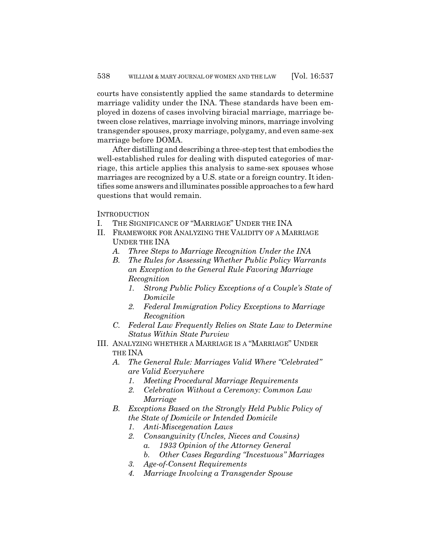courts have consistently applied the same standards to determine marriage validity under the INA. These standards have been employed in dozens of cases involving biracial marriage, marriage between close relatives, marriage involving minors, marriage involving transgender spouses, proxy marriage, polygamy, and even same-sex marriage before DOMA.

After distilling and describing a three-step test that embodies the well-established rules for dealing with disputed categories of marriage, this article applies this analysis to same-sex spouses whose marriages are recognized by a U.S. state or a foreign country. It identifies some answers and illuminates possible approaches to a few hard questions that would remain.

**INTRODUCTION** 

- I. THE SIGNIFICANCE OF "MARRIAGE" UNDER THE INA
- II. FRAMEWORK FOR ANALYZING THE VALIDITY OF A MARRIAGE UNDER THE INA
	- *A. Three Steps to Marriage Recognition Under the INA*
	- *B. The Rules for Assessing Whether Public Policy Warrants an Exception to the General Rule Favoring Marriage Recognition*
		- *1. Strong Public Policy Exceptions of a Couple's State of Domicile*
		- *2. Federal Immigration Policy Exceptions to Marriage Recognition*
	- *C. Federal Law Frequently Relies on State Law to Determine Status Within State Purview*
- III. ANALYZING WHETHER A MARRIAGE IS A "MARRIAGE" UNDER THE INA
	- *A. The General Rule: Marriages Valid Where "Celebrated" are Valid Everywhere*
		- *1. Meeting Procedural Marriage Requirements*
		- *2. Celebration Without a Ceremony: Common Law Marriage*
	- *B. Exceptions Based on the Strongly Held Public Policy of the State of Domicile or Intended Domicile*
		- *1. Anti-Miscegenation Laws*
		- *2. Consanguinity (Uncles, Nieces and Cousins)*
			- *a. 1933 Opinion of the Attorney General*
			- *b. Other Cases Regarding "Incestuous" Marriages*
		- *3. Age-of-Consent Requirements*
		- *4. Marriage Involving a Transgender Spouse*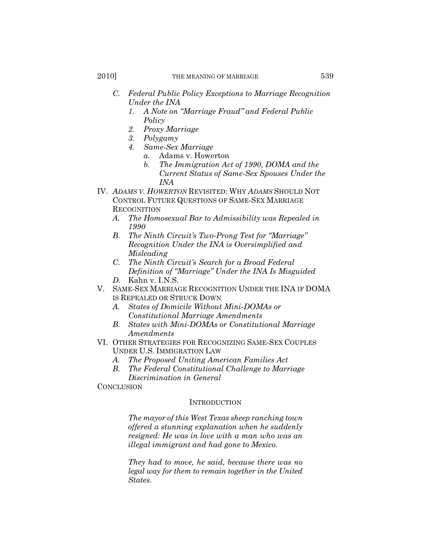- *C. Federal Public Policy Exceptions to Marriage Recognition Under the INA*
	- *1. A Note on "Marriage Fraud" and Federal Public Policy*
	- *2. Proxy Marriage*
	- *3. Polygamy*
	- *4. Same-Sex Marriage*
		- *a.* Adams v. Howerton
			- *b. The Immigration Act of 1990, DOMA and the Current Status of Same-Sex Spouses Under the INA*
- IV. *ADAMS V. HOWERTON* REVISITED: WHY *ADAMS* SHOULD NOT CONTROL FUTURE QUESTIONS OF SAME-SEX MARRIAGE RECOGNITION
	- *A. The Homosexual Bar to Admissibility was Repealed in 1990*
	- *B. The Ninth Circuit's Two-Prong Test for "Marriage" Recognition Under the INA is Oversimplified and Misleading*
	- *C. The Ninth Circuit's Search for a Broad Federal Definition of "Marriage" Under the INA Is Misguided D.* Kahn v. I.N.S.
- V. SAME-SEX MARRIAGE RECOGNITION UNDER THE INA IF DOMA
	- IS REPEALED OR STRUCK DOWN
	- *A. States of Domicile Without Mini-DOMAs or Constitutional Marriage Amendments*
	- *B. States with Mini-DOMAs or Constitutional Marriage Amendments*
- VI. OTHER STRATEGIES FOR RECOGNIZING SAME-SEX COUPLES UNDER U.S. IMMIGRATION LAW
	- *A. The Proposed Uniting American Families Act*
	- *B. The Federal Constitutional Challenge to Marriage Discrimination in General*
- **CONCLUSION**

#### **INTRODUCTION**

*The mayor of this West Texas sheep ranching town offered a stunning explanation when he suddenly resigned: He was in love with a man who was an illegal immigrant and had gone to Mexico.*

*They had to move, he said, because there was no legal way for them to remain together in the United States.*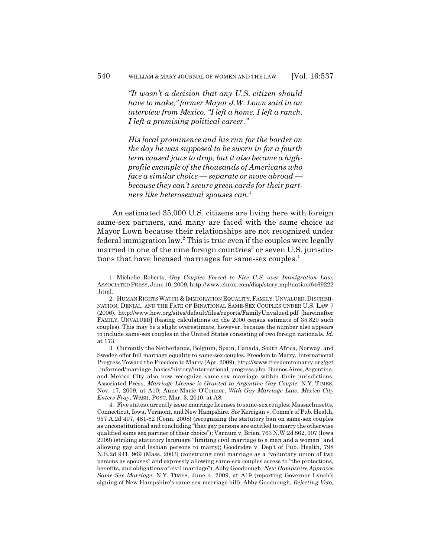*"It wasn't a decision that any U.S. citizen should have to make," former Mayor J.W. Lown said in an interview from Mexico. "I left a home. I left a ranch. I left a promising political career."*

*His local prominence and his run for the border on the day he was supposed to be sworn in for a fourth term caused jaws to drop, but it also became a highprofile example of the thousands of Americans who face a similar choice — separate or move abroad because they can't secure green cards for their partners like heterosexual spouses can*. 1

An estimated 35,000 U.S. citizens are living here with foreign same-sex partners, and many are faced with the same choice as Mayor Lown because their relationships are not recognized under federal immigration law.<sup>2</sup> This is true even if the couples were legally married in one of the nine foreign countries<sup>3</sup> or seven U.S. jurisdictions that have licensed marriages for same-sex couples.4

3. Currently the Netherlands, Belgium, Spain, Canada, South Africa, Norway, and Sweden offer full marriage equality to same-sex couples. Freedom to Marry, International Progress Toward the Freedom to Marry (Apr. 2009), http://www.freedomtomarry.org/get \_informed/marriage\_basics/history/international\_progress.php. Buenos Aires, Argentina, and Mexico City also now recognize same-sex marriage within their jurisdictions. Associated Press, *Marriage License is Granted to Argentine Gay Couple*, N.Y. TIMES, Nov. 17, 2009, at A10; Anne-Marie O'Connor, *With Gay Marriage Law, Mexico City Enters Fray*, WASH. POST, Mar. 3, 2010, at A8.

4. Five states currently issue marriage licenses to same-sex couples: Massachusetts, Connecticut, Iowa, Vermont, and New Hampshire. *See* Kerrigan v. Comm'r of Pub. Health, 957 A.2d 407, 481-82 (Conn. 2008) (recognizing the statutory ban on same-sex couples as unconstitutional and concluding "that gay persons are entitled to marry the otherwise qualified same sex partner of their choice"); Varnum v. Brien, 763 N.W.2d 862, 907 (Iowa 2009) (striking statutory language "limiting civil marriage to a man and a woman" and allowing gay and lesbian persons to marry); Goodridge v. Dep't of Pub. Health, 798 N.E.2d 941, 969 (Mass. 2003) (construing civil marriage as a "voluntary union of two persons as spouses" and expressly allowing same-sex couples access to "the protections, benefits, and obligations of civil marriage"); Abby Goodnough, *New Hampshire Approves Same-Sex Marriage*, N.Y. TIMES, June 4, 2009, at A19 (reporting Governor Lynch's signing of New Hampshire's same-sex marriage bill); Abby Goodnough, *Rejecting Veto,*

<sup>1.</sup> Michelle Roberts, *Gay Couples Forced to Flee U.S. over Immigration Law*, ASSOCIATED PRESS, June 10, 2009, http://www.chron.com/disp/story.mpl/nation/6469222 .html.

<sup>2.</sup> HUMAN RIGHTS WATCH & IMMIGRATION EQUALITY, FAMILY, UNVALUED: DISCRIMI-NATION, DENIAL, AND THE FATE OF BINATIONAL SAME-SEX COUPLES UNDER U.S. LAW 7 (2006), http://www.hrw.org/sites/default/files/reports/FamilyUnvalued.pdf [hereinafter FAMILY, UNVALUED] (basing calculations on the 2000 census estimate of 35,820 such couples). This may be a slight overestimate, however, because the number also appears to include same-sex couples in the United States consisting of two foreign nationals. *Id.* at 173.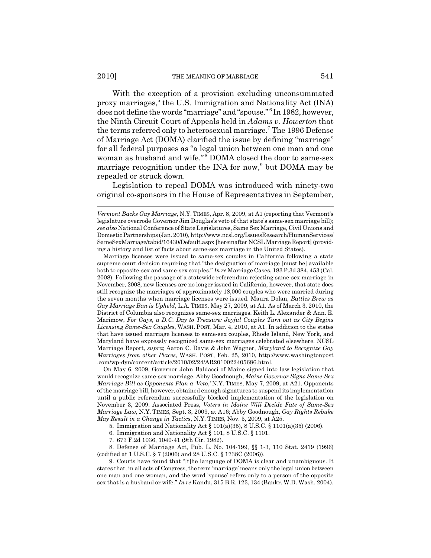With the exception of a provision excluding unconsummated proxy marriages,<sup>5</sup> the U.S. Immigration and Nationality Act (INA) does not define the words "marriage" and "spouse." <sup>6</sup> In 1982, however, the Ninth Circuit Court of Appeals held in *Adams v. Howerton* that the terms referred only to heterosexual marriage.<sup>7</sup> The 1996 Defense of Marriage Act (DOMA) clarified the issue by defining "marriage" for all federal purposes as "a legal union between one man and one woman as husband and wife."<sup>8</sup> DOMA closed the door to same-sex marriage recognition under the INA for now,<sup>9</sup> but DOMA may be repealed or struck down.

Legislation to repeal DOMA was introduced with ninety-two original co-sponsors in the House of Representatives in September,

Marriage licenses were issued to same-sex couples in California following a state supreme court decision requiring that "the designation of marriage [must be] available both to opposite-sex and same-sex couples." *In re* Marriage Cases, 183 P.3d 384, 453 (Cal. 2008). Following the passage of a statewide referendum rejecting same-sex marriage in November, 2008, new licenses are no longer issued in California; however, that state does still recognize the marriages of approximately 18,000 couples who were married during the seven months when marriage licenses were issued. Maura Dolan, *Battles Brew as Gay Marriage Ban is Upheld*, L.A. TIMES, May 27, 2009, at A1. As of March 3, 2010, the District of Columbia also recognizes same-sex marriages. Keith L. Alexander & Ann. E. Marimow, *For Gays, a D.C. Day to Treasure: Joyful Couples Turn out as City Begins Licensing Same-Sex Couples*, WASH. POST, Mar. 4, 2010, at A1. In addition to the states that have issued marriage licenses to same-sex couples, Rhode Island, New York, and Maryland have expressly recognized same-sex marriages celebrated elsewhere. NCSL Marriage Report, *supra*; Aaron C. Davis & John Wagner, *Maryland to Recognize Gay Marriages from other Places*, WASH. POST, Feb. 25, 2010, http://www.washingtonpost .com/wp-dyn/content/article/2010/02/24/AR2010022405686.html.

On May 6, 2009, Governor John Baldacci of Maine signed into law legislation that would recognize same-sex marriage. Abby Goodnough, *Maine Governor Signs Same-Sex Marriage Bill as Opponents Plan a 'Veto*,*'* N.Y. TIMES, May 7, 2009, at A21. Opponents of the marriage bill, however, obtained enough signatures to suspend its implementation until a public referendum successfully blocked implementation of the legislation on November 3, 2009. Associated Press, *Voters in Maine Will Decide Fate of Same-Sex Marriage Law*, N.Y. TIMES, Sept. 3, 2009, at A16; Abby Goodnough, *Gay Rights Rebuke May Result in a Change in Tactics*, N.Y. TIMES, Nov. 5, 2009, at A25.

5. Immigration and Nationality Act § 101(a)(35), 8 U.S.C. § 1101(a)(35) (2006).

6. Immigration and Nationality Act § 101, 8 U.S.C. § 1101.

7. 673 F.2d 1036, 1040-41 (9th Cir. 1982).

8. Defense of Marriage Act, Pub. L. No. 104-199, §§ 1-3, 110 Stat. 2419 (1996) (codified at 1 U.S.C. § 7 (2006) and 28 U.S.C. § 1738C (2006)).

9. Courts have found that "[t]he language of DOMA is clear and unambiguous. It states that, in all acts of Congress, the term 'marriage' means only the legal union between one man and one woman, and the word 'spouse' refers only to a person of the opposite sex that is a husband or wife." *In re* Kandu, 315 B.R. 123, 134 (Bankr. W.D. Wash. 2004).

*Vermont Backs Gay Marriage*, N.Y. TIMES, Apr. 8, 2009, at A1 (reporting that Vermont's legislature overrode Governor Jim Douglas's veto of that state's same-sex marriage bill); *see also* National Conference of State Legislatures, Same Sex Marriage, Civil Unions and Domestic Partnerships (Jan. 2010), http://www.ncsl.org/IssuesResearch/HumanServices/ SameSexMarriage/tabid/16430/Default.aspx [hereinafter NCSL Marriage Report] (providing a history and list of facts about same-sex marriage in the United States).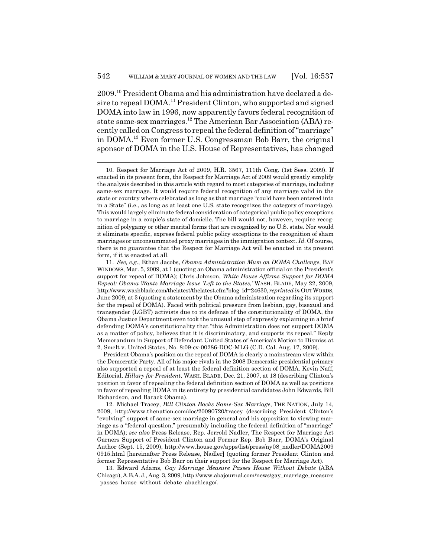2009.10 President Obama and his administration have declared a desire to repeal DOMA.<sup>11</sup> President Clinton, who supported and signed DOMA into law in 1996, now apparently favors federal recognition of state same-sex marriages.<sup>12</sup> The American Bar Association (ABA) recently called on Congress to repeal the federal definition of "marriage" in DOMA.13 Even former U.S. Congressman Bob Barr, the original sponsor of DOMA in the U.S. House of Representatives, has changed

President Obama's position on the repeal of DOMA is clearly a mainstream view within the Democratic Party. All of his major rivals in the 2008 Democratic presidential primary also supported a repeal of at least the federal definition section of DOMA. Kevin Naff, Editorial, *Hillary for President*, WASH. BLADE, Dec. 21, 2007, at 18 (describing Clinton's position in favor of repealing the federal definition section of DOMA as well as positions in favor of repealing DOMA in its entirety by presidential candidates John Edwards, Bill Richardson, and Barack Obama).

12. Michael Tracey, *Bill Clinton Backs Same-Sex Marriage*, THE NATION, July 14, 2009, http://www.thenation.com/doc/20090720/tracey (describing President Clinton's "evolving" support of same-sex marriage in general and his opposition to viewing marriage as a "federal question," presumably including the federal definition of "marriage" in DOMA); *see also* Press Release, Rep. Jerrold Nadler, The Respect for Marriage Act Garners Support of President Clinton and Former Rep. Bob Barr, DOMA's Original Author (Sept. 15, 2009), http://www.house.gov/apps/list/press/ny08\_nadler/DOMA2009 0915.html [hereinafter Press Release, Nadler] (quoting former President Clinton and former Representative Bob Barr on their support for the Respect for Marriage Act).

13. Edward Adams, *Gay Marriage Measure Passes House Without Debate* (ABA Chicago), A.B.A.J., Aug. 3, 2009, http://www.abajournal.com/news/gay\_marriage\_measure \_passes\_house\_without\_debate\_abachicago/.

<sup>10.</sup> Respect for Marriage Act of 2009, H.R. 3567, 111th Cong. (1st Sess. 2009). If enacted in its present form, the Respect for Marriage Act of 2009 would greatly simplify the analysis described in this article with regard to most categories of marriage, including same-sex marriage. It would require federal recognition of any marriage valid in the state or country where celebrated as long as that marriage "could have been entered into in a State" (i.e., as long as at least one U.S. state recognizes the category of marriage). This would largely eliminate federal consideration of categorical public policy exceptions to marriage in a couple's state of domicile. The bill would not, however, require recognition of polygamy or other marital forms that are recognized by no U.S. state. Nor would it eliminate specific, express federal public policy exceptions to the recognition of sham marriages or unconsummated proxy marriages in the immigration context. *Id.* Of course, there is no guarantee that the Respect for Marriage Act will be enacted in its present form, if it is enacted at all.

<sup>11.</sup> *See, e.g.*, Ethan Jacobs, *Obama Administration Mum on DOMA Challenge*, BAY WINDOWS, Mar. 5, 2009, at 1 (quoting an Obama administration official on the President's support for repeal of DOMA); Chris Johnson, *White House Affirms Support for DOMA Repeal: Obama Wants Marriage Issue 'Left to the States*,*'* WASH. BLADE, May 22, 2009, http://www.washblade.com/thelatest/thelatest.cfm?blog\_id=24630, *reprinted in* OUT WORDS, June 2009, at 3 (quoting a statement by the Obama administration regarding its support for the repeal of DOMA). Faced with political pressure from lesbian, gay, bisexual and transgender (LGBT) activists due to its defense of the constitutionality of DOMA, the Obama Justice Department even took the unusual step of expressly explaining in a brief defending DOMA's constitutionality that "this Administration does not support DOMA as a matter of policy, believes that it is discriminatory, and supports its repeal." Reply Memorandum in Support of Defendant United States of America's Motion to Dismiss at 2, Smelt v. United States, No. 8:09-cv-00286-DOC-MLG (C.D. Cal. Aug. 17, 2009).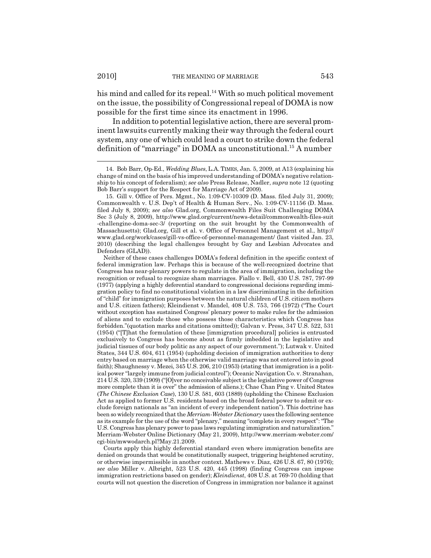his mind and called for its repeal.<sup>14</sup> With so much political movement on the issue, the possibility of Congressional repeal of DOMA is now possible for the first time since its enactment in 1996.

In addition to potential legislative action, there are several prominent lawsuits currently making their way through the federal court system, any one of which could lead a court to strike down the federal definition of "marriage" in DOMA as unconstitutional.15 A number

Courts apply this highly deferential standard even where immigration benefits are denied on grounds that would be constitutionally suspect, triggering heightened scrutiny, or otherwise impermissible in another context. Mathews v. Diaz, 426 U.S. 67, 80 (1976); *see also* Miller v. Albright, 523 U.S. 420, 445 (1998) (finding Congress can impose immigration restrictions based on gender); *Kleindienst*, 408 U.S. at 769-70 (holding that courts will not question the discretion of Congress in immigration nor balance it against

<sup>14.</sup> Bob Barr, Op-Ed., *Wedding Blues*, L.A. TIMES, Jan. 5, 2009, at A13 (explaining his change of mind on the basis of his improved understanding of DOMA's negative relationship to his concept of federalism); *see also* Press Release, Nadler, *supra* note 12 (quoting Bob Barr's support for the Respect for Marriage Act of 2009).

<sup>15.</sup> Gill v. Office of Pers. Mgmt., No. 1:09-CV-10309 (D. Mass. filed July 31, 2009); Commonwealth v. U.S. Dep't of Health & Human Serv., No. 1:09-CV-11156 (D. Mass. filed July 8, 2009); *see also* Glad.org, Commonwealth Files Suit Challenging DOMA Sec 3 (July 8, 2009), http://www.glad.org/current/news-detail/commonwealth-files-suit -challengine-doma-sec-3/ (reporting on the suit brought by the Commonwealth of Massachusetts); Glad.org, Gill et al. v. Office of Personnel Management et al., http:// www.glad.org/work/cases/gill-vs-office-of-personnel-management/ (last visited Jan. 23, 2010) (describing the legal challenges brought by Gay and Lesbian Advocates and Defenders (GLAD)).

Neither of these cases challenges DOMA's federal definition in the specific context of federal immigration law. Perhaps this is because of the well-recognized doctrine that Congress has near-plenary powers to regulate in the area of immigration, including the recognition or refusal to recognize sham marriages. Fiallo v. Bell, 430 U.S. 787, 797-99 (1977) (applying a highly deferential standard to congressional decisions regarding immigration policy to find no constitutional violation in a law discriminating in the definition of "child" for immigration purposes between the natural children of U.S. citizen mothers and U.S. citizen fathers); Kleindienst v. Mandel, 408 U.S. 753, 766 (1972) ("The Court without exception has sustained Congress' plenary power to make rules for the admission of aliens and to exclude those who possess those characteristics which Congress has forbidden."(quotation marks and citations omitted)); Galvan v. Press, 347 U.S. 522, 531 (1954) ("[T]hat the formulation of these [immigration procedural] policies is entrusted exclusively to Congress has become about as firmly imbedded in the legislative and judicial tissues of our body politic as any aspect of our government."); Lutwak v. United States, 344 U.S. 604, 611 (1954) (upholding decision of immigration authorities to deny entry based on marriage when the otherwise valid marriage was not entered into in good faith); Shaughnessy v. Mezei, 345 U.S. 206, 210 (1953) (stating that immigration is a political power "largely immune from judicial control"); Oceanic Navigation Co. v. Stranahan, 214 U.S. 320, 339 (1909) ("[O]ver no conceivable subject is the legislative power of Congress more complete than it is over" the admission of aliens.); Chae Chan Ping v. United States (*The Chinese Exclusion Case*), 130 U.S. 581, 603 (1889) (upholding the Chinese Exclusion Act as applied to former U.S. residents based on the broad federal power to admit or exclude foreign nationals as "an incident of every independent nation"). This doctrine has been so widely recognized that the *Merriam-Webster Dictionary* uses the following sentence as its example for the use of the word "plenary," meaning "complete in every respect": "The U.S. Congress has plenary power to pass laws regulating immigration and naturalization." Merriam-Webster Online Dictionary (May 21, 2009), http://www.merriam-webster.com/ cgi-bin/mwwodarch.pl?May.21.2009.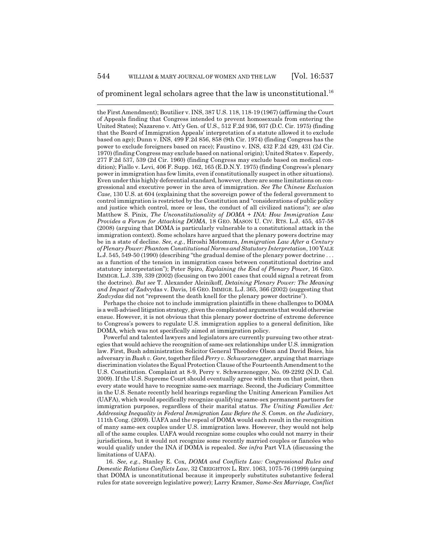of prominent legal scholars agree that the law is unconstitutional.<sup>16</sup>

the First Amendment); Boutilier v. INS, 387 U.S. 118, 118-19 (1967) (affirming the Court of Appeals finding that Congress intended to prevent homosexuals from entering the United States); Nazareno v. Att'y Gen. of U.S., 512 F.2d 936, 937 (D.C. Cir. 1975) (finding that the Board of Immigration Appeals' interpretation of a statute allowed it to exclude based on age); Dunn v. INS, 499 F.2d 856, 858 (9th Cir. 1974) (finding Congress has the power to exclude foreigners based on race); Faustino v. INS, 432 F.2d 429, 431 (2d Cir. 1970) (finding Congress may exclude based on national origin); United States v. Esperdy, 277 F.2d 537, 539 (2d Cir. 1960) (finding Congress may exclude based on medical condition); Fiallo v. Levi, 406 F. Supp. 162, 165 (E.D.N.Y. 1975) (finding Congress's plenary power in immigration has few limits, even if constitutionally suspect in other situations). Even under this highly deferential standard, however, there are some limitations on congressional and executive power in the area of immigration. *See The Chinese Exclusion Case*, 130 U.S. at 604 (explaining that the sovereign power of the federal government to control immigration is restricted by the Constitution and "considerations of public policy and justice which control, more or less, the conduct of all civilized nations"); *see also* Matthew S. Pinix, *The Unconstitutionality of DOMA + INA: How Immigration Law Provides a Forum for Attacking DOMA*, 18 GEO. MASON U. CIV. RTS. L.J. 455, 457-58 (2008) (arguing that DOMA is particularly vulnerable to a constitutional attack in the immigration context). Some scholars have argued that the plenary powers doctrine may be in a state of decline. *See, e.g.*, Hiroshi Motomura, *Immigration Law After a Century of Plenary Power: Phantom Constitutional Norms and Statutory Interpretation*, 100 YALE L.J. 545, 549-50 (1990) (describing "the gradual demise of the plenary power doctrine . . . as a function of the tension in immigration cases between constitutional doctrine and statutory interpretation"); Peter Spiro, *Explaining the End of Plenary Power*, 16 GEO. IMMIGR. L.J. 339, 339 (2002) (focusing on two 2001 cases that could signal a retreat from the doctrine). *But see* T. Alexander Aleinikoff, *Detaining Plenary Power: The Meaning and Impact of* Zadvydas v. Davis, 16 GEO. IMMIGR. L.J. 365, 366 (2002) (suggesting that *Zadvydas* did not "represent the death knell for the plenary power doctrine").

Perhaps the choice not to include immigration plaintiffs in these challenges to DOMA is a well-advised litigation strategy, given the complicated arguments that would otherwise ensue. However, it is not obvious that this plenary power doctrine of extreme deference to Congress's powers to regulate U.S. immigration applies to a general definition, like DOMA, which was not specifically aimed at immigration policy.

Powerful and talented lawyers and legislators are currently pursuing two other strategies that would achieve the recognition of same-sex relationships under U.S. immigration law. First, Bush administration Solicitor General Theodore Olson and David Boies, his adversary in *Bush v. Gore*, together filed *Perry v. Schwarzenegger*, arguing that marriage discrimination violates the Equal Protection Clause of the Fourteenth Amendment to the U.S. Constitution. Complaint at 8-9, Perry v. Schwarzenegger, No. 09-2292 (N.D. Cal. 2009). If the U.S. Supreme Court should eventually agree with them on that point, then every state would have to recognize same-sex marriage. Second, the Judiciary Committee in the U.S. Senate recently held hearings regarding the Uniting American Families Act (UAFA), which would specifically recognize qualifying same-sex permanent partners for immigration purposes, regardless of their marital status. *The Uniting Families Act: Addressing Inequality in Federal Immigration Law Before the S. Comm. on the Judiciary*, 111th Cong. (2009). UAFA and the repeal of DOMA would each result in the recognition of many same-sex couples under U.S. immigration laws. However, they would not help all of the same couples. UAFA would recognize some couples who could not marry in their jurisdictions, but it would not recognize some recently married couples or fiancées who would qualify under the INA if DOMA is repealed. *See infra* Part VI.A (discussing the limitations of UAFA).

16. *See, e.g.*, Stanley E. Cox, *DOMA and Conflicts Law: Congressional Rules and Domestic Relations Conflicts Law*, 32 CREIGHTON L. REV. 1063, 1075-76 (1999) (arguing that DOMA is unconstitutional because it improperly substitutes substantive federal rules for state sovereign legislative power); Larry Kramer, *Same-Sex Marriage, Conflict*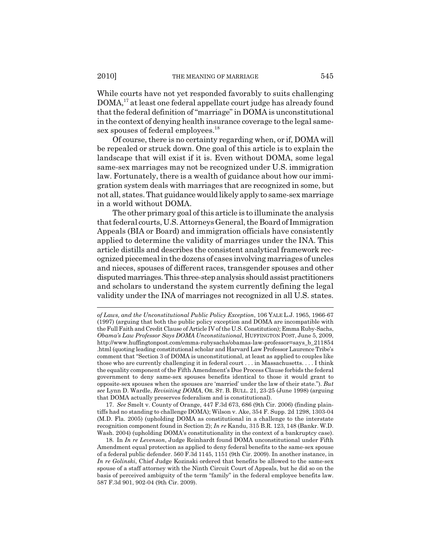While courts have not yet responded favorably to suits challenging DOMA,<sup>17</sup> at least one federal appellate court judge has already found that the federal definition of "marriage" in DOMA is unconstitutional in the context of denying health insurance coverage to the legal samesex spouses of federal employees.<sup>18</sup>

Of course, there is no certainty regarding when, or if, DOMA will be repealed or struck down. One goal of this article is to explain the landscape that will exist if it is. Even without DOMA, some legal same-sex marriages may not be recognized under U.S. immigration law. Fortunately, there is a wealth of guidance about how our immigration system deals with marriages that are recognized in some, but not all, states. That guidance would likely apply to same-sex marriage in a world without DOMA.

The other primary goal of this article is to illuminate the analysis that federal courts, U.S. Attorneys General, the Board of Immigration Appeals (BIA or Board) and immigration officials have consistently applied to determine the validity of marriages under the INA. This article distills and describes the consistent analytical framework recognized piecemeal in the dozens of cases involving marriages of uncles and nieces, spouses of different races, transgender spouses and other disputed marriages. This three-step analysis should assist practitioners and scholars to understand the system currently defining the legal validity under the INA of marriages not recognized in all U.S. states.

17. *See* Smelt v. County of Orange, 447 F.3d 673, 686 (9th Cir. 2006) (finding plaintiffs had no standing to challenge DOMA); Wilson v. Ake, 354 F. Supp. 2d 1298, 1303-04 (M.D. Fla. 2005) (upholding DOMA as constitutional in a challenge to the interstate recognition component found in Section 2); *In re* Kandu, 315 B.R. 123, 148 (Bankr. W.D. Wash. 2004) (upholding DOMA's constitutionality in the context of a bankruptcy case).

18. In *In re Levenson*, Judge Reinhardt found DOMA unconstitutional under Fifth Amendment equal protection as applied to deny federal benefits to the same-sex spouse of a federal public defender. 560 F.3d 1145, 1151 (9th Cir. 2009). In another instance, in *In re Golinski*, Chief Judge Kozinski ordered that benefits be allowed to the same-sex spouse of a staff attorney with the Ninth Circuit Court of Appeals, but he did so on the basis of perceived ambiguity of the term "family" in the federal employee benefits law. 587 F.3d 901, 902-04 (9th Cir. 2009).

*of Laws, and the Unconstitutional Public Policy Exception*, 106 YALE L.J. 1965, 1966-67 (1997) (arguing that both the public policy exception and DOMA are incompatible with the Full Faith and Credit Clause of Article IV of the U.S. Constitution); Emma Ruby-Sachs, *Obama's Law Professor Says DOMA Unconstitutional*, HUFFINGTON POST, June 5, 2009, http://www.huffingtonpost.com/emma-rubysachs/obamas-law-professor=says\_b\_211854 .html (quoting leading constitutional scholar and Harvard Law Professor Laurence Tribe's comment that "Section 3 of DOMA is unconstitutional, at least as applied to couples like those who are currently challenging it in federal court . . . in Massachusetts. . . . I think the equality component of the Fifth Amendment's Due Process Clause forbids the federal government to deny same-sex spouses benefits identical to those it would grant to opposite-sex spouses when the spouses are 'married' under the law of their state."). *But see* Lynn D. Wardle, *Revisiting DOMA*, OR. ST. B. BULL. 21, 23-25 (June 1998) (arguing that DOMA actually preserves federalism and is constitutional).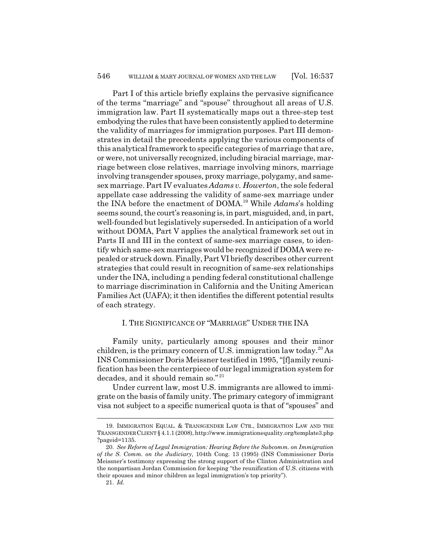Part I of this article briefly explains the pervasive significance of the terms "marriage" and "spouse" throughout all areas of U.S. immigration law. Part II systematically maps out a three-step test embodying the rules that have been consistently applied to determine the validity of marriages for immigration purposes. Part III demonstrates in detail the precedents applying the various components of this analytical framework to specific categories of marriage that are, or were, not universally recognized, including biracial marriage, marriage between close relatives, marriage involving minors, marriage involving transgender spouses, proxy marriage, polygamy, and samesex marriage. Part IV evaluates *Adams v. Howerton*, the sole federal appellate case addressing the validity of same-sex marriage under the INA before the enactment of DOMA.19 While *Adams*'s holding seems sound, the court's reasoning is, in part, misguided, and, in part, well-founded but legislatively superseded. In anticipation of a world without DOMA, Part V applies the analytical framework set out in Parts II and III in the context of same-sex marriage cases, to identify which same-sex marriages would be recognized if DOMA were repealed or struck down. Finally, Part VI briefly describes other current strategies that could result in recognition of same-sex relationships under the INA, including a pending federal constitutional challenge to marriage discrimination in California and the Uniting American Families Act (UAFA); it then identifies the different potential results of each strategy.

#### I. THE SIGNIFICANCE OF "MARRIAGE" UNDER THE INA

Family unity, particularly among spouses and their minor children, is the primary concern of U.S. immigration law today.<sup>20</sup> As INS Commissioner Doris Meissner testified in 1995, "[f]amily reunification has been the centerpiece of our legal immigration system for decades, and it should remain so."<sup>21</sup>

Under current law, most U.S. immigrants are allowed to immigrate on the basis of family unity. The primary category of immigrant visa not subject to a specific numerical quota is that of "spouses" and

<sup>19.</sup> IMMIGRATION EQUAL. & TRANSGENDER LAW CTR., IMMIGRATION LAW AND THE TRANSGENDER CLIENT § 4.1.1 (2008), http://www.immigrationequality.org/template3.php ?pageid=1135.

<sup>20.</sup> *See Reform of Legal Immigration: Hearing Before the Subcomm. on Immigration of the S. Comm. on the Judiciary*, 104th Cong. 13 (1995) (INS Commissioner Doris Meissner's testimony expressing the strong support of the Clinton Administration and the nonpartisan Jordan Commission for keeping "the reunification of U.S. citizens with their spouses and minor children as legal immigration's top priority").

<sup>21.</sup> *Id.*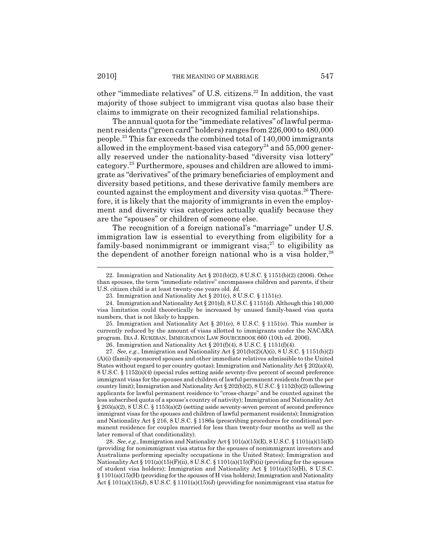other "immediate relatives" of U.S. citizens.<sup>22</sup> In addition, the vast majority of those subject to immigrant visa quotas also base their claims to immigrate on their recognized familial relationships.

The annual quota for the "immediate relatives" of lawful permanent residents ("green card" holders) ranges from 226,000 to 480,000 people.23 This far exceeds the combined total of 140,000 immigrants allowed in the employment-based visa category<sup>24</sup> and  $55,000$  generally reserved under the nationality-based "diversity visa lottery" category.25 Furthermore, spouses and children are allowed to immigrate as "derivatives" of the primary beneficiaries of employment and diversity based petitions, and these derivative family members are counted against the employment and diversity visa quotas.<sup>26</sup> Therefore, it is likely that the majority of immigrants in even the employment and diversity visa categories actually qualify because they are the "spouses" or children of someone else.

The recognition of a foreign national's "marriage" under U.S. immigration law is essential to everything from eligibility for a family-based nonimmigrant or immigrant visa; $27$  to eligibility as the dependent of another foreign national who is a visa holder,  $28$ 

<sup>22.</sup> Immigration and Nationality Act § 201(b)(2), 8 U.S.C. § 1151(b)(2) (2006). Other than spouses, the term "immediate relative" encompasses children and parents, if their U.S. citizen child is at least twenty-one years old. *Id.*

<sup>23.</sup> Immigration and Nationality Act § 201(c), 8 U.S.C. § 1151(c).

<sup>24.</sup> Immigration and Nationality Act § 201(d), 8 U.S.C. § 1151(d). Although this 140,000 visa limitation could theoretically be increased by unused family-based visa quota numbers, that is not likely to happen.

<sup>25.</sup> Immigration and Nationality Act  $\S$  201(e), 8 U.S.C.  $\S$  1151(e). This number is currently reduced by the amount of visas allotted to immigrants under the NACARA program. IRA J. KURZBAN, IMMIGRATION LAW SOURCEBOOK 660 (10th ed. 2006).

<sup>26.</sup> Immigration and Nationality Act  $\S 201(f)(4)$ , 8 U.S.C.  $\S 1151(f)(4)$ .

<sup>27.</sup> *See, e.g.*, Immigration and Nationality Act § 201(b)(2)(A)(i), 8 U.S.C. § 1151(b)(2) (A)(i) (family-sponsored spouses and other immediate relatives admissible to the United States without regard to per country quotas); Immigration and Nationality Act  $\S 202(a)(4)$ , 8 U.S.C. § 1152(a)(4) (special rules setting aside seventy-five percent of second preference immigrant visas for the spouses and children of lawful permanent residents from the per country limit); Immigration and Nationality Act § 202(b)(2), 8 U.S.C. § 1152(b)(2) (allowing applicants for lawful permanent residence to "cross-charge" and be counted against the less subscribed quota of a spouse's country of nativity); Immigration and Nationality Act § 203(a)(2), 8 U.S.C. § 1153(a)(2) (setting aside seventy-seven percent of second preference immigrant visas for the spouses and children of lawful permanent residents); Immigration and Nationality Act § 216, 8 U.S.C. § 1186a (prescribing procedures for conditional permanent residence for couples married for less than twenty-four months as well as the later removal of that conditionality).

<sup>28.</sup> *See, e.g.*, Immigration and Nationality Act § 101(a)(15)(E), 8 U.S.C. § 1101(a)(15)(E) (providing for nonimmigrant visa status for the spouses of nonimmigrant investors and Australians performing specialty occupations in the United States); Immigration and Nationality Act § 101(a)(15)(F)(ii), 8 U.S.C. § 1101(a)(15)(F)(ii) (providing for the spouses of student visa holders); Immigration and Nationality Act  $\S$  101(a)(15)(H), 8 U.S.C. § 1101(a)(15)(H) (providing for the spouses of H visa holders); Immigration and Nationality Act  $\S 101(a)(15)(J)$ ,  $\S U.S.C. \S 1101(a)(15)(J)$  (providing for nonimmigrant visa status for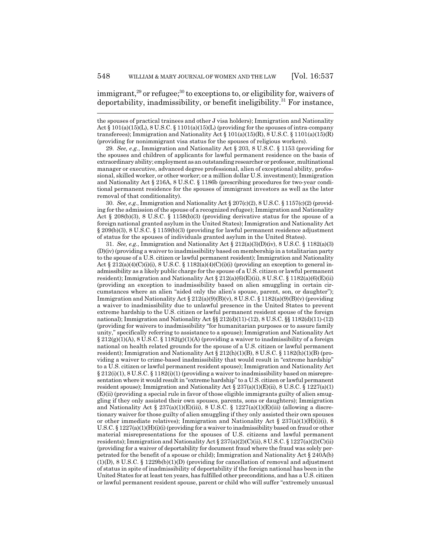$\text{immigrant.}^{29}$  or refugee;<sup>30</sup> to exceptions to, or eligibility for, waivers of deportability, inadmissibility, or benefit ineligibility.<sup>31</sup> For instance,

29. *See, e.g.*, Immigration and Nationality Act § 203, 8 U.S.C. § 1153 (providing for the spouses and children of applicants for lawful permanent residence on the basis of extraordinary ability; employment as an outstanding researcher or professor, multinational manager or executive, advanced degree professional, alien of exceptional ability, professional, skilled worker, or other worker; or a million dollar U.S. investment); Immigration and Nationality Act § 216A, 8 U.S.C. § 1186b (prescribing procedures for two-year conditional permanent residence for the spouses of immigrant investors as well as the later removal of that conditionality).

30. *See, e.g.*, Immigration and Nationality Act § 207(c)(2), 8 U.S.C. § 1157(c)(2) (providing for the admission of the spouse of a recognized refugee); Immigration and Nationality Act § 208(b)(3), 8 U.S.C. § 1158(b)(3) (providing derivative status for the spouse of a foreign national granted asylum in the United States); Immigration and Nationality Act § 209(b)(3), 8 U.S.C. § 1159(b)(3) (providing for lawful permanent residence adjustment of status for the spouses of individuals granted asylum in the United States).

31. *See, e.g.*, Immigration and Nationality Act § 212(a)(3)(D)(iv), 8 U.S.C. § 1182(a)(3) (D)(iv) (providing a waiver to inadmissibility based on membership in a totalitarian party to the spouse of a U.S. citizen or lawful permanent resident); Immigration and Nationality Act  $\S 212(a)(4)(C)(i)(i)$ ,  $\S U.S.C. \S 1182(a)(4)(C)(i)(i)$  (providing an exception to general inadmissibility as a likely public charge for the spouse of a U.S. citizen or lawful permanent resident); Immigration and Nationality Act  $\S 212(a)(6)(E)(ii)$ , 8 U.S.C.  $\S 1182(a)(6)(E)(ii)$ (providing an exception to inadmissibility based on alien smuggling in certain circumstances where an alien "aided only the alien's spouse, parent, son, or daughter"); Immigration and Nationality Act  $\S 212(a)(9)(B)(v)$ , 8 U.S.C.  $\S 1182(a)(9)(B)(v)$  (providing a waiver to inadmissibility due to unlawful presence in the United States to prevent extreme hardship to the U.S. citizen or lawful permanent resident spouse of the foreign national); Immigration and Nationality Act  $\S$  212(d)(11)-(12), 8 U.S.C.  $\S$  1182(d)(11)-(12) (providing for waivers to inadmissibility "for humanitarian purposes or to assure family unity," specifically referring to assistance to a spouse); Immigration and Nationality Act  $\S 212(g)(1)(A)$ , 8 U.S.C.  $\S 1182(g)(1)(A)$  (providing a waiver to inadmissibility of a foreign national on health related grounds for the spouse of a U.S. citizen or lawful permanent resident); Immigration and Nationality Act  $\S 212(h)(1)(B)$ , 8 U.S.C.  $\S 1182(h)(1)(B)$  (providing a waiver to crime-based inadmissibility that would result in "extreme hardship" to a U.S. citizen or lawful permanent resident spouse); Immigration and Nationality Act  $\S 212(i)(1), 8 U.S.C. \S 1182(i)(1)$  (providing a waiver to inadmissibility based on misrepresentation where it would result in "extreme hardship" to a U.S. citizen or lawful permanent resident spouse); Immigration and Nationality Act §  $237(a)(1)(E)(ii)$ , 8 U.S.C. § 1227(a)(1) (E)(ii) (providing a special rule in favor of those eligible immigrants guilty of alien smuggling if they only assisted their own spouses, parents, sons or daughters); Immigration and Nationality Act § 237(a)(1)(E)(iii), 8 U.S.C. § 1227(a)(1)(E)(iii) (allowing a discretionary waiver for those guilty of alien smuggling if they only assisted their own spouses or other immediate relatives); Immigration and Nationality Act  $\S 237(a)(1)(H)(i)(i)$ , 8 U.S.C.  $\S 1227(a)(1)(H)(i)(i)$  (providing for a waiver to inadmissibility based on fraud or other material misrepresentations for the spouses of U.S. citizens and lawful permanent residents); Immigration and Nationality Act  $\S 237(a)(2)(C)(ii)$ , 8 U.S.C.  $\S 1227(a)(2)(C)(ii)$ (providing for a waiver of deportability for document fraud where the fraud was solely perpetrated for the benefit of a spouse or child); Immigration and Nationality Act § 240A(b)  $(1)(D)$ , 8 U.S.C. § 1229b(b)(1)(D) (providing for cancellation of removal and adjustment of status in spite of inadmissibility of deportability if the foreign national has been in the United States for at least ten years, has fulfilled other preconditions, and has a U.S. citizen or lawful permanent resident spouse, parent or child who will suffer "extremely unusual

the spouses of practical trainees and other J visa holders); Immigration and Nationality Act  $\S 101(a)(15)(L)$ ,  $\S U.S.C. \S 1101(a)(15)(L)$  (providing for the spouses of intra-company transferees); Immigration and Nationality Act  $\S 101(a)(15)(R)$ , 8 U.S.C.  $\S 1101(a)(15)(R)$ (providing for nonimmigrant visa status for the spouses of religious workers).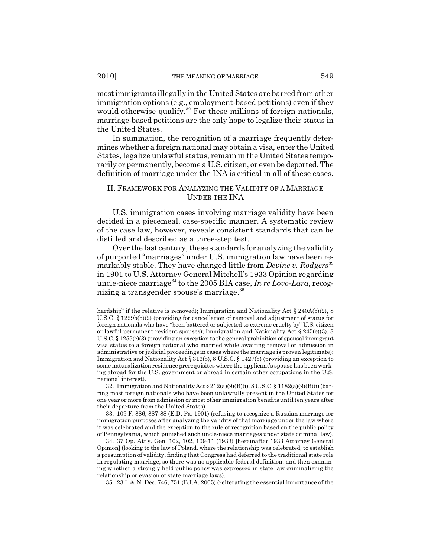most immigrants illegally in the United States are barred from other immigration options (e.g., employment-based petitions) even if they would otherwise qualify.<sup>32</sup> For these millions of foreign nationals, marriage-based petitions are the only hope to legalize their status in the United States.

In summation, the recognition of a marriage frequently determines whether a foreign national may obtain a visa, enter the United States, legalize unlawful status, remain in the United States temporarily or permanently, become a U.S. citizen, or even be deported. The definition of marriage under the INA is critical in all of these cases.

#### II. FRAMEWORK FOR ANALYZING THE VALIDITY OF A MARRIAGE UNDER THE INA

U.S. immigration cases involving marriage validity have been decided in a piecemeal, case-specific manner. A systematic review of the case law, however, reveals consistent standards that can be distilled and described as a three-step test.

Over the last century, these standards for analyzing the validity of purported "marriages" under U.S. immigration law have been remarkably stable. They have changed little from *Devine v. Rodgers*<sup>33</sup> in 1901 to U.S. Attorney General Mitchell's 1933 Opinion regarding uncle-niece marriage<sup>34</sup> to the 2005 BIA case, *In re Lovo-Lara*, recognizing a transgender spouse's marriage.<sup>35</sup>

33. 109 F. 886, 887-88 (E.D. Pa. 1901) (refusing to recognize a Russian marriage for immigration purposes after analyzing the validity of that marriage under the law where it was celebrated and the exception to the rule of recognition based on the public policy of Pennsylvania, which punished such uncle-niece marriages under state criminal law).

34. 37 Op. Att'y. Gen. 102, 102, 109-11 (1933) [hereinafter 1933 Attorney General Opinion] (looking to the law of Poland, where the relationship was celebrated, to establish a presumption of validity, finding that Congress had deferred to the traditional state role in regulating marriage, so there was no applicable federal definition, and then examining whether a strongly held public policy was expressed in state law criminalizing the relationship or evasion of state marriage laws).

35. 23 I. & N. Dec. 746, 751 (B.I.A. 2005) (reiterating the essential importance of the

hardship" if the relative is removed); Immigration and Nationality Act § 240A(b)(2), 8 U.S.C. § 1229b(b)(2) (providing for cancellation of removal and adjustment of status for foreign nationals who have "been battered or subjected to extreme cruelty by" U.S. citizen or lawful permanent resident spouses); Immigration and Nationality Act § 245(e)(3), 8 U.S.C. § 1255(e)(3) (providing an exception to the general prohibition of spousal immigrant visa status to a foreign national who married while awaiting removal or admission in administrative or judicial proceedings in cases where the marriage is proven legitimate); Immigration and Nationality Act § 316(b), 8 U.S.C. § 1427(b) (providing an exception to some naturalization residence prerequisites where the applicant's spouse has been working abroad for the U.S. government or abroad in certain other occupations in the U.S. national interest).

<sup>32.</sup> Immigration and Nationality Act § 212(a)(9)(B)(i), 8 U.S.C. § 1182(a)(9)(B)(i) (barring most foreign nationals who have been unlawfully present in the United States for one year or more from admission or most other immigration benefits until ten years after their departure from the United States).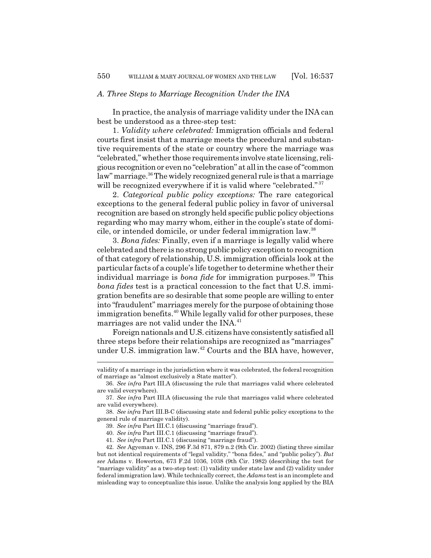#### *A. Three Steps to Marriage Recognition Under the INA*

In practice, the analysis of marriage validity under the INA can best be understood as a three-step test:

1. *Validity where celebrated:* Immigration officials and federal courts first insist that a marriage meets the procedural and substantive requirements of the state or country where the marriage was "celebrated," whether those requirements involve state licensing, religious recognition or even no "celebration" at all in the case of "common law" marriage.<sup>36</sup> The widely recognized general rule is that a marriage will be recognized everywhere if it is valid where "celebrated."<sup>37</sup>

2. *Categorical public policy exceptions:* The rare categorical exceptions to the general federal public policy in favor of universal recognition are based on strongly held specific public policy objections regarding who may marry whom, either in the couple's state of domicile, or intended domicile, or under federal immigration law.38

3. *Bona fides:* Finally, even if a marriage is legally valid where celebrated and there is no strong public policy exception to recognition of that category of relationship, U.S. immigration officials look at the particular facts of a couple's life together to determine whether their individual marriage is *bona fide* for immigration purposes.<sup>39</sup> This *bona fides* test is a practical concession to the fact that U.S. immigration benefits are so desirable that some people are willing to enter into "fraudulent" marriages merely for the purpose of obtaining those immigration benefits.<sup>40</sup> While legally valid for other purposes, these marriages are not valid under the  $INA^{41}$ .

Foreign nationals and U.S. citizens have consistently satisfied all three steps before their relationships are recognized as "marriages" under U.S. immigration law.42 Courts and the BIA have, however,

validity of a marriage in the jurisdiction where it was celebrated, the federal recognition of marriage as "almost exclusively a State matter").

<sup>36.</sup> *See infra* Part III.A (discussing the rule that marriages valid where celebrated are valid everywhere).

<sup>37.</sup> *See infra* Part III.A (discussing the rule that marriages valid where celebrated are valid everywhere).

<sup>38.</sup> *See infra* Part III.B-C (discussing state and federal public policy exceptions to the general rule of marriage validity).

<sup>39.</sup> *See infra* Part III.C.1 (discussing "marriage fraud").

<sup>40.</sup> *See infra* Part III.C.1 (discussing "marriage fraud").

<sup>41.</sup> *See infra* Part III.C.1 (discussing "marriage fraud").

<sup>42.</sup> *See* Agyeman v. INS, 296 F.3d 871, 879 n.2 (9th Cir. 2002) (listing three similar but not identical requirements of "legal validity," "bona fides," and "public policy"). *But see* Adams v. Howerton, 673 F.2d 1036, 1038 (9th Cir. 1982) (describing the test for "marriage validity" as a two-step test: (1) validity under state law and (2) validity under federal immigration law). While technically correct, the *Adams* test is an incomplete and misleading way to conceptualize this issue. Unlike the analysis long applied by the BIA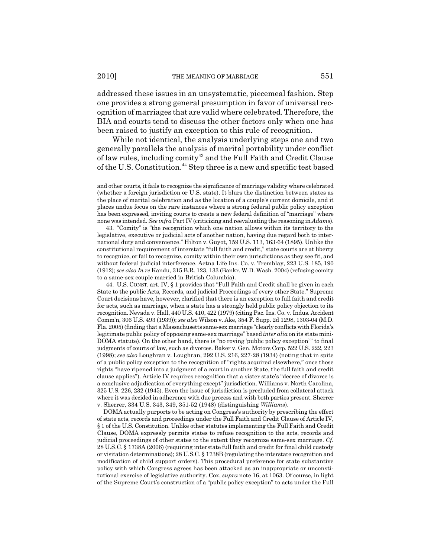addressed these issues in an unsystematic, piecemeal fashion. Step one provides a strong general presumption in favor of universal recognition of marriages that are valid where celebrated. Therefore, the BIA and courts tend to discuss the other factors only when one has been raised to justify an exception to this rule of recognition.

While not identical, the analysis underlying steps one and two generally parallels the analysis of marital portability under conflict of law rules, including comity<sup>43</sup> and the Full Faith and Credit Clause of the U.S. Constitution.44 Step three is a new and specific test based

43. "Comity" is "the recognition which one nation allows within its territory to the legislative, executive or judicial acts of another nation, having due regard both to international duty and convenience." Hilton v. Guyot, 159 U.S. 113, 163-64 (1895). Unlike the constitutional requirement of interstate "full faith and credit," state courts are at liberty to recognize, or fail to recognize, comity within their own jurisdictions as they see fit, and without federal judicial interference. Aetna Life Ins. Co. v. Tremblay, 223 U.S. 185, 190 (1912); *see also In re* Kandu, 315 B.R. 123, 133 (Bankr. W.D. Wash. 2004) (refusing comity to a same-sex couple married in British Columbia).

44. U.S. CONST. art. IV, § 1 provides that "Full Faith and Credit shall be given in each State to the public Acts, Records, and judicial Proceedings of every other State." Supreme Court decisions have, however, clarified that there is an exception to full faith and credit for acts, such as marriage, when a state has a strongly held public policy objection to its recognition. Nevada v. Hall, 440 U.S. 410, 422 (1979) (citing Pac. Ins. Co. v. Indus. Accident Comm'n, 306 U.S. 493 (1939)); *see also* Wilson v. Ake, 354 F. Supp. 2d 1298, 1303-04 (M.D. Fla. 2005) (finding that a Massachusetts same-sex marriage "clearly conflicts with Florida's legitimate public policy of opposing same-sex marriage" based *inter alia* on its state mini-DOMA statute). On the other hand, there is "no roving 'public policy exception'" to final judgments of courts of law, such as divorces. Baker v. Gen. Motors Corp. 522 U.S. 222, 223 (1998); *see also* Loughran v. Loughran, 292 U.S. 216, 227-28 (1934) (noting that in spite of a public policy exception to the recognition of "rights acquired elsewhere," once those rights "have ripened into a judgment of a court in another State, the full faith and credit clause applies"). Article IV requires recognition that a sister state's "decree of divorce is a conclusive adjudication of everything except" jurisdiction. Williams v. North Carolina, 325 U.S. 226, 232 (1945). Even the issue of jurisdiction is precluded from collateral attack where it was decided in adherence with due process and with both parties present. Sherrer v. Sherrer, 334 U.S. 343, 349, 351-52 (1948) (distinguishing *Williams*).

DOMA actually purports to be acting on Congress's authority by prescribing the effect of state acts, records and proceedings under the Full Faith and Credit Clause of Article IV, § 1 of the U.S. Constitution. Unlike other statutes implementing the Full Faith and Credit Clause, DOMA expressly permits states to refuse recognition to the acts, records and judicial proceedings of other states to the extent they recognize same-sex marriage. *Cf.* 28 U.S.C. § 1738A (2006) (requiring interstate full faith and credit for final child custody or visitation determinations); 28 U.S.C. § 1738B (regulating the interstate recognition and modification of child support orders). This procedural preference for state substantive policy with which Congress agrees has been attacked as an inappropriate or unconstitutional exercise of legislative authority. Cox, *supra* note 16, at 1063. Of course, in light of the Supreme Court's construction of a "public policy exception" to acts under the Full

and other courts, it fails to recognize the significance of marriage validity where celebrated (whether a foreign jurisdiction or U.S. state). It blurs the distinction between states as the place of marital celebration and as the location of a couple's current domicile, and it places undue focus on the rare instances where a strong federal public policy exception has been expressed, inviting courts to create a new federal definition of "marriage" where none was intended. *See infra* Part IV (criticizing and reevaluating the reasoning in *Adams*).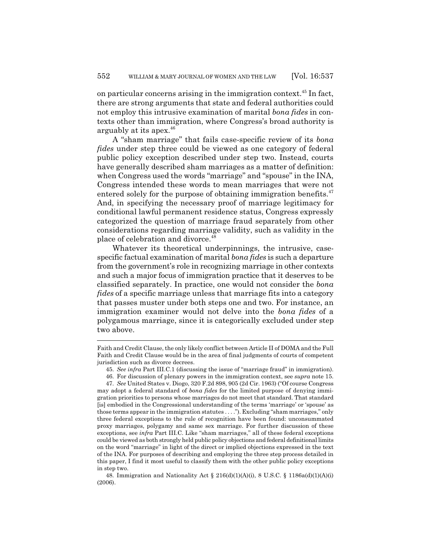on particular concerns arising in the immigration context.<sup>45</sup> In fact, there are strong arguments that state and federal authorities could not employ this intrusive examination of marital *bona fides* in contexts other than immigration, where Congress's broad authority is arguably at its apex.46

A "sham marriage" that fails case-specific review of its *bona fides* under step three could be viewed as one category of federal public policy exception described under step two. Instead, courts have generally described sham marriages as a matter of definition: when Congress used the words "marriage" and "spouse" in the INA, Congress intended these words to mean marriages that were not entered solely for the purpose of obtaining immigration benefits.<sup>47</sup> And, in specifying the necessary proof of marriage legitimacy for conditional lawful permanent residence status, Congress expressly categorized the question of marriage fraud separately from other considerations regarding marriage validity, such as validity in the place of celebration and divorce.<sup>48</sup>

Whatever its theoretical underpinnings, the intrusive, casespecific factual examination of marital *bona fides* is such a departure from the government's role in recognizing marriage in other contexts and such a major focus of immigration practice that it deserves to be classified separately. In practice, one would not consider the *bona fides* of a specific marriage unless that marriage fits into a category that passes muster under both steps one and two. For instance, an immigration examiner would not delve into the *bona fides* of a polygamous marriage, since it is categorically excluded under step two above.

Faith and Credit Clause, the only likely conflict between Article II of DOMA and the Full Faith and Credit Clause would be in the area of final judgments of courts of competent jurisdiction such as divorce decrees.

<sup>45.</sup> *See infra* Part III.C.1 (discussing the issue of "marriage fraud" in immigration).

<sup>46.</sup> For discussion of plenary powers in the immigration context, see *supra* note 15.

<sup>47.</sup> *See* United States v. Diogo, 320 F.2d 898, 905 (2d Cir. 1963) ("Of course Congress may adopt a federal standard of *bona fides* for the limited purpose of denying immigration priorities to persons whose marriages do not meet that standard. That standard [is] embodied in the Congressional understanding of the terms 'marriage' or 'spouse' as those terms appear in the immigration statutes . . . ."). Excluding "sham marriages," only three federal exceptions to the rule of recognition have been found: unconsummated proxy marriages, polygamy and same sex marriage. For further discussion of these exceptions, see *infra* Part III.C. Like "sham marriages," all of these federal exceptions could be viewed as both strongly held public policy objections and federal definitional limits on the word "marriage" in light of the direct or implied objections expressed in the text of the INA. For purposes of describing and employing the three step process detailed in this paper, I find it most useful to classify them with the other public policy exceptions in step two.

<sup>48.</sup> Immigration and Nationality Act  $\S 216(d)(1)(A)(i)$ , 8 U.S.C.  $\S 1186a(d)(1)(A)(i)$ (2006).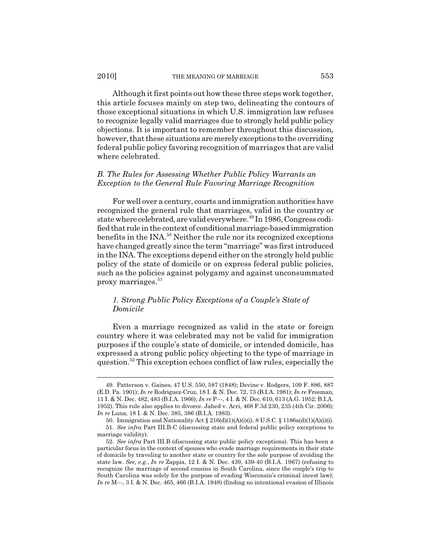Although it first points out how these three steps work together, this article focuses mainly on step two, delineating the contours of those exceptional situations in which U.S. immigration law refuses to recognize legally valid marriages due to strongly held public policy objections. It is important to remember throughout this discussion, however, that these situations are merely exceptions to the overriding federal public policy favoring recognition of marriages that are valid where celebrated.

#### *B. The Rules for Assessing Whether Public Policy Warrants an Exception to the General Rule Favoring Marriage Recognition*

For well over a century, courts and immigration authorities have recognized the general rule that marriages, valid in the country or state where celebrated, are valid everywhere.<sup>49</sup> In 1986, Congress codified that rule in the context of conditional marriage-based immigration benefits in the INA.<sup>50</sup> Neither the rule nor its recognized exceptions have changed greatly since the term "marriage" was first introduced in the INA. The exceptions depend either on the strongly held public policy of the state of domicile or on express federal public policies, such as the policies against polygamy and against unconsummated proxy marriages. $51$ 

## *1. Strong Public Policy Exceptions of a Couple's State of Domicile*

Even a marriage recognized as valid in the state or foreign country where it was celebrated may not be valid for immigration purposes if the couple's state of domicile, or intended domicile, has expressed a strong public policy objecting to the type of marriage in question.52 This exception echoes conflict of law rules, especially the

<sup>49.</sup> Patterson v. Gaines, 47 U.S. 550, 587 (1848); Devine v. Rodgers, 109 F. 886, 887 (E.D. Pa. 1901); *In re* Rodriguez-Cruz, 18 I. & N. Dec. 72, 73 (B.I.A. 1981); *In re* Freeman, 11 I. & N. Dec. 482, 483 (B.I.A. 1966); *In re* P---, 4 I. & N. Dec. 610, 613 (A.G. 1952; B.I.A. 1952). This rule also applies to divorce. Jahed v. Acri, 468 F.3d 230, 235 (4th Cir. 2006); *In re* Luna, 18 I. & N. Dec. 385, 386 (B.I.A. 1983).

<sup>50.</sup> Immigration and Nationality Act § 216(d)(1)(A)(i)(i), 8 U.S.C. § 1186a(d)(1)(A)(i)(i).

<sup>51.</sup> *See infra* Part III.B-C (discussing state and federal public policy exceptions to marriage validity).

<sup>52.</sup> *See infra* Part III.B (discussing state public policy exceptions). This has been a particular focus in the context of spouses who evade marriage requirements in their state of domicile by traveling to another state or country for the sole purpose of avoiding the state law. *See, e.g.*, *In re* Zappia, 12 I. & N. Dec. 439, 439-40 (B.I.A. 1967) (refusing to recognize the marriage of second cousins in South Carolina, since the couple's trip to South Carolina was solely for the purpose of evading Wisconsin's criminal incest law); *In re* M---, 3 I. & N. Dec. 465, 466 (B.I.A. 1948) (finding no intentional evasion of Illinois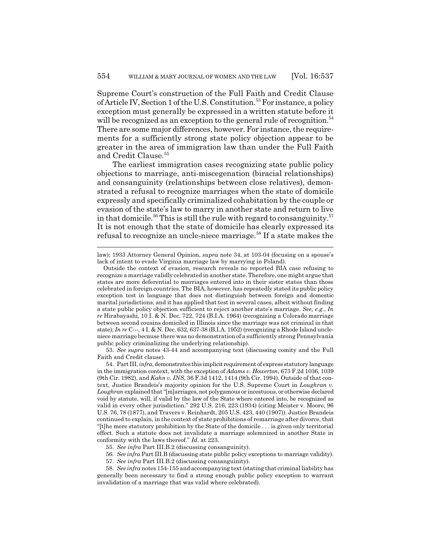Supreme Court's construction of the Full Faith and Credit Clause of Article IV, Section 1 of the U.S. Constitution.<sup>53</sup> For instance, a policy exception must generally be expressed in a written statute before it will be recognized as an exception to the general rule of recognition.<sup>54</sup> There are some major differences, however. For instance, the requirements for a sufficiently strong state policy objection appear to be greater in the area of immigration law than under the Full Faith and Credit Clause.<sup>55</sup>

The earliest immigration cases recognizing state public policy objections to marriage, anti-miscegenation (biracial relationships) and consanguinity (relationships between close relatives), demonstrated a refusal to recognize marriages when the state of domicile expressly and specifically criminalized cohabitation by the couple or evasion of the state's law to marry in another state and return to live in that domicile.<sup>56</sup> This is still the rule with regard to consanguinity.<sup>57</sup> It is not enough that the state of domicile has clearly expressed its refusal to recognize an uncle-niece marriage.<sup>58</sup> If a state makes the

law); 1933 Attorney General Opinion, *supra* note 34, at 103-04 (focusing on a spouse's lack of intent to evade Virginia marriage law by marrying in Poland).

53. *See supra* notes 43-44 and accompanying text (discussing comity and the Full Faith and Credit clause).

56. *See infra* Part III.B (discussing state public policy exceptions to marriage validity).

Outside the context of evasion, research reveals no reported BIA case refusing to recognize a marriage validly celebrated in another state. Therefore, one might argue that states are more deferential to marriages entered into in their sister states than those celebrated in foreign countries. The BIA, however, has repeatedly stated its public policy exception test in language that does not distinguish between foreign and domestic marital jurisdictions, and it has applied that test in several cases, albeit without finding a state public policy objection sufficient to reject another state's marriage. *See, e.g.*, *In re* Hirabayashi, 10 I. & N. Dec. 722, 724 (B.I.A. 1964) (recognizing a Colorado marriage between second cousins domiciled in Illinois since the marriage was not criminal in that state); *In re* C---, 4 I. & N. Dec. 632, 637-38 (B.I.A. 1952) (recognizing a Rhode Island uncleniece marriage because there was no demonstration of a sufficiently strong Pennsylvania public policy criminalizing the underlying relationship).

<sup>54.</sup> Part III, *infra*, demonstrates this implicit requirement of express statutory language in the immigration context, with the exception of *Adams v. Howerton*, 673 F.2d 1036, 1039 (9th Cir. 1982), and *Kahn v. INS*, 36 F.3d 1412, 1414 (9th Cir. 1994). Outside of that context, Justice Brandeis's majority opinion for the U.S. Supreme Court in *Loughran v. Loughran* explained that "[m]arriages, not polygamous or incestuous, or otherwise declared void by statute, will, if valid by the law of the State where entered into, be recognized as valid in every other jurisdiction." 292 U.S. 216, 223 (1934) (citing Meister v. Moore, 96 U.S. 76, 78 (1877), and Travers v. Reinhardt, 205 U.S. 423, 440 (1907)). Justice Brandeis continued to explain, in the context of state prohibitions of remarriage after divorce, that "[t]he mere statutory prohibition by the State of the domicile . . . is given only territorial effect. Such a statute does not invalidate a marriage solemnized in another State in conformity with the laws thereof." *Id.* at 223.

<sup>55.</sup> *See infra* Part III.B.2 (discussing consanguinity).

<sup>57.</sup> *See infra* Part III.B.2 (discussing consanguinity).

<sup>58.</sup> *See infra* notes 154-155 and accompanying text (stating that criminal liability has generally been necessary to find a strong enough public policy exception to warrant invalidation of a marriage that was valid where celebrated).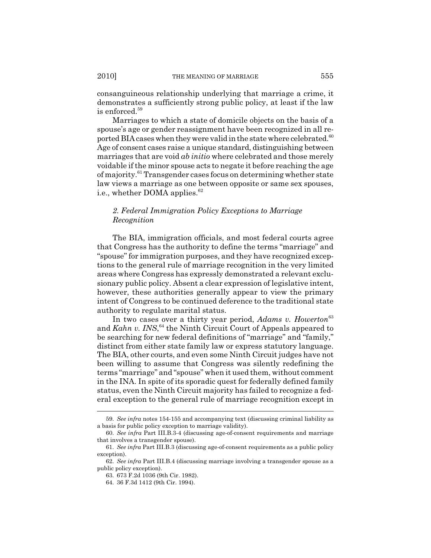consanguineous relationship underlying that marriage a crime, it demonstrates a sufficiently strong public policy, at least if the law is enforced.59

Marriages to which a state of domicile objects on the basis of a spouse's age or gender reassignment have been recognized in all reported BIA cases when they were valid in the state where celebrated. $60$ Age of consent cases raise a unique standard, distinguishing between marriages that are void *ab initio* where celebrated and those merely voidable if the minor spouse acts to negate it before reaching the age of majority.61 Transgender cases focus on determining whether state law views a marriage as one between opposite or same sex spouses, i.e., whether DOMA applies.<sup>62</sup>

## *2. Federal Immigration Policy Exceptions to Marriage Recognition*

The BIA, immigration officials, and most federal courts agree that Congress has the authority to define the terms "marriage" and "spouse" for immigration purposes, and they have recognized exceptions to the general rule of marriage recognition in the very limited areas where Congress has expressly demonstrated a relevant exclusionary public policy. Absent a clear expression of legislative intent, however, these authorities generally appear to view the primary intent of Congress to be continued deference to the traditional state authority to regulate marital status.

In two cases over a thirty year period, *Adams v. Howerton*<sup>63</sup> and *Kahn v. INS*,<sup>64</sup> the Ninth Circuit Court of Appeals appeared to be searching for new federal definitions of "marriage" and "family," distinct from either state family law or express statutory language. The BIA, other courts, and even some Ninth Circuit judges have not been willing to assume that Congress was silently redefining the terms "marriage" and "spouse" when it used them, without comment in the INA. In spite of its sporadic quest for federally defined family status, even the Ninth Circuit majority has failed to recognize a federal exception to the general rule of marriage recognition except in

<sup>59.</sup> *See infra* notes 154-155 and accompanying text (discussing criminal liability as a basis for public policy exception to marriage validity).

<sup>60.</sup> *See infra* Part III.B.3-4 (discussing age-of-consent requirements and marriage that involves a transgender spouse).

<sup>61.</sup> *See infra* Part III.B.3 (discussing age-of-consent requirements as a public policy exception).

<sup>62.</sup> *See infra* Part III.B.4 (discussing marriage involving a transgender spouse as a public policy exception).

<sup>63. 673</sup> F.2d 1036 (9th Cir. 1982).

<sup>64. 36</sup> F.3d 1412 (9th Cir. 1994).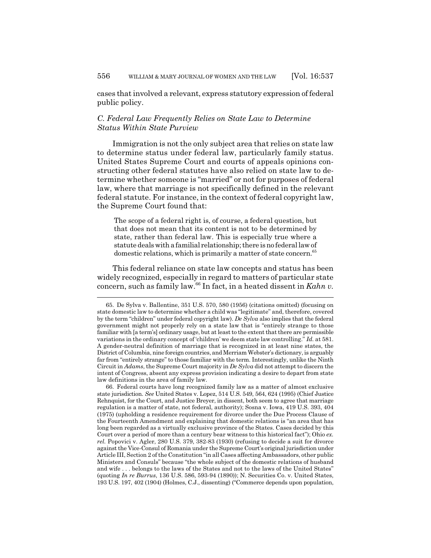cases that involved a relevant, express statutory expression of federal public policy.

## *C. Federal Law Frequently Relies on State Law to Determine Status Within State Purview*

Immigration is not the only subject area that relies on state law to determine status under federal law, particularly family status. United States Supreme Court and courts of appeals opinions constructing other federal statutes have also relied on state law to determine whether someone is "married" or not for purposes of federal law, where that marriage is not specifically defined in the relevant federal statute. For instance, in the context of federal copyright law, the Supreme Court found that:

The scope of a federal right is, of course, a federal question, but that does not mean that its content is not to be determined by state, rather than federal law. This is especially true where a statute deals with a familial relationship; there is no federal law of domestic relations, which is primarily a matter of state concern.<sup>65</sup>

This federal reliance on state law concepts and status has been widely recognized, especially in regard to matters of particular state concern, such as family law.66 In fact, in a heated dissent in *Kahn v.*

<sup>65.</sup> De Sylva v. Ballentine, 351 U.S. 570, 580 (1956) (citations omitted) (focusing on state domestic law to determine whether a child was "legitimate" and, therefore, covered by the term "children" under federal copyright law). *De Sylva* also implies that the federal government might not properly rely on a state law that is "entirely strange to those familiar with [a term's] ordinary usage, but at least to the extent that there are permissible variations in the ordinary concept of 'children' we deem state law controlling." *Id.* at 581. A gender-neutral definition of marriage that is recognized in at least nine states, the District of Columbia, nine foreign countries, and Merriam Webster's dictionary, is arguably far from "entirely strange" to those familiar with the term. Interestingly, unlike the Ninth Circuit in *Adams*, the Supreme Court majority in *De Sylva* did not attempt to discern the intent of Congress, absent any express provision indicating a desire to depart from state law definitions in the area of family law.

<sup>66.</sup> Federal courts have long recognized family law as a matter of almost exclusive state jurisdiction. *See* United States v. Lopez, 514 U.S. 549, 564, 624 (1995) (Chief Justice Rehnquist, for the Court, and Justice Breyer, in dissent, both seem to agree that marriage regulation is a matter of state, not federal, authority); Sosna v. Iowa, 419 U.S. 393, 404 (1975) (upholding a residence requirement for divorce under the Due Process Clause of the Fourteenth Amendment and explaining that domestic relations is "an area that has long been regarded as a virtually exclusive province of the States. Cases decided by this Court over a period of more than a century bear witness to this historical fact"); Ohio *ex. rel.* Popovici v. Agler, 280 U.S. 379, 382-83 (1930) (refusing to decide a suit for divorce against the Vice-Consul of Romania under the Supreme Court's original jurisdiction under Article III, Section 2 of the Constitution "in all Cases affecting Ambassadors, other public Ministers and Consuls" because "the whole subject of the domestic relations of husband and wife . . . belongs to the laws of the States and not to the laws of the United States" (quoting *In re Burrus*, 136 U.S. 586, 593-94 (1890)); N. Securities Co. v. United States, 193 U.S. 197, 402 (1904) (Holmes, C.J., dissenting) ("Commerce depends upon population,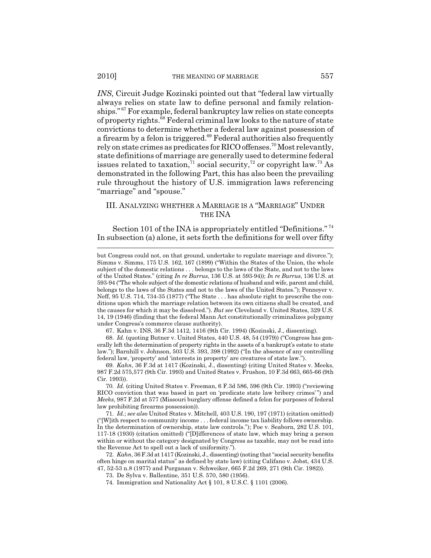*INS*, Circuit Judge Kozinski pointed out that "federal law virtually always relies on state law to define personal and family relationships." 67 For example, federal bankruptcy law relies on state concepts of property rights.68 Federal criminal law looks to the nature of state convictions to determine whether a federal law against possession of a firearm by a felon is triggered. $69$  Federal authorities also frequently rely on state crimes as predicates for RICO offenses.<sup>70</sup> Most relevantly, state definitions of marriage are generally used to determine federal issues related to taxation,  $\frac{71}{1}$  social security,  $\frac{72}{1}$  or copyright law.<sup>73</sup> As demonstrated in the following Part, this has also been the prevailing rule throughout the history of U.S. immigration laws referencing "marriage" and "spouse."

## III. ANALYZING WHETHER A MARRIAGE IS A "MARRIAGE" UNDER THE INA

Section 101 of the INA is appropriately entitled "Definitions."<sup>74</sup> In subsection (a) alone, it sets forth the definitions for well over fifty

67. Kahn v. INS, 36 F.3d 1412, 1416 (9th Cir. 1994) (Kozinski, J., dissenting).

68. *Id.* (quoting Butner v. United States, 440 U.S. 48, 54 (1979)) ("Congress has generally left the determination of property rights in the assets of a bankrupt's estate to state law."); Barnhill v. Johnson, 503 U.S. 393, 398 (1992) ("In the absence of any controlling federal law, 'property' and 'interests in property' are creatures of state law.").

but Congress could not, on that ground, undertake to regulate marriage and divorce."); Simms v. Simms, 175 U.S. 162, 167 (1899) ("Within the States of the Union, the whole subject of the domestic relations . . . belongs to the laws of the State, and not to the laws of the United States." (citing *In re Burrus*, 136 U.S. at 593-94)); *In re Burrus*, 136 U.S. at 593-94 ("The whole subject of the domestic relations of husband and wife, parent and child, belongs to the laws of the States and not to the laws of the United States."); Pennoyer v. Neff, 95 U.S. 714, 734-35 (1877) ("The State . . . has absolute right to prescribe the conditions upon which the marriage relation between its own citizens shall be created, and the causes for which it may be dissolved."). *But see* Cleveland v. United States, 329 U.S. 14, 19 (1946) (finding that the federal Mann Act constitutionally criminalizes polygamy under Congress's commerce clause authority).

<sup>69.</sup> *Kahn*, 36 F.3d at 1417 (Kozinski, J., dissenting) (citing United States v. Meeks, 987 F.2d 575,577 (9th Cir. 1993) and United States v. Frushon, 10 F.3d 663, 665-66 (9th Cir. 1993)).

<sup>70.</sup> *Id.* (citing United States v. Freeman, 6 F.3d 586, 596 (9th Cir. 1993) ("reviewing RICO conviction that was based in part on 'predicate state law bribery crimes' ") and *Meeks*, 987 F.2d at 577 (Missouri burglary offense defined a felon for purposes of federal law prohibiting firearms possession)).

<sup>71.</sup> *Id.*; *see also* United States v. Mitchell, 403 U.S. 190, 197 (1971) (citation omitted) ("[W]ith respect to community income . . . federal income tax liability follows ownership. In the determination of ownership, state law controls."); Poe v. Seaborn, 282 U.S. 101, 117-18 (1930) (citation omitted) ("[D]ifferences of state law, which may bring a person within or without the category designated by Congress as taxable, may not be read into the Revenue Act to spell out a lack of uniformity.").

<sup>72.</sup> *Kahn*, 36 F.3d at 1417 (Kozinski, J., dissenting) (noting that "social security benefits often hinge on marital status" as defined by state law) (citing Califano v. Jobst, 434 U.S. 47, 52-53 n.8 (1977) and Purganan v. Schweiker, 665 F.2d 269, 271 (9th Cir. 1982)).

<sup>73.</sup> De Sylva v. Ballentine, 351 U.S. 570, 580 (1956).

<sup>74.</sup> Immigration and Nationality Act § 101, 8 U.S.C. § 1101 (2006).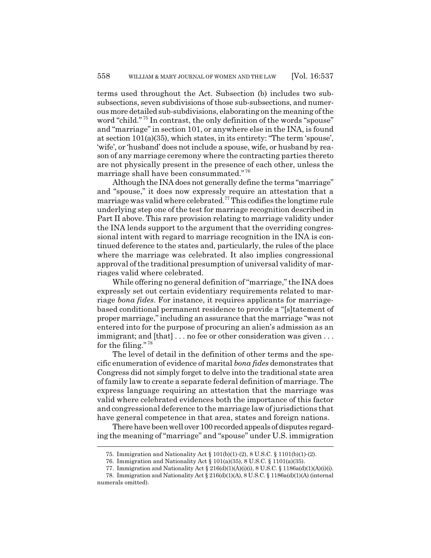terms used throughout the Act. Subsection (b) includes two subsubsections, seven subdivisions of those sub-subsections, and numerous more detailed sub-subdivisions, elaborating on the meaning of the word "child."<sup>75</sup> In contrast, the only definition of the words "spouse" and "marriage" in section 101, or anywhere else in the INA, is found at section 101(a)(35), which states, in its entirety: "The term 'spouse', 'wife', or 'husband' does not include a spouse, wife, or husband by reason of any marriage ceremony where the contracting parties thereto are not physically present in the presence of each other, unless the marriage shall have been consummated." <sup>76</sup>

Although the INA does not generally define the terms "marriage" and "spouse," it does now expressly require an attestation that a marriage was valid where celebrated.77 This codifies the longtime rule underlying step one of the test for marriage recognition described in Part II above. This rare provision relating to marriage validity under the INA lends support to the argument that the overriding congressional intent with regard to marriage recognition in the INA is continued deference to the states and, particularly, the rules of the place where the marriage was celebrated. It also implies congressional approval of the traditional presumption of universal validity of marriages valid where celebrated.

While offering no general definition of "marriage," the INA does expressly set out certain evidentiary requirements related to marriage *bona fides*. For instance, it requires applicants for marriagebased conditional permanent residence to provide a "[s]tatement of proper marriage," including an assurance that the marriage "was not entered into for the purpose of procuring an alien's admission as an immigrant; and [that] . . . no fee or other consideration was given . . . for the filing."<sup>78</sup>

The level of detail in the definition of other terms and the specific enumeration of evidence of marital *bona fides* demonstrates that Congress did not simply forget to delve into the traditional state area of family law to create a separate federal definition of marriage. The express language requiring an attestation that the marriage was valid where celebrated evidences both the importance of this factor and congressional deference to the marriage law of jurisdictions that have general competence in that area, states and foreign nations.

There have been well over 100 recorded appeals of disputes regarding the meaning of "marriage" and "spouse" under U.S. immigration

<sup>75.</sup> Immigration and Nationality Act § 101(b)(1)-(2), 8 U.S.C. § 1101(b)(1)-(2).

<sup>76.</sup> Immigration and Nationality Act § 101(a)(35), 8 U.S.C. § 1101(a)(35).

<sup>77.</sup> Immigration and Nationality Act § 216(d)(1)(A)(i)(i), 8 U.S.C. § 1186a(d)(1)(A)(i)(i).

<sup>78.</sup> Immigration and Nationality Act § 216(d)(1)(A), 8 U.S.C. § 1186a(d)(1)(A) (internal numerals omitted).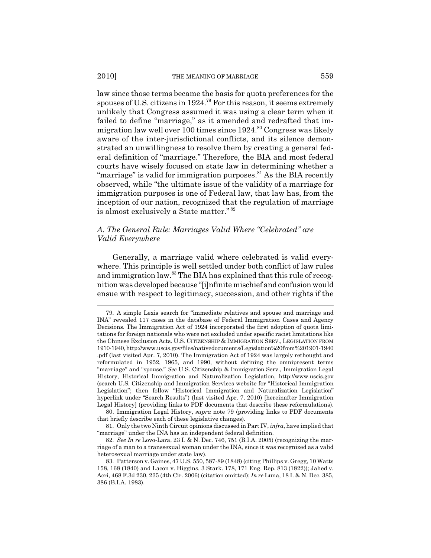#### 2010] THE MEANING OF MARRIAGE 559

law since those terms became the basis for quota preferences for the spouses of U.S. citizens in 1924.79 For this reason, it seems extremely unlikely that Congress assumed it was using a clear term when it failed to define "marriage," as it amended and redrafted that immigration law well over 100 times since  $1924$ .<sup>80</sup> Congress was likely aware of the inter-jurisdictional conflicts, and its silence demonstrated an unwillingness to resolve them by creating a general federal definition of "marriage." Therefore, the BIA and most federal courts have wisely focused on state law in determining whether a "marriage" is valid for immigration purposes.<sup>81</sup> As the BIA recently observed, while "the ultimate issue of the validity of a marriage for immigration purposes is one of Federal law, that law has, from the inception of our nation, recognized that the regulation of marriage is almost exclusively a State matter." <sup>82</sup>

## *A. The General Rule: Marriages Valid Where "Celebrated" are Valid Everywhere*

Generally, a marriage valid where celebrated is valid everywhere. This principle is well settled under both conflict of law rules and immigration law.83 The BIA has explained that this rule of recognition was developed because "[i]nfinite mischief and confusion would ensue with respect to legitimacy, succession, and other rights if the

<sup>79.</sup> A simple Lexis search for "immediate relatives and spouse and marriage and INA" revealed 117 cases in the database of Federal Immigration Cases and Agency Decisions. The Immigration Act of 1924 incorporated the first adoption of quota limitations for foreign nationals who were not excluded under specific racist limitations like the Chinese Exclusion Acts. U.S. CITIZENSHIP & IMMIGRATION SERV., LEGISLATION FROM 1910-1940, http://www.uscis.gov/files/nativedocuments/Legislation%20from%201901-1940 .pdf (last visited Apr. 7, 2010). The Immigration Act of 1924 was largely rethought and reformulated in 1952, 1965, and 1990, without defining the omnipresent terms "marriage" and "spouse." *See* U.S. Citizenship & Immigration Serv., Immigration Legal History, Historical Immigration and Naturalization Legislation, http://www.uscis.gov (search U.S. Citizenship and Immigration Services website for "Historical Immigration Legislation"; then follow "Historical Immigration and Naturalization Legislation" hyperlink under "Search Results") (last visited Apr. 7, 2010) [hereinafter Immigration Legal History] (providing links to PDF documents that describe these reformulations).

<sup>80.</sup> Immigration Legal History, *supra* note 79 (providing links to PDF documents that briefly describe each of these legislative changes).

<sup>81.</sup> Only the two Ninth Circuit opinions discussed in Part IV, *infra*, have implied that "marriage" under the INA has an independent federal definition.

<sup>82.</sup> *See In re* Lovo-Lara, 23 I. & N. Dec. 746, 751 (B.I.A. 2005) (recognizing the marriage of a man to a transsexual woman under the INA, since it was recognized as a valid heterosexual marriage under state law).

<sup>83.</sup> Patterson v. Gaines, 47 U.S. 550, 587-89 (1848) (citing Phillips v. Gregg, 10 Watts 158, 168 (1840) and Lacon v. Higgins, 3 Stark. 178, 171 Eng. Rep. 813 (1822)); Jahed v. Acri, 468 F.3d 230, 235 (4th Cir. 2006) (citation omitted); *In re* Luna, 18 I. & N. Dec. 385, 386 (B.I.A. 1983).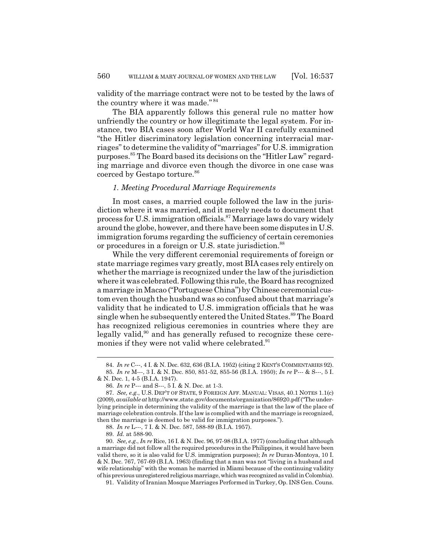validity of the marriage contract were not to be tested by the laws of the country where it was made." <sup>84</sup>

The BIA apparently follows this general rule no matter how unfriendly the country or how illegitimate the legal system. For instance, two BIA cases soon after World War II carefully examined "the Hitler discriminatory legislation concerning interracial marriages" to determine the validity of "marriages" for U.S. immigration purposes.85 The Board based its decisions on the "Hitler Law" regarding marriage and divorce even though the divorce in one case was coerced by Gestapo torture.<sup>86</sup>

## *1. Meeting Procedural Marriage Requirements*

In most cases, a married couple followed the law in the jurisdiction where it was married, and it merely needs to document that process for U.S. immigration officials.87 Marriage laws do vary widely around the globe, however, and there have been some disputes in U.S. immigration forums regarding the sufficiency of certain ceremonies or procedures in a foreign or U.S. state jurisdiction.<sup>88</sup>

While the very different ceremonial requirements of foreign or state marriage regimes vary greatly, most BIA cases rely entirely on whether the marriage is recognized under the law of the jurisdiction where it was celebrated. Following this rule, the Board has recognized a marriage in Macao ("Portuguese China") by Chinese ceremonial custom even though the husband was so confused about that marriage's validity that he indicated to U.S. immigration officials that he was single when he subsequently entered the United States.<sup>89</sup> The Board has recognized religious ceremonies in countries where they are legally valid,<sup>90</sup> and has generally refused to recognize these ceremonies if they were not valid where celebrated.<sup>91</sup>

91. Validity of Iranian Mosque Marriages Performed in Turkey, Op. INS Gen. Couns.

<sup>84.</sup> *In re* C---, 4 I. & N. Dec. 632, 636 (B.I.A. 1952) (citing 2 KENT'S COMMENTARIES 92).

<sup>85.</sup> *In re* M---, 3 I. & N. Dec. 850, 851-52, 855-56 (B.I.A. 1950); *In re* P--- & S---, 5 I. & N. Dec. 1, 4-5 (B.I.A. 1947).

<sup>86.</sup> *In re* P--- and S---, 5 I. & N. Dec. at 1-3.

<sup>87.</sup> *See, e.g.*, U.S. DEP'T OF STATE, 9 FOREIGN AFF. MANUAL: VISAS, 40.1 NOTES 1.1(c) (2009), *available at* http://www.state.gov/documents/organization/86920.pdf ("The underlying principle in determining the validity of the marriage is that the law of the place of marriage celebration controls. If the law is complied with and the marriage is recognized, then the marriage is deemed to be valid for immigration purposes.").

<sup>88.</sup> *In re* L---, 7 I. & N. Dec. 587, 588-89 (B.I.A. 1957).

<sup>89.</sup> *Id.* at 588-90.

<sup>90.</sup> *See, e.g.*, *In re* Rice, 16 I. & N. Dec. 96, 97-98 (B.I.A. 1977) (concluding that although a marriage did not follow all the required procedures in the Philippines, it would have been valid there, so it is also valid for U.S. immigration purposes); *In re* Duran-Montoya, 10 I. & N. Dec. 767, 767-69 (B.I.A. 1963) (finding that a man was not "living in a husband and wife relationship" with the woman he married in Miami because of the continuing validity of his previous unregistered religious marriage, which was recognized as valid in Colombia).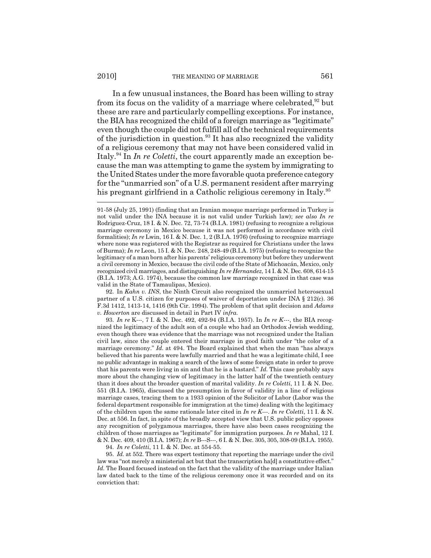In a few unusual instances, the Board has been willing to stray from its focus on the validity of a marriage where celebrated,  $92$  but these are rare and particularly compelling exceptions. For instance, the BIA has recognized the child of a foreign marriage as "legitimate" even though the couple did not fulfill all of the technical requirements of the jurisdiction in question. $93$  It has also recognized the validity of a religious ceremony that may not have been considered valid in Italy.94 In *In re Coletti*, the court apparently made an exception because the man was attempting to game the system by immigrating to the United States under the more favorable quota preference category for the "unmarried son" of a U.S. permanent resident after marrying his pregnant girlfriend in a Catholic religious ceremony in Italy.<sup>95</sup>

92. In *Kahn v. INS*, the Ninth Circuit also recognized the unmarried heterosexual partner of a U.S. citizen for purposes of waiver of deportation under INA § 212(c). 36 F.3d 1412, 1413-14, 1416 (9th Cir. 1994). The problem of that split decision and *Adams v. Howerton* are discussed in detail in Part IV *infra*.

93. *In re* K---, 7 I. & N. Dec. 492, 492-94 (B.I.A. 1957). In *In re K---*, the BIA recognized the legitimacy of the adult son of a couple who had an Orthodox Jewish wedding, even though there was evidence that the marriage was not recognized under the Italian civil law, since the couple entered their marriage in good faith under "the color of a marriage ceremony." *Id.* at 494. The Board explained that when the man "has always believed that his parents were lawfully married and that he was a legitimate child, I see no public advantage in making a search of the laws of some foreign state in order to prove that his parents were living in sin and that he is a bastard." *Id.* This case probably says more about the changing view of legitimacy in the latter half of the twentieth century than it does about the broader question of marital validity. *In re Coletti*, 11 I. & N. Dec. 551 (B.I.A. 1965), discussed the presumption in favor of validity in a line of religious marriage cases, tracing them to a 1933 opinion of the Solicitor of Labor (Labor was the federal department responsible for immigration at the time) dealing with the legitimacy of the children upon the same rationale later cited in *In re K---*. *In re Coletti*, 11 I. & N. Dec. at 556. In fact, in spite of the broadly accepted view that U.S. public policy opposes any recognition of polygamous marriages, there have also been cases recognizing the children of those marriages as "legitimate" for immigration purposes. *In re* Mahal, 12 I. & N. Dec. 409, 410 (B.I.A. 1967); *In re* B---S---, 6 I. & N. Dec. 305, 305, 308-09 (B.I.A. 1955).

94. *In re Coletti*, 11 I. & N. Dec. at 554-55.

95. *Id.* at 552. There was expert testimony that reporting the marriage under the civil law was "not merely a ministerial act but that the transcription ha[d] a constitutive effect." *Id.* The Board focused instead on the fact that the validity of the marriage under Italian law dated back to the time of the religious ceremony once it was recorded and on its conviction that:

<sup>91-58 (</sup>July 25, 1991) (finding that an Iranian mosque marriage performed in Turkey is not valid under the INA because it is not valid under Turkish law); *see also In re* Rodriguez-Cruz, 18 I. & N. Dec. 72, 73-74 (B.I.A. 1981) (refusing to recognize a religious marriage ceremony in Mexico because it was not performed in accordance with civil formalities); *In re* Lwin, 16 I. & N. Dec. 1, 2 (B.I.A. 1976) (refusing to recognize marriage where none was registered with the Registrar as required for Christians under the laws of Burma); *In re* Leon, 15 I. & N. Dec. 248, 248-49 (B.I.A. 1975) (refusing to recognize the legitimacy of a man born after his parents' religious ceremony but before they underwent a civil ceremony in Mexico, because the civil code of the State of Michoacán, Mexico, only recognized civil marriages, and distinguishing *In re Hernandez*, 14 I. & N. Dec. 608, 614-15 (B.I.A. 1973; A.G. 1974), because the common law marriage recognized in that case was valid in the State of Tamaulipas, Mexico).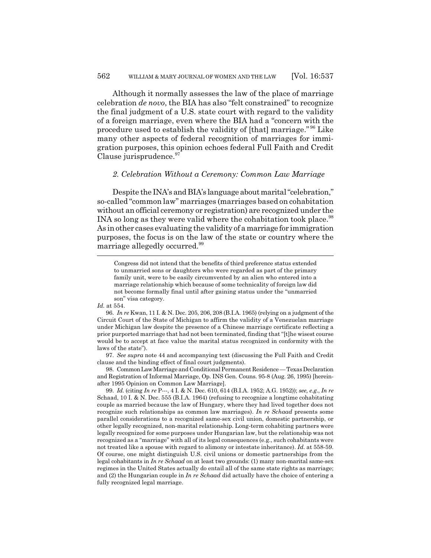Although it normally assesses the law of the place of marriage celebration *de novo*, the BIA has also "felt constrained" to recognize the final judgment of a U.S. state court with regard to the validity of a foreign marriage, even where the BIA had a "concern with the procedure used to establish the validity of [that] marriage." 96 Like many other aspects of federal recognition of marriages for immigration purposes, this opinion echoes federal Full Faith and Credit Clause jurisprudence.<sup>97</sup>

#### *2. Celebration Without a Ceremony: Common Law Marriage*

Despite the INA's and BIA's language about marital "celebration," so-called "common law" marriages (marriages based on cohabitation without an official ceremony or registration) are recognized under the INA so long as they were valid where the cohabitation took place.<sup>98</sup> As in other cases evaluating the validity of a marriage for immigration purposes, the focus is on the law of the state or country where the marriage allegedly occurred.99

*Id.* at 554.

97. *See supra* note 44 and accompanying text (discussing the Full Faith and Credit clause and the binding effect of final court judgments).

98. Common Law Marriage and Conditional Permanent Residence — Texas Declaration and Registration of Informal Marriage, Op. INS Gen. Couns. 95-8 (Aug. 26, 1995) [hereinafter 1995 Opinion on Common Law Marriage].

99. *Id.* (citing *In re* P---, 4 I. & N. Dec. 610, 614 (B.I.A. 1952; A.G. 1952)); *see, e.g.*, *In re* Schaad, 10 I. & N. Dec. 555 (B.I.A. 1964) (refusing to recognize a longtime cohabitating couple as married because the law of Hungary, where they had lived together does not recognize such relationships as common law marriages). *In re Schaad* presents some parallel considerations to a recognized same-sex civil union, domestic partnership, or other legally recognized, non-marital relationship. Long-term cohabiting partners were legally recognized for some purposes under Hungarian law, but the relationship was not recognized as a "marriage" with all of its legal consequences (e.g., such cohabitants were not treated like a spouse with regard to alimony or intestate inheritance). *Id.* at 558-59. Of course, one might distinguish U.S. civil unions or domestic partnerships from the legal cohabitants in *In re Schaad* on at least two grounds: (1) many non-marital same-sex regimes in the United States actually do entail all of the same state rights as marriage; and (2) the Hungarian couple in *In re Schaad* did actually have the choice of entering a fully recognized legal marriage.

Congress did not intend that the benefits of third preference status extended to unmarried sons or daughters who were regarded as part of the primary family unit, were to be easily circumvented by an alien who entered into a marriage relationship which because of some technicality of foreign law did not become formally final until after gaining status under the "unmarried son" visa category.

<sup>96.</sup> *In re* Kwan, 11 I. & N. Dec. 205, 206, 208 (B.I.A. 1965) (relying on a judgment of the Circuit Court of the State of Michigan to affirm the validity of a Venezuelan marriage under Michigan law despite the presence of a Chinese marriage certificate reflecting a prior purported marriage that had not been terminated, finding that "[t]he wisest course would be to accept at face value the marital status recognized in conformity with the laws of the state").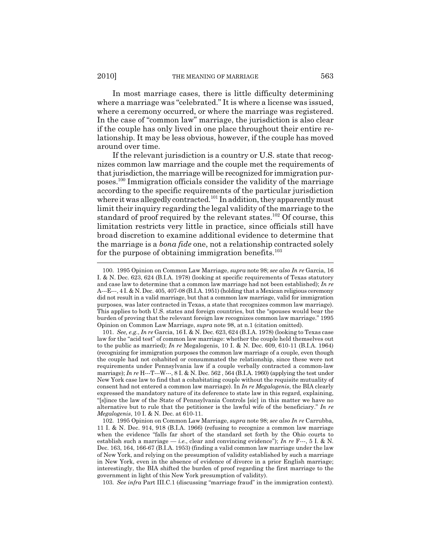In most marriage cases, there is little difficulty determining where a marriage was "celebrated." It is where a license was issued, where a ceremony occurred, or where the marriage was registered. In the case of "common law" marriage, the jurisdiction is also clear if the couple has only lived in one place throughout their entire relationship. It may be less obvious, however, if the couple has moved around over time.

If the relevant jurisdiction is a country or U.S. state that recognizes common law marriage and the couple met the requirements of that jurisdiction, the marriage will be recognized for immigration purposes.100 Immigration officials consider the validity of the marriage according to the specific requirements of the particular jurisdiction where it was allegedly contracted.<sup>101</sup> In addition, they apparently must limit their inquiry regarding the legal validity of the marriage to the standard of proof required by the relevant states.<sup>102</sup> Of course, this limitation restricts very little in practice, since officials still have broad discretion to examine additional evidence to determine that the marriage is a *bona fide* one, not a relationship contracted solely for the purpose of obtaining immigration benefits.<sup>103</sup>

103. *See infra* Part III.C.1 (discussing "marriage fraud" in the immigration context).

<sup>100. 1995</sup> Opinion on Common Law Marriage, *supra* note 98; *see also In re* Garcia, 16 I. & N. Dec. 623, 624 (B.I.A. 1978) (looking at specific requirements of Texas statutory and case law to determine that a common law marriage had not been established); *In re* A---E---, 4 I. & N. Dec. 405, 407-08 (B.I.A. 1951) (holding that a Mexican religious ceremony did not result in a valid marriage, but that a common law marriage, valid for immigration purposes, was later contracted in Texas, a state that recognizes common law marriage). This applies to both U.S. states and foreign countries, but the "spouses would bear the burden of proving that the relevant foreign law recognizes common law marriage." 1995 Opinion on Common Law Marriage, *supra* note 98, at n.1 (citation omitted).

<sup>101.</sup> *See, e.g.*, *In re* Garcia, 16 I. & N. Dec. 623, 624 (B.I.A. 1978) (looking to Texas case law for the "acid test" of common law marriage: whether the couple held themselves out to the public as married); *In re* Megalogenis, 10 I. & N. Dec. 609, 610-11 (B.I.A. 1964) (recognizing for immigration purposes the common law marriage of a couple, even though the couple had not cohabited or consummated the relationship, since these were not requirements under Pennsylvania law if a couple verbally contracted a common-law marriage); *In re* H---T---W---, 8 I. & N. Dec. 562 , 564 (B.I.A. 1960) (applying the test under New York case law to find that a cohabitating couple without the requisite mutuality of consent had not entered a common law marriage). In *In re Megalogenis*, the BIA clearly expressed the mandatory nature of its deference to state law in this regard, explaining, "[s]ince the law of the State of Pennsylvania Controls [sic] in this matter we have no alternative but to rule that the petitioner is the lawful wife of the beneficiary." *In re Megalogenis*, 10 I. & N. Dec. at 610-11.

<sup>102. 1995</sup> Opinion on Common Law Marriage, *supra* note 98; *see also In re* Carrubba, 11 I. & N. Dec. 914, 918 (B.I.A. 1966) (refusing to recognize a common law marriage when the evidence "falls far short of the standard set forth by the Ohio courts to establish such a marriage — *i.e.*, clear and convincing evidence"); *In re* F---, 5 I. & N. Dec. 163, 164, 166-67 (B.I.A. 1953) (finding a valid common law marriage under the law of New York, and relying on the presumption of validity established by such a marriage in New York, even in the absence of evidence of divorce in a prior English marriage; interestingly, the BIA shifted the burden of proof regarding the first marriage to the government in light of this New York presumption of validity).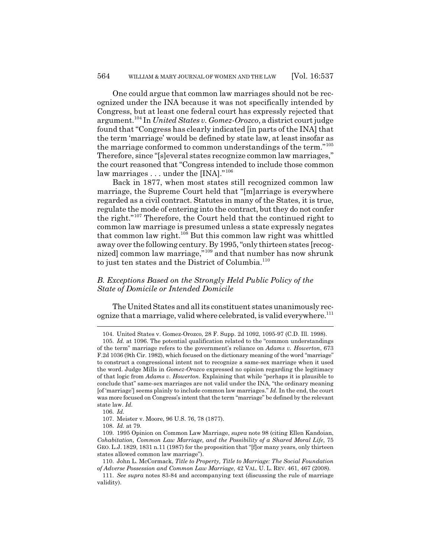One could argue that common law marriages should not be recognized under the INA because it was not specifically intended by Congress, but at least one federal court has expressly rejected that argument.104 In *United States v. Gomez-Orozco*, a district court judge found that "Congress has clearly indicated [in parts of the INA] that the term 'marriage' would be defined by state law, at least insofar as the marriage conformed to common understandings of the term."<sup>105</sup> Therefore, since "[s]everal states recognize common law marriages," the court reasoned that "Congress intended to include those common law marriages . . . under the [INA]."<sup>106</sup>

Back in 1877, when most states still recognized common law marriage, the Supreme Court held that "[m]arriage is everywhere regarded as a civil contract. Statutes in many of the States, it is true, regulate the mode of entering into the contract, but they do not confer the right."107 Therefore, the Court held that the continued right to common law marriage is presumed unless a state expressly negates that common law right.<sup>108</sup> But this common law right was whittled away over the following century. By 1995, "only thirteen states [recognized] common law marriage,"109 and that number has now shrunk to just ten states and the District of Columbia.<sup>110</sup>

## *B. Exceptions Based on the Strongly Held Public Policy of the State of Domicile or Intended Domicile*

The United States and all its constituent states unanimously recognize that a marriage, valid where celebrated, is valid everywhere.<sup>111</sup>

108. *Id.* at 79.

<sup>104.</sup> United States v. Gomez-Orozco, 28 F. Supp. 2d 1092, 1095-97 (C.D. Ill. 1998).

<sup>105.</sup> *Id.* at 1096. The potential qualification related to the "common understandings of the term" marriage refers to the government's reliance on *Adams v. Howerton*, 673 F.2d 1036 (9th Cir. 1982), which focused on the dictionary meaning of the word "marriage" to construct a congressional intent not to recognize a same-sex marriage when it used the word. Judge Mills in *Gomez-Orozco* expressed no opinion regarding the legitimacy of that logic from *Adams v. Howerton*. Explaining that while "perhaps it is plausible to conclude that" same-sex marriages are not valid under the INA, "the ordinary meaning [of 'marriage'] seems plainly to include common law marriages." *Id.* In the end, the court was more focused on Congress's intent that the term "marriage" be defined by the relevant state law. *Id.*

<sup>106.</sup> *Id.*

<sup>107.</sup> Meister v. Moore, 96 U.S. 76, 78 (1877).

<sup>109. 1995</sup> Opinion on Common Law Marriage, *supra* note 98 (citing Ellen Kandoian, *Cohabitation, Common Law Marriage, and the Possibility of a Shared Moral Life*, 75 GEO. L.J. 1829, 1831 n.11 (1987) for the proposition that "[f]or many years, only thirteen states allowed common law marriage").

<sup>110.</sup> John L. McCormack, *Title to Property, Title to Marriage: The Social Foundation of Adverse Possession and Common Law Marriage*, 42 VAL. U. L. REV. 461, 467 (2008).

<sup>111.</sup> *See supra* notes 83-84 and accompanying text (discussing the rule of marriage validity).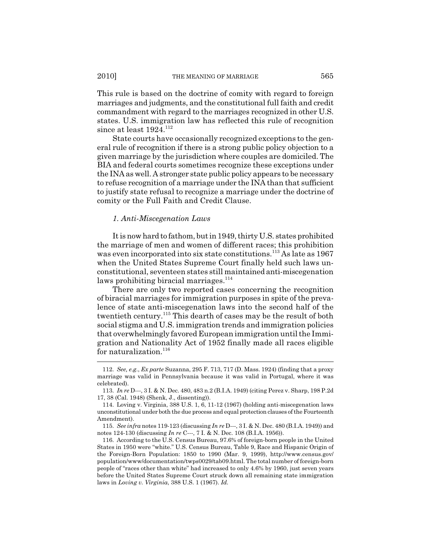This rule is based on the doctrine of comity with regard to foreign marriages and judgments, and the constitutional full faith and credit commandment with regard to the marriages recognized in other U.S. states. U.S. immigration law has reflected this rule of recognition since at least  $1924$ <sup>112</sup>

State courts have occasionally recognized exceptions to the general rule of recognition if there is a strong public policy objection to a given marriage by the jurisdiction where couples are domiciled. The BIA and federal courts sometimes recognize these exceptions under the INA as well. A stronger state public policy appears to be necessary to refuse recognition of a marriage under the INA than that sufficient to justify state refusal to recognize a marriage under the doctrine of comity or the Full Faith and Credit Clause.

#### *1. Anti-Miscegenation Laws*

It is now hard to fathom, but in 1949, thirty U.S. states prohibited the marriage of men and women of different races; this prohibition was even incorporated into six state constitutions.<sup>113</sup> As late as 1967 when the United States Supreme Court finally held such laws unconstitutional, seventeen states still maintained anti-miscegenation laws prohibiting biracial marriages. $114$ 

There are only two reported cases concerning the recognition of biracial marriages for immigration purposes in spite of the prevalence of state anti-miscegenation laws into the second half of the twentieth century.<sup>115</sup> This dearth of cases may be the result of both social stigma and U.S. immigration trends and immigration policies that overwhelmingly favored European immigration until the Immigration and Nationality Act of 1952 finally made all races eligible for naturalization.<sup>116</sup>

<sup>112.</sup> *See, e.g.*, *Ex parte* Suzanna, 295 F. 713, 717 (D. Mass. 1924) (finding that a proxy marriage was valid in Pennsylvania because it was valid in Portugal, where it was celebrated).

<sup>113.</sup> *In re* D---, 3 I. & N. Dec. 480, 483 n.2 (B.I.A. 1949) (citing Perez v. Sharp, 198 P.2d 17, 38 (Cal. 1948) (Shenk, J., dissenting)).

<sup>114.</sup> Loving v. Virginia, 388 U.S. 1, 6, 11-12 (1967) (holding anti-miscegenation laws unconstitutional under both the due process and equal protection clauses of the Fourteenth Amendment).

<sup>115.</sup> *See infra* notes 119-123 (discussing *In re* D---, 3 I. & N. Dec. 480 (B.I.A. 1949)) and notes 124-130 (discussing *In re* C---, 7 I. & N. Dec. 108 (B.I.A. 1956)).

<sup>116.</sup> According to the U.S. Census Bureau, 97.6% of foreign-born people in the United States in 1950 were "white." U.S. Census Bureau, Table 9, Race and Hispanic Origin of the Foreign-Born Population: 1850 to 1990 (Mar. 9, 1999), http://www.census.gov/ population/www/documentation/twps0029/tab09.html. The total number of foreign-born people of "races other than white" had increased to only 4.6% by 1960, just seven years before the United States Supreme Court struck down all remaining state immigration laws in *Loving v. Virginia*, 388 U.S. 1 (1967). *Id.*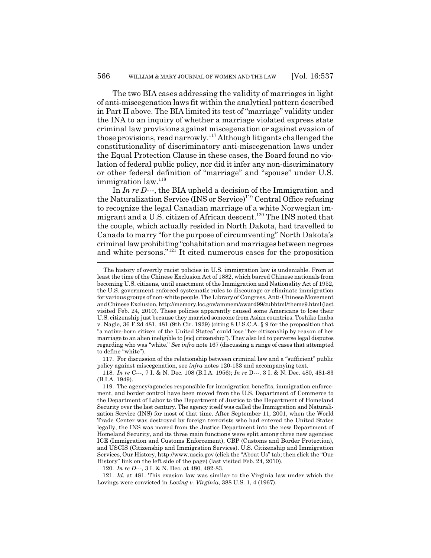The two BIA cases addressing the validity of marriages in light of anti-miscegenation laws fit within the analytical pattern described in Part II above. The BIA limited its test of "marriage" validity under the INA to an inquiry of whether a marriage violated express state criminal law provisions against miscegenation or against evasion of those provisions, read narrowly.117 Although litigants challenged the constitutionality of discriminatory anti-miscegenation laws under the Equal Protection Clause in these cases, the Board found no violation of federal public policy, nor did it infer any non-discriminatory or other federal definition of "marriage" and "spouse" under U.S. immigration law.<sup>118</sup>

In *In re D---*, the BIA upheld a decision of the Immigration and the Naturalization Service  $($ INS or Service)<sup>119</sup> Central Office refusing to recognize the legal Canadian marriage of a white Norwegian immigrant and a U.S. citizen of African descent.<sup>120</sup> The INS noted that the couple, which actually resided in North Dakota, had travelled to Canada to marry "for the purpose of circumventing" North Dakota's criminal law prohibiting "cohabitation and marriages between negroes and white persons."121 It cited numerous cases for the proposition

117. For discussion of the relationship between criminal law and a "sufficient" public policy against miscegenation, see *infra* notes 120-133 and accompanying text.

120. *In re D---*, 3 I. & N. Dec. at 480, 482-83.

121. *Id.* at 481. This evasion law was similar to the Virginia law under which the Lovings were convicted in *Loving v. Virginia*, 388 U.S. 1, 4 (1967).

The history of overtly racist policies in U.S. immigration law is undeniable. From at least the time of the Chinese Exclusion Act of 1882, which barred Chinese nationals from becoming U.S. citizens, until enactment of the Immigration and Nationality Act of 1952, the U.S. government enforced systematic rules to discourage or eliminate immigration for various groups of non-white people. The Library of Congress, Anti-Chinese Movement and Chinese Exclusion, http://memory.loc.gov/ammem/award99/cubhtml/theme9.html (last visited Feb. 24, 2010). These policies apparently caused some Americans to lose their U.S. citizenship just because they married someone from Asian countries. Toshiko Inaba v. Nagle, 36 F.2d 481, 481 (9th Cir. 1929) (citing 8 U.S.C.A. § 9 for the proposition that "a native-born citizen of the United States" could lose "her citizenship by reason of her marriage to an alien ineligible to [sic] citizenship"). They also led to perverse legal disputes regarding who was "white." *See infra* note 167 (discussing a range of cases that attempted to define "white").

<sup>118.</sup> *In re* C---, 7 I. & N. Dec. 108 (B.I.A. 1956); *In re* D---, 3 I. & N. Dec. 480, 481-83 (B.I.A. 1949).

<sup>119.</sup> The agency/agencies responsible for immigration benefits, immigration enforcement, and border control have been moved from the U.S. Department of Commerce to the Department of Labor to the Department of Justice to the Department of Homeland Security over the last century. The agency itself was called the Immigration and Naturalization Service (INS) for most of that time. After September 11, 2001, when the World Trade Center was destroyed by foreign terrorists who had entered the United States legally, the INS was moved from the Justice Department into the new Department of Homeland Security, and its three main functions were split among three new agencies: ICE (Immigration and Customs Enforcement), CBP (Customs and Border Protection), and USCIS (Citizenship and Immigration Services). U.S. Citizenship and Immigration Services, Our History, http://www.uscis.gov (click the "About Us" tab; then click the "Our History" link on the left side of the page) (last visited Feb. 24, 2010).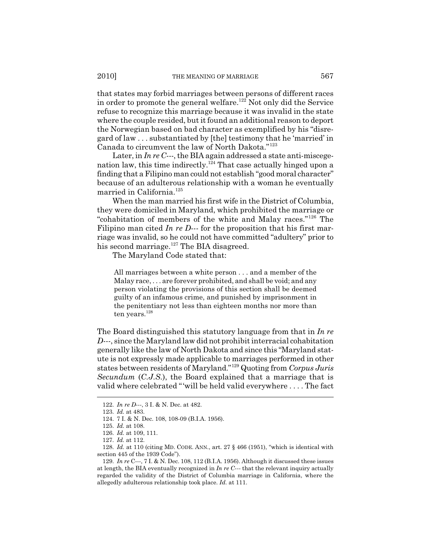that states may forbid marriages between persons of different races in order to promote the general welfare.<sup>122</sup> Not only did the Service refuse to recognize this marriage because it was invalid in the state where the couple resided, but it found an additional reason to deport the Norwegian based on bad character as exemplified by his "disregard of law . . . substantiated by [the] testimony that he 'married' in Canada to circumvent the law of North Dakota."<sup>123</sup>

Later, in *In re C---*, the BIA again addressed a state anti-miscegenation law, this time indirectly.<sup>124</sup> That case actually hinged upon a finding that a Filipino man could not establish "good moral character" because of an adulterous relationship with a woman he eventually married in California.<sup>125</sup>

When the man married his first wife in the District of Columbia, they were domiciled in Maryland, which prohibited the marriage or "cohabitation of members of the white and Malay races."126 The Filipino man cited *In re D---* for the proposition that his first marriage was invalid, so he could not have committed "adultery" prior to his second marriage. $127$  The BIA disagreed.

The Maryland Code stated that:

All marriages between a white person . . . and a member of the Malay race, . . . are forever prohibited, and shall be void; and any person violating the provisions of this section shall be deemed guilty of an infamous crime, and punished by imprisonment in the penitentiary not less than eighteen months nor more than ten years.<sup>128</sup>

The Board distinguished this statutory language from that in *In re D---*, since the Maryland law did not prohibit interracial cohabitation generally like the law of North Dakota and since this "Maryland statute is not expressly made applicable to marriages performed in other states between residents of Maryland."129 Quoting from *Corpus Juris Secundum* (*C.J.S.*), the Board explained that a marriage that is valid where celebrated "'will be held valid everywhere . . . . The fact

<sup>122.</sup> *In re D---*, 3 I. & N. Dec. at 482.

<sup>123.</sup> *Id.* at 483.

<sup>124. 7</sup> I. & N. Dec. 108, 108-09 (B.I.A. 1956).

<sup>125.</sup> *Id.* at 108.

<sup>126.</sup> *Id.* at 109, 111.

<sup>127.</sup> *Id.* at 112.

<sup>128.</sup> *Id.* at 110 (citing MD. CODE. ANN., art. 27 § 466 (1951), "which is identical with section 445 of the 1939 Code").

<sup>129.</sup> *In re* C---, 7 I. & N. Dec. 108, 112 (B.I.A. 1956). Although it discussed these issues at length, the BIA eventually recognized in *In re C---* that the relevant inquiry actually regarded the validity of the District of Columbia marriage in California, where the allegedly adulterous relationship took place. *Id.* at 111.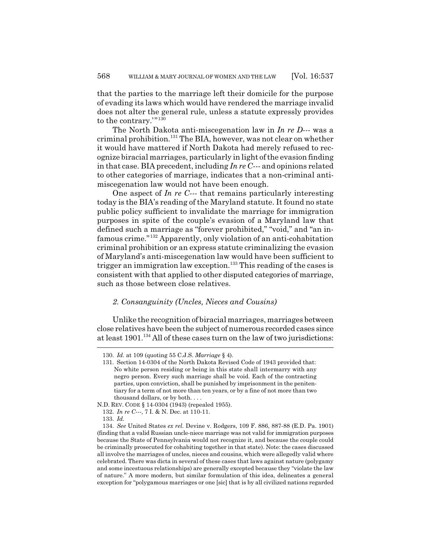that the parties to the marriage left their domicile for the purpose of evading its laws which would have rendered the marriage invalid does not alter the general rule, unless a statute expressly provides to the contrary.'"<sup>130</sup>

The North Dakota anti-miscegenation law in *In re D---* was a criminal prohibition.131 The BIA, however, was not clear on whether it would have mattered if North Dakota had merely refused to recognize biracial marriages, particularly in light of the evasion finding in that case. BIA precedent, including *In re C---* and opinions related to other categories of marriage, indicates that a non-criminal antimiscegenation law would not have been enough.

One aspect of *In re C---* that remains particularly interesting today is the BIA's reading of the Maryland statute. It found no state public policy sufficient to invalidate the marriage for immigration purposes in spite of the couple's evasion of a Maryland law that defined such a marriage as "forever prohibited," "void," and "an infamous crime."132 Apparently, only violation of an anti-cohabitation criminal prohibition or an express statute criminalizing the evasion of Maryland's anti-miscegenation law would have been sufficient to trigger an immigration law exception.<sup>133</sup> This reading of the cases is consistent with that applied to other disputed categories of marriage, such as those between close relatives.

## *2. Consanguinity (Uncles, Nieces and Cousins)*

Unlike the recognition of biracial marriages, marriages between close relatives have been the subject of numerous recorded cases since at least 1901.134 All of these cases turn on the law of two jurisdictions:

<sup>130.</sup> *Id.* at 109 (quoting 55 C.J.S. *Marriage* § 4).

<sup>131.</sup> Section 14-0304 of the North Dakota Revised Code of 1943 provided that: No white person residing or being in this state shall intermarry with any negro person. Every such marriage shall be void. Each of the contracting parties, upon conviction, shall be punished by imprisonment in the penitentiary for a term of not more than ten years, or by a fine of not more than two thousand dollars, or by both. . . .

N.D. REV. CODE § 14-0304 (1943) (repealed 1955).

<sup>132.</sup> *In re C---*, 7 I. & N. Dec. at 110-11.

<sup>133.</sup> *Id.*

<sup>134.</sup> *See* United States *ex rel.* Devine v. Rodgers, 109 F. 886, 887-88 (E.D. Pa. 1901) (finding that a valid Russian uncle-niece marriage was not valid for immigration purposes because the State of Pennsylvania would not recognize it, and because the couple could be criminally prosecuted for cohabiting together in that state). Note: the cases discussed all involve the marriages of uncles, nieces and cousins, which were allegedly valid where celebrated. There was dicta in several of these cases that laws against nature (polygamy and some incestuous relationships) are generally excepted because they "violate the law of nature." A more modern, but similar formulation of this idea, delineates a general exception for "polygamous marriages or one [sic] that is by all civilized nations regarded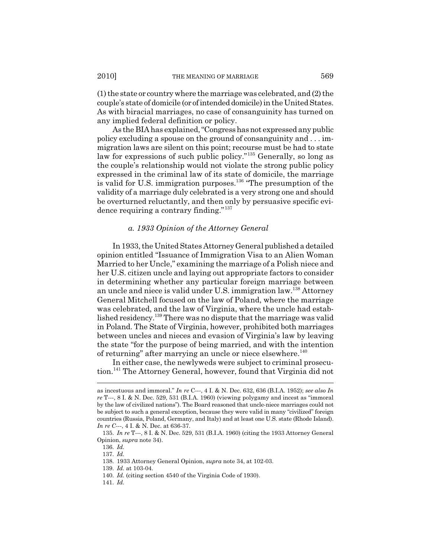(1) the state or country where the marriage was celebrated, and (2) the couple's state of domicile (or of intended domicile) in the United States. As with biracial marriages, no case of consanguinity has turned on any implied federal definition or policy.

As the BIA has explained, "Congress has not expressed any public policy excluding a spouse on the ground of consanguinity and . . . immigration laws are silent on this point; recourse must be had to state law for expressions of such public policy."<sup>135</sup> Generally, so long as the couple's relationship would not violate the strong public policy expressed in the criminal law of its state of domicile, the marriage is valid for U.S. immigration purposes.<sup>136</sup> "The presumption of the validity of a marriage duly celebrated is a very strong one and should be overturned reluctantly, and then only by persuasive specific evidence requiring a contrary finding."<sup>137</sup>

#### *a. 1933 Opinion of the Attorney General*

In 1933, the United States Attorney General published a detailed opinion entitled "Issuance of Immigration Visa to an Alien Woman Married to her Uncle," examining the marriage of a Polish niece and her U.S. citizen uncle and laying out appropriate factors to consider in determining whether any particular foreign marriage between an uncle and niece is valid under U.S. immigration law.138 Attorney General Mitchell focused on the law of Poland, where the marriage was celebrated, and the law of Virginia, where the uncle had established residency.139 There was no dispute that the marriage was valid in Poland. The State of Virginia, however, prohibited both marriages between uncles and nieces and evasion of Virginia's law by leaving the state "for the purpose of being married, and with the intention of returning" after marrying an uncle or niece elsewhere.<sup>140</sup>

In either case, the newlyweds were subject to criminal prosecution.141 The Attorney General, however, found that Virginia did not

as incestuous and immoral." *In re* C---, 4 I. & N. Dec. 632, 636 (B.I.A. 1952); *see also In re* T---, 8 I. & N. Dec. 529, 531 (B.I.A. 1960) (viewing polygamy and incest as "immoral by the law of civilized nations"). The Board reasoned that uncle-niece marriages could not be subject to such a general exception, because they were valid in many "civilized" foreign countries (Russia, Poland, Germany, and Italy) and at least one U.S. state (Rhode Island). *In re C---*, 4 I. & N. Dec. at 636-37.

<sup>135.</sup> *In re* T---, 8 I. & N. Dec. 529, 531 (B.I.A. 1960) (citing the 1933 Attorney General Opinion, *supra* note 34).

<sup>136.</sup> *Id.*

<sup>137.</sup> *Id.*

<sup>138. 1933</sup> Attorney General Opinion, *supra* note 34, at 102-03.

<sup>139.</sup> *Id.* at 103-04.

<sup>140.</sup> *Id.* (citing section 4540 of the Virginia Code of 1930).

<sup>141.</sup> *Id.*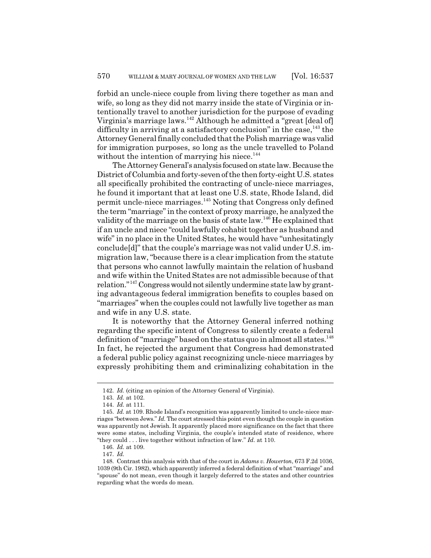forbid an uncle-niece couple from living there together as man and wife, so long as they did not marry inside the state of Virginia or intentionally travel to another jurisdiction for the purpose of evading Virginia's marriage laws.<sup>142</sup> Although he admitted a "great [deal of] difficulty in arriving at a satisfactory conclusion" in the case,  $^{143}$  the Attorney General finally concluded that the Polish marriage was valid for immigration purposes, so long as the uncle travelled to Poland without the intention of marrying his niece.<sup>144</sup>

The Attorney General's analysis focused on state law. Because the District of Columbia and forty-seven of the then forty-eight U.S. states all specifically prohibited the contracting of uncle-niece marriages, he found it important that at least one U.S. state, Rhode Island, did permit uncle-niece marriages.145 Noting that Congress only defined the term "marriage" in the context of proxy marriage, he analyzed the validity of the marriage on the basis of state law.146 He explained that if an uncle and niece "could lawfully cohabit together as husband and wife" in no place in the United States, he would have "unhesitatingly" conclude[d]" that the couple's marriage was not valid under U.S. immigration law, "because there is a clear implication from the statute that persons who cannot lawfully maintain the relation of husband and wife within the United States are not admissible because of that relation."147 Congress would not silently undermine state law by granting advantageous federal immigration benefits to couples based on "marriages" when the couples could not lawfully live together as man and wife in any U.S. state.

It is noteworthy that the Attorney General inferred nothing regarding the specific intent of Congress to silently create a federal definition of "marriage" based on the status quo in almost all states.<sup>148</sup> In fact, he rejected the argument that Congress had demonstrated a federal public policy against recognizing uncle-niece marriages by expressly prohibiting them and criminalizing cohabitation in the

<sup>142.</sup> *Id.* (citing an opinion of the Attorney General of Virginia).

<sup>143.</sup> *Id.* at 102.

<sup>144.</sup> *Id.* at 111.

<sup>145.</sup> *Id.* at 109. Rhode Island's recognition was apparently limited to uncle-niece marriages "between Jews." *Id.* The court stressed this point even though the couple in question was apparently not Jewish. It apparently placed more significance on the fact that there were some states, including Virginia, the couple's intended state of residence, where "they could . . . live together without infraction of law." *Id.* at 110.

<sup>146.</sup> *Id.* at 109.

<sup>147.</sup> *Id.*

<sup>148.</sup> Contrast this analysis with that of the court in *Adams v. Howerton*, 673 F.2d 1036, 1039 (9th Cir. 1982), which apparently inferred a federal definition of what "marriage" and "spouse" do not mean, even though it largely deferred to the states and other countries regarding what the words do mean.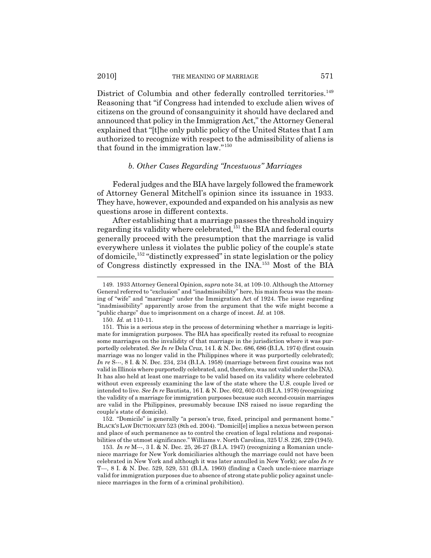2010] THE MEANING OF MARRIAGE 571

District of Columbia and other federally controlled territories.<sup>149</sup> Reasoning that "if Congress had intended to exclude alien wives of citizens on the ground of consanguinity it should have declared and announced that policy in the Immigration Act," the Attorney General explained that "[t]he only public policy of the United States that I am authorized to recognize with respect to the admissibility of aliens is that found in the immigration law."<sup>150</sup>

#### *b. Other Cases Regarding "Incestuous" Marriages*

Federal judges and the BIA have largely followed the framework of Attorney General Mitchell's opinion since its issuance in 1933. They have, however, expounded and expanded on his analysis as new questions arose in different contexts.

After establishing that a marriage passes the threshold inquiry regarding its validity where celebrated,<sup>151</sup> the BIA and federal courts generally proceed with the presumption that the marriage is valid everywhere unless it violates the public policy of the couple's state of domicile,<sup>152</sup> "distinctly expressed" in state legislation or the policy of Congress distinctly expressed in the INA.153 Most of the BIA

150. *Id.* at 110-11.

152. "Domicile" is generally "a person's true, fixed, principal and permanent home." BLACK'S LAW DICTIONARY 523 (8th ed. 2004). "Domicil[e] implies a nexus between person and place of such permanence as to control the creation of legal relations and responsibilities of the utmost significance." Williams v. North Carolina, 325 U.S. 226, 229 (1945).

153. *In re* M---, 3 I. & N. Dec. 25, 26-27 (B.I.A. 1947) (recognizing a Romanian uncleniece marriage for New York domiciliaries although the marriage could not have been celebrated in New York and although it was later annulled in New York); *see also In re* T---, 8 I. & N. Dec. 529, 529, 531 (B.I.A. 1960) (finding a Czech uncle-niece marriage valid for immigration purposes due to absence of strong state public policy against uncleniece marriages in the form of a criminal prohibition).

<sup>149. 1933</sup> Attorney General Opinion, *supra* note 34, at 109-10. Although the Attorney General referred to "exclusion" and "inadmissibility" here, his main focus was the meaning of "wife" and "marriage" under the Immigration Act of 1924. The issue regarding "inadmissibility" apparently arose from the argument that the wife might become a "public charge" due to imprisonment on a charge of incest. *Id.* at 108.

<sup>151.</sup> This is a serious step in the process of determining whether a marriage is legitimate for immigration purposes. The BIA has specifically rested its refusal to recognize some marriages on the invalidity of that marriage in the jurisdiction where it was purportedly celebrated. *See In re* Dela Cruz, 14 I. & N. Dec. 686, 686 (B.I.A. 1974) (first cousin marriage was no longer valid in the Philippines where it was purportedly celebrated); *In re* S---, 8 I. & N. Dec. 234, 234 (B.I.A. 1958) (marriage between first cousins was not valid in Illinois where purportedly celebrated, and, therefore, was not valid under the INA). It has also held at least one marriage to be valid based on its validity where celebrated without even expressly examining the law of the state where the U.S. couple lived or intended to live. *See In re* Bautista, 16 I. & N. Dec. 602, 602-03 (B.I.A. 1978) (recognizing the validity of a marriage for immigration purposes because such second-cousin marriages are valid in the Philippines, presumably because INS raised no issue regarding the couple's state of domicile).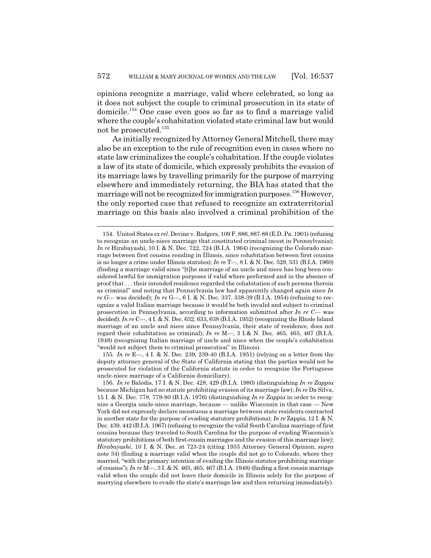opinions recognize a marriage, valid where celebrated, so long as it does not subject the couple to criminal prosecution in its state of domicile.154 One case even goes so far as to find a marriage valid where the couple's cohabitation violated state criminal law but would not be prosecuted.155

As initially recognized by Attorney General Mitchell, there may also be an exception to the rule of recognition even in cases where no state law criminalizes the couple's cohabitation. If the couple violates a law of its state of domicile, which expressly prohibits the evasion of its marriage laws by travelling primarily for the purpose of marrying elsewhere and immediately returning, the BIA has stated that the marriage will not be recognized for immigration purposes.<sup>156</sup> However, the only reported case that refused to recognize an extraterritorial marriage on this basis also involved a criminal prohibition of the

155. *In re* E---, 4 I. & N. Dec. 239, 239-40 (B.I.A. 1951) (relying on a letter from the deputy attorney general of the State of California stating that the parties would not be prosecuted for violation of the California statute in order to recognize the Portuguese uncle-niece marriage of a California domiciliary).

<sup>154.</sup> United States *ex rel.* Devine v. Rodgers, 109 F. 886, 887-88 (E.D. Pa. 1901) (refusing to recognize an uncle-niece marriage that constituted criminal incest in Pennsylvania); *In re* Hirabayashi, 10 I. & N. Dec. 722, 724 (B.I.A. 1964) (recognizing the Colorado marriage between first cousins residing in Illinois, since cohabitation between first cousins is no longer a crime under Illinois statutes); *In re* T---, 8 I. & N. Dec. 529, 531 (B.I.A. 1960) (finding a marriage valid since "[t]he marriage of an uncle and niece has long been considered lawful for immigration purposes if valid where performed and in the absence of proof that . . . their intended residence regarded the cohabitation of such persons therein as criminal" and noting that Pennsylvania law had apparently changed again since *In re G---* was decided); *In re* G---, 6 I. & N. Dec. 337, 338-39 (B.I.A. 1954) (refusing to recognize a valid Italian marriage because it would be both invalid and subject to criminal prosecution in Pennsylvania, according to information submitted after *In re C---* was decided); *In re* C---, 4 I. & N. Dec. 632, 633, 638 (B.I.A. 1952) (recognizing the Rhode Island marriage of an uncle and niece since Pennsylvania, their state of residence, does not regard their cohabitation as criminal); *In re* M---, 3 I.& N. Dec. 465, 465, 467 (B.I.A. 1948) (recognizing Italian marriage of uncle and niece when the couple's cohabitation "would not subject them to criminal prosecution" in Illinois).

<sup>156.</sup> *In re* Balodis, 17 I. & N. Dec. 428, 429 (B.I.A. 1980) (distinguishing *In re Zappia* because Michigan had no statute prohibiting evasion of its marriage law); *In re* Da Silva, 15 I. & N. Dec. 778, 779-80 (B.I.A. 1976) (distinguishing *In re Zappia* in order to recognize a Georgia uncle-niece marriage, because — unlike Wisconsin in that case — New York did not expressly declare incestuous a marriage between state residents contracted in another state for the purpose of evading statutory prohibitions); *In re* Zappia, 12 I. & N. Dec. 439, 442 (B.I.A. 1967) (refusing to recognize the valid South Carolina marriage of first cousins because they traveled to South Carolina for the purpose of evading Wisconsin's statutory prohibitions of both first-cousin marriages and the evasion of this marriage law); *Hirabayashi*, 10 I. & N. Dec. at 723-24 (citing 1933 Attorney General Opinion, *supra* note 34) (finding a marriage valid when the couple did not go to Colorado, where they married, "with the primary intention of evading the Illinois statutes prohibiting marriage of cousins"); *In re* M---, 3 I. & N. 465, 465, 467 (B.I.A. 1948) (finding a first-cousin marriage valid when the couple did not leave their domicile in Illinois solely for the purpose of marrying elsewhere to evade the state's marriage law and then returning immediately).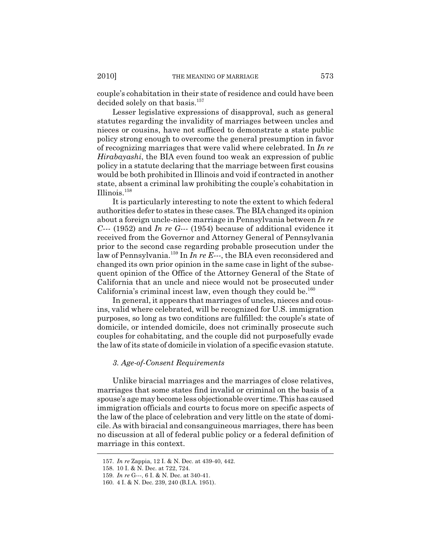couple's cohabitation in their state of residence and could have been decided solely on that basis.<sup>157</sup>

Lesser legislative expressions of disapproval, such as general statutes regarding the invalidity of marriages between uncles and nieces or cousins, have not sufficed to demonstrate a state public policy strong enough to overcome the general presumption in favor of recognizing marriages that were valid where celebrated. In *In re Hirabayashi*, the BIA even found too weak an expression of public policy in a statute declaring that the marriage between first cousins would be both prohibited in Illinois and void if contracted in another state, absent a criminal law prohibiting the couple's cohabitation in Illinois.158

It is particularly interesting to note the extent to which federal authorities defer to states in these cases. The BIA changed its opinion about a foreign uncle-niece marriage in Pennsylvania between *In re C---* (1952) and *In re G---* (1954) because of additional evidence it received from the Governor and Attorney General of Pennsylvania prior to the second case regarding probable prosecution under the law of Pennsylvania.<sup>159</sup> In *In re E---*, the BIA even reconsidered and changed its own prior opinion in the same case in light of the subsequent opinion of the Office of the Attorney General of the State of California that an uncle and niece would not be prosecuted under California's criminal incest law, even though they could be. $160$ 

In general, it appears that marriages of uncles, nieces and cousins, valid where celebrated, will be recognized for U.S. immigration purposes, so long as two conditions are fulfilled: the couple's state of domicile, or intended domicile, does not criminally prosecute such couples for cohabitating, and the couple did not purposefully evade the law of its state of domicile in violation of a specific evasion statute.

### *3. Age-of-Consent Requirements*

Unlike biracial marriages and the marriages of close relatives, marriages that some states find invalid or criminal on the basis of a spouse's age may become less objectionable over time. This has caused immigration officials and courts to focus more on specific aspects of the law of the place of celebration and very little on the state of domicile. As with biracial and consanguineous marriages, there has been no discussion at all of federal public policy or a federal definition of marriage in this context.

<sup>157.</sup> *In re* Zappia, 12 I. & N. Dec. at 439-40, 442.

<sup>158. 10</sup> I. & N. Dec. at 722, 724.

<sup>159.</sup> *In re* G---, 6 I. & N. Dec. at 340-41.

<sup>160. 4</sup> I. & N. Dec. 239, 240 (B.I.A. 1951).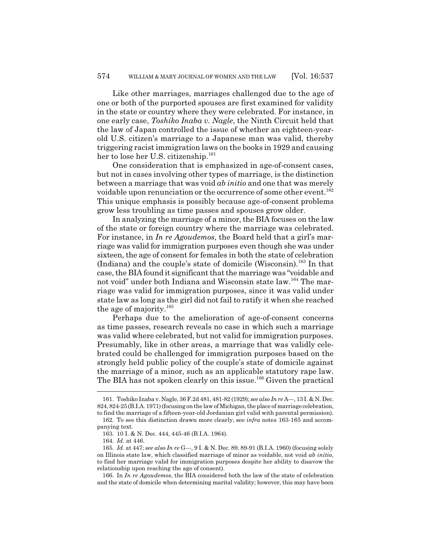Like other marriages, marriages challenged due to the age of one or both of the purported spouses are first examined for validity in the state or country where they were celebrated. For instance, in one early case, *Toshiko Inaba v. Nagle*, the Ninth Circuit held that the law of Japan controlled the issue of whether an eighteen-yearold U.S. citizen's marriage to a Japanese man was valid, thereby triggering racist immigration laws on the books in 1929 and causing her to lose her U.S. citizenship.<sup>161</sup>

One consideration that is emphasized in age-of-consent cases, but not in cases involving other types of marriage, is the distinction between a marriage that was void *ab initio* and one that was merely voidable upon renunciation or the occurrence of some other event.<sup>162</sup> This unique emphasis is possibly because age-of-consent problems grow less troubling as time passes and spouses grow older.

In analyzing the marriage of a minor, the BIA focuses on the law of the state or foreign country where the marriage was celebrated. For instance, in *In re Agoudemos*, the Board held that a girl's marriage was valid for immigration purposes even though she was under sixteen, the age of consent for females in both the state of celebration (Indiana) and the couple's state of domicile (Wisconsin).<sup>163</sup> In that case, the BIA found it significant that the marriage was "voidable and not void" under both Indiana and Wisconsin state law.<sup>164</sup> The marriage was valid for immigration purposes, since it was valid under state law as long as the girl did not fail to ratify it when she reached the age of majority. $165$ 

Perhaps due to the amelioration of age-of-consent concerns as time passes, research reveals no case in which such a marriage was valid where celebrated, but not valid for immigration purposes. Presumably, like in other areas, a marriage that was validly celebrated could be challenged for immigration purposes based on the strongly held public policy of the couple's state of domicile against the marriage of a minor, such as an applicable statutory rape law. The BIA has not spoken clearly on this issue.<sup>166</sup> Given the practical

<sup>161.</sup> Toshiko Inaba v. Nagle, 36 F.2d 481, 481-82 (1929); *see also In re* A---, 13 I. & N. Dec. 824, 824-25 (B.I.A. 1971) (focusing on the law of Michigan, the place of marriage celebration, to find the marriage of a fifteen-year-old Jordanian girl valid with parental permission). 162. To see this distinction drawn more clearly, see *infra* notes 163-165 and accom-

panying text.

<sup>163. 10</sup> I. & N. Dec. 444, 445-46 (B.I.A. 1964).

<sup>164.</sup> *Id.* at 446.

<sup>165.</sup> *Id.* at 447; *see also In re* G---, 9 I. & N. Dec. 89, 89-91 (B.I.A. 1960) (focusing solely on Illinois state law, which classified marriage of minor as voidable, not void *ab initio*, to find her marriage valid for immigration purposes despite her ability to disavow the relationship upon reaching the age of consent).

<sup>166.</sup> In *In re Agoudemos*, the BIA considered both the law of the state of celebration and the state of domicile when determining marital validity; however, this may have been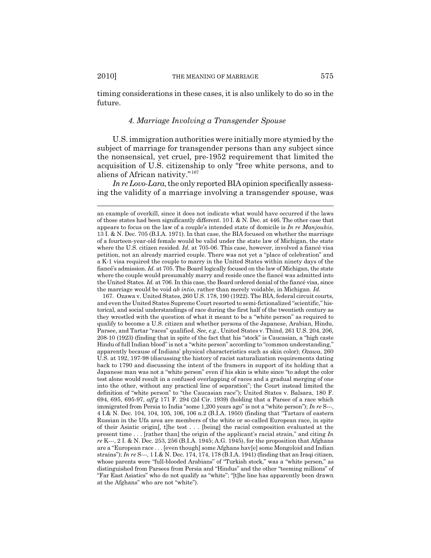timing considerations in these cases, it is also unlikely to do so in the future.

### *4. Marriage Involving a Transgender Spouse*

U.S. immigration authorities were initially more stymied by the subject of marriage for transgender persons than any subject since the nonsensical, yet cruel, pre-1952 requirement that limited the acquisition of U.S. citizenship to only "free white persons, and to aliens of African nativity."<sup>167</sup>

*In re Lovo-Lara*, the only reported BIA opinion specifically assessing the validity of a marriage involving a transgender spouse, was

an example of overkill, since it does not indicate what would have occurred if the laws of those states had been significantly different. 10 I. & N. Dec. at 446. The other case that appears to focus on the law of a couple's intended state of domicile is *In re Manjoukis*, 13 I. & N. Dec. 705 (B.I.A. 1971). In that case, the BIA focused on whether the marriage of a fourteen-year-old female would be valid under the state law of Michigan, the state where the U.S. citizen resided. *Id.* at 705-06. This case, however, involved a fiancé visa petition, not an already married couple. There was not yet a "place of celebration" and a K-1 visa required the couple to marry in the United States within ninety days of the fiancé's admission. *Id.* at 705. The Board logically focused on the law of Michigan, the state where the couple would presumably marry and reside once the fiancé was admitted into the United States. *Id.* at 706. In this case, the Board ordered denial of the fiancé visa, since the marriage would be void *ab intio*, rather than merely voidable, in Michigan. *Id.*

<sup>167.</sup> Ozawa v. United States, 260 U.S. 178, 190 (1922). The BIA, federal circuit courts, and even the United States Supreme Court resorted to semi-fictionalized "scientific," historical, and social understandings of race during the first half of the twentieth century as they wrestled with the question of what it meant to be a "white person" as required to qualify to become a U.S. citizen and whether persons of the Japanese, Arabian, Hindu, Parsee, and Tartar "races" qualified. *See, e.g.*, United States v. Thind, 261 U.S. 204, 206, 208-10 (1923) (finding that in spite of the fact that his "stock" is Caucasian, a "high caste Hindu of full Indian blood" is not a "white person" according to "common understanding," apparently because of Indians' physical characteristics such as skin color); *Ozawa*, 260 U.S. at 192, 197-98 (discussing the history of racist naturalization requirements dating back to 1790 and discussing the intent of the framers in support of its holding that a Japanese man was not a "white person" even if his skin is white since "to adopt the color test alone would result in a confused overlapping of races and a gradual merging of one into the other, without any practical line of separation"; the Court instead limited the definition of "white person" to "the Caucasian race"); United States v. Balsara, 180 F. 694, 695, 695-97, *aff'g* 171 F. 294 (2d Cir. 1939) (holding that a Parsee of a race which immigrated from Persia to India "some 1,200 years ago" is not a "white person"); *In re* S---, 4 I.& N. Dec. 104, 104, 105, 106, 106 n.2 (B.I.A. 1950) (finding that "Tartars of eastern Russian in the Ufa area are members of the white or so-called European race, in spite of their Asiatic origin[, t]he test . . . [being] the racial composition evaluated at the present time . . . [rather than] the origin of the applicant's racial strain," and citing *In re* K---, 2 I. & N. Dec. 253, 256 (B.I.A. 1945; A.G. 1945), for the proposition that Afghans are a "European race . . . [even though] some Afghans hav[e] some Mongoloid and Indian strains"); *In re* S---, 1 I.& N. Dec. 174, 174, 178 (B.I.A. 1941) (finding that an Iraqi citizen, whose parents were "full-blooded Arabians" of "Turkish stock," was a "white person," as distinguished from Parsees from Persia and "Hindus" and the other "teeming millions" of "Far East Asiatics" who do not qualify as "white"; "[t]he line has apparently been drawn at the Afghans" who are not "white").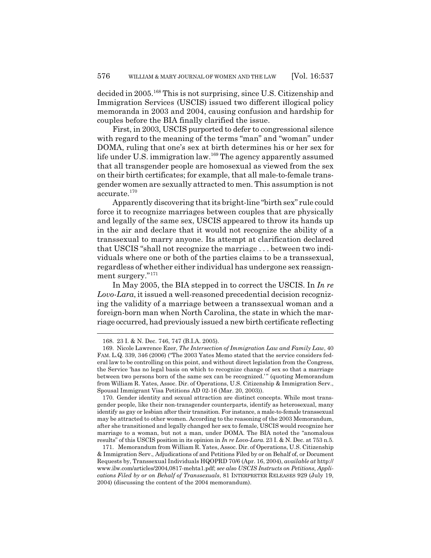decided in 2005.<sup>168</sup> This is not surprising, since U.S. Citizenship and Immigration Services (USCIS) issued two different illogical policy memoranda in 2003 and 2004, causing confusion and hardship for couples before the BIA finally clarified the issue.

First, in 2003, USCIS purported to defer to congressional silence with regard to the meaning of the terms "man" and "woman" under DOMA, ruling that one's sex at birth determines his or her sex for life under U.S. immigration law.<sup>169</sup> The agency apparently assumed that all transgender people are homosexual as viewed from the sex on their birth certificates; for example, that all male-to-female transgender women are sexually attracted to men. This assumption is not accurate.<sup>170</sup>

Apparently discovering that its bright-line "birth sex" rule could force it to recognize marriages between couples that are physically and legally of the same sex, USCIS appeared to throw its hands up in the air and declare that it would not recognize the ability of a transsexual to marry anyone. Its attempt at clarification declared that USCIS "shall not recognize the marriage . . . between two individuals where one or both of the parties claims to be a transsexual, regardless of whether either individual has undergone sex reassignment surgery."<sup>171</sup>

In May 2005, the BIA stepped in to correct the USCIS. In *In re Lovo-Lara*, it issued a well-reasoned precedential decision recognizing the validity of a marriage between a transsexual woman and a foreign-born man when North Carolina, the state in which the marriage occurred, had previously issued a new birth certificate reflecting

<sup>168. 23</sup> I. & N. Dec. 746, 747 (B.I.A. 2005).

<sup>169.</sup> Nicole Lawrence Ezer, *The Intersection of Immigration Law and Family Law*, 40 FAM. L.Q. 339, 346 (2006) ("The 2003 Yates Memo stated that the service considers federal law to be controlling on this point, and without direct legislation from the Congress, the Service 'has no legal basis on which to recognize change of sex so that a marriage between two persons born of the same sex can be recognized.' " (quoting Memorandum from William R. Yates, Assoc. Dir. of Operations, U.S. Citizenship & Immigration Serv., Spousal Immigrant Visa Petitions AD 02-16 (Mar. 20, 2003)).

<sup>170.</sup> Gender identity and sexual attraction are distinct concepts. While most transgender people, like their non-transgender counterparts, identify as heterosexual, many identify as gay or lesbian after their transition. For instance, a male-to-female transsexual may be attracted to other women. According to the reasoning of the 2003 Memorandum, after she transitioned and legally changed her sex to female, USCIS would recognize her marriage to a woman, but not a man, under DOMA. The BIA noted the "anomalous results" of this USCIS position in its opinion in *In re Lovo-Lara*. 23 I. & N. Dec. at 753 n.5.

<sup>171.</sup> Memorandum from William R. Yates, Assoc. Dir. of Operations, U.S. Citizenship & Immigration Serv., Adjudications of and Petitions Filed by or on Behalf of, or Document Requests by, Transsexual Individuals HQOPRD 70/6 (Apr. 16, 2004), *available at* http:// www.ilw.com/articles/2004,0817-mehta1.pdf; *see also USCIS Instructs on Petitions, Applications Filed by or on Behalf of Transsexuals*, 81 INTERPRETER RELEASES 929 (July 19, 2004) (discussing the content of the 2004 memorandum).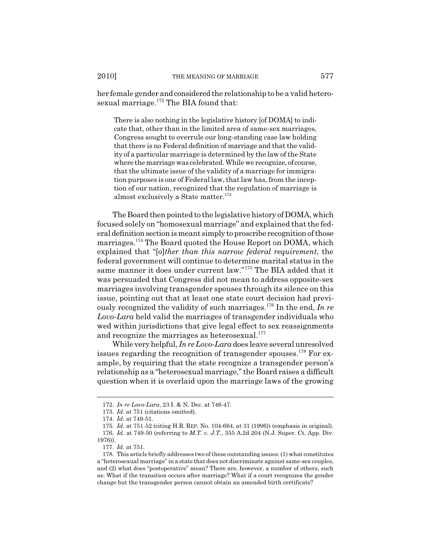her female gender and considered the relationship to be a valid heterosexual marriage. $172$  The BIA found that:

There is also nothing in the legislative history [of DOMA] to indicate that, other than in the limited area of same-sex marriages, Congress sought to overrule our long-standing case law holding that there is no Federal definition of marriage and that the validity of a particular marriage is determined by the law of the State where the marriage was celebrated. While we recognize, of course, that the ultimate issue of the validity of a marriage for immigration purposes is one of Federal law, that law has, from the inception of our nation, recognized that the regulation of marriage is almost exclusively a State matter.<sup>173</sup>

The Board then pointed to the legislative history of DOMA, which focused solely on "homosexual marriage" and explained that the federal definition section is meant simply to proscribe recognition of those marriages.174 The Board quoted the House Report on DOMA, which explained that "[*o*]*ther than this narrow federal requirement*, the federal government will continue to determine marital status in the same manner it does under current law."175 The BIA added that it was persuaded that Congress did not mean to address opposite-sex marriages involving transgender spouses through its silence on this issue, pointing out that at least one state court decision had previously recognized the validity of such marriages.176 In the end, *In re Lovo-Lara* held valid the marriages of transgender individuals who wed within jurisdictions that give legal effect to sex reassignments and recognize the marriages as heterosexual.<sup>177</sup>

While very helpful, *In re Lovo-Lara* does leave several unresolved issues regarding the recognition of transgender spouses.<sup>178</sup> For example, by requiring that the state recognize a transgender person's relationship as a "heterosexual marriage," the Board raises a difficult question when it is overlaid upon the marriage laws of the growing

<sup>172.</sup> *In re Lovo-Lara*, 23 I. & N. Dec. at 746-47.

<sup>173.</sup> *Id.* at 751 (citations omitted).

<sup>174.</sup> *Id.* at 749-51.

<sup>175.</sup> *Id.* at 751-52 (citing H.R. REP. No. 104-664, at 31 (1996)) (emphasis in original). 176. *Id.* at 749-50 (referring to *M.T. v. J.T.*, 355 A.2d 204 (N.J. Super. Ct. App. Div.

<sup>1976)).</sup>

<sup>177.</sup> *Id.* at 751.

<sup>178.</sup> This article briefly addresses two of these outstanding issues: (1) what constitutes a "heterosexual marriage" in a state that does not discriminate against same-sex couples, and (2) what does "postoperative" mean? There are, however, a number of others, such as: What if the transition occurs after marriage? What if a court recognizes the gender change but the transgender person cannot obtain an amended birth certificate?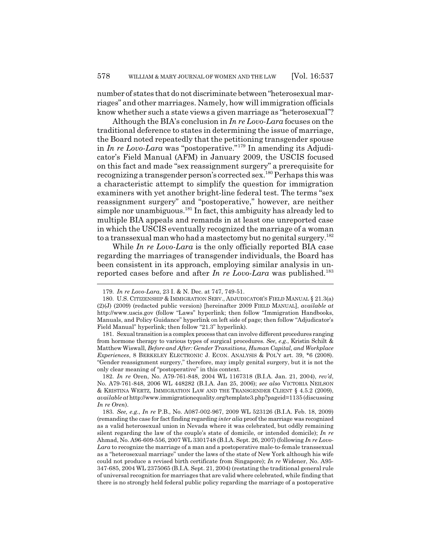number of states that do not discriminate between "heterosexual marriages" and other marriages. Namely, how will immigration officials know whether such a state views a given marriage as "heterosexual"?

Although the BIA's conclusion in *In re Lovo-Lara* focuses on the traditional deference to states in determining the issue of marriage, the Board noted repeatedly that the petitioning transgender spouse in *In re Lovo-Lara* was "postoperative."179 In amending its Adjudicator's Field Manual (AFM) in January 2009, the USCIS focused on this fact and made "sex reassignment surgery" a prerequisite for recognizing a transgender person's corrected sex.180 Perhaps this was a characteristic attempt to simplify the question for immigration examiners with yet another bright-line federal test. The terms "sex reassignment surgery" and "postoperative," however, are neither simple nor unambiguous.<sup>181</sup> In fact, this ambiguity has already led to multiple BIA appeals and remands in at least one unreported case in which the USCIS eventually recognized the marriage of a woman to a transsexual man who had a mastectomy but no genital surgery.<sup>182</sup>

While *In re Lovo-Lara* is the only officially reported BIA case regarding the marriages of transgender individuals, the Board has been consistent in its approach, employing similar analysis in unreported cases before and after *In re Lovo-Lara* was published.<sup>183</sup>

182. *In re* Oren, No. A79-761-848, 2004 WL 1167318 (B.I.A. Jan. 21, 2004), *rev'd*, No. A79-761-848, 2006 WL 448282 (B.I.A. Jan 25, 2006); *see also* VICTORIA NEILSON & KRISTINA WERTZ, IMMIGRATION LAW AND THE TRANSGENDER CLIENT § 4.5.2 (2009), *available at* http://www.immigrationequality.org/template3.php?pageid=1135 (discussing *In re Oren*).

183. *See, e.g.*, *In re* P.B., No. A087-002-967, 2009 WL 523126 (B.I.A. Feb. 18, 2009) (remanding the case for fact finding regarding *inter alia* proof the marriage was recognized as a valid heterosexual union in Nevada where it was celebrated, but oddly remaining silent regarding the law of the couple's state of domicile, or intended domicile); *In re* Ahmad, No. A96-609-556, 2007 WL 3301748 (B.I.A. Sept. 26, 2007) (following *In re Lovo-Lara* to recognize the marriage of a man and a postoperative male-to-female transsexual as a "heterosexual marriage" under the laws of the state of New York although his wife could not produce a revised birth certificate from Singapore); *In re* Widener, No. A95- 347-685, 2004 WL 2375065 (B.I.A. Sept. 21, 2004) (restating the traditional general rule of universal recognition for marriages that are valid where celebrated, while finding that there is no strongly held federal public policy regarding the marriage of a postoperative

<sup>179.</sup> *In re Lovo-Lara*, 23 I. & N. Dec. at 747, 749-51.

<sup>180.</sup> U.S. CITIZENSHIP & IMMIGRATION SERV., ADJUDICATOR'S FIELD MANUAL § 21.3(a) (2)(J) (2009) (redacted public version) [hereinafter 2009 FIELD MANUAL], *available at* http://www.uscis.gov (follow "Laws" hyperlink; then follow "Immigration Handbooks, Manuals, and Policy Guidance" hyperlink on left side of page; then follow "Adjudicator's Field Manual" hyperlink; then follow "21.3" hyperlink).

<sup>181.</sup> Sexual transition is a complex process that can involve different procedures ranging from hormone therapy to various types of surgical procedures. *See, e.g.*, Kristin Schilt & Matthew Wiswall, *Before and After: Gender Transitions, Human Capital, and Workplace Experiences*, 8 BERKELEY ELECTRONIC J. ECON. ANALYSIS & POL'Y art. 39, \*6 (2008). "Gender reassignment surgery," therefore, may imply genital surgery, but it is not the only clear meaning of "postoperative" in this context.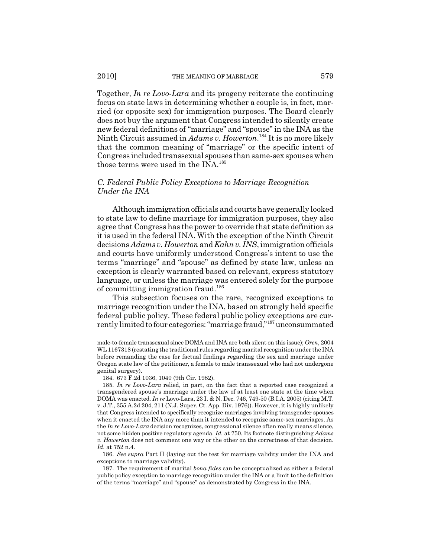Together, *In re Lovo-Lara* and its progeny reiterate the continuing focus on state laws in determining whether a couple is, in fact, married (or opposite sex) for immigration purposes. The Board clearly does not buy the argument that Congress intended to silently create new federal definitions of "marriage" and "spouse" in the INA as the Ninth Circuit assumed in *Adams v. Howerton*. 184 It is no more likely that the common meaning of "marriage" or the specific intent of Congress included transsexual spouses than same-sex spouses when those terms were used in the INA.<sup>185</sup>

## *C. Federal Public Policy Exceptions to Marriage Recognition Under the INA*

Although immigration officials and courts have generally looked to state law to define marriage for immigration purposes, they also agree that Congress has the power to override that state definition as it is used in the federal INA. With the exception of the Ninth Circuit decisions *Adams v. Howerton* and *Kahn v. INS*, immigration officials and courts have uniformly understood Congress's intent to use the terms "marriage" and "spouse" as defined by state law, unless an exception is clearly warranted based on relevant, express statutory language, or unless the marriage was entered solely for the purpose of committing immigration fraud.<sup>186</sup>

This subsection focuses on the rare, recognized exceptions to marriage recognition under the INA, based on strongly held specific federal public policy. These federal public policy exceptions are currently limited to four categories: "marriage fraud,"187 unconsummated

186. *See supra* Part II (laying out the test for marriage validity under the INA and exceptions to marriage validity).

187. The requirement of marital *bona fides* can be conceptualized as either a federal public policy exception to marriage recognition under the INA or a limit to the definition of the terms "marriage" and "spouse" as demonstrated by Congress in the INA.

male-to-female transsexual since DOMA and INA are both silent on this issue); *Oren*, 2004 WL 1167318 (restating the traditional rules regarding marital recognition under the INA before remanding the case for factual findings regarding the sex and marriage under Oregon state law of the petitioner, a female to male transsexual who had not undergone genital surgery).

<sup>184. 673</sup> F.2d 1036, 1040 (9th Cir. 1982).

<sup>185.</sup> *In re Lovo-Lara* relied, in part, on the fact that a reported case recognized a transgendered spouse's marriage under the law of at least one state at the time when DOMA was enacted. *In re* Lovo-Lara, 23 I. & N. Dec. 746, 749-50 (B.I.A. 2005) (citing M.T. v. J.T., 355 A.2d 204, 211 (N.J. Super. Ct. App. Div. 1976)). However, it is highly unlikely that Congress intended to specifically recognize marriages involving transgender spouses when it enacted the INA any more than it intended to recognize same-sex marriages. As the *In re Lovo-Lara* decision recognizes, congressional silence often really means silence, not some hidden positive regulatory agenda. *Id.* at 750. Its footnote distinguishing *Adams v. Howerton* does not comment one way or the other on the correctness of that decision. *Id.* at 752 n.4.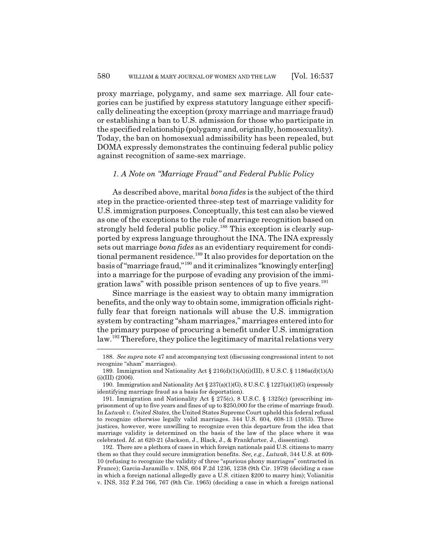proxy marriage, polygamy, and same sex marriage. All four categories can be justified by express statutory language either specifically delineating the exception (proxy marriage and marriage fraud) or establishing a ban to U.S. admission for those who participate in the specified relationship (polygamy and, originally, homosexuality). Today, the ban on homosexual admissibility has been repealed, but DOMA expressly demonstrates the continuing federal public policy against recognition of same-sex marriage.

### *1. A Note on "Marriage Fraud" and Federal Public Policy*

As described above, marital *bona fides* is the subject of the third step in the practice-oriented three-step test of marriage validity for U.S. immigration purposes. Conceptually, this test can also be viewed as one of the exceptions to the rule of marriage recognition based on strongly held federal public policy.<sup>188</sup> This exception is clearly supported by express language throughout the INA. The INA expressly sets out marriage *bona fides* as an evidentiary requirement for conditional permanent residence.<sup>189</sup> It also provides for deportation on the basis of "marriage fraud,"190 and it criminalizes "knowingly enter[ing] into a marriage for the purpose of evading any provision of the immigration laws" with possible prison sentences of up to five years.<sup>191</sup>

Since marriage is the easiest way to obtain many immigration benefits, and the only way to obtain some, immigration officials rightfully fear that foreign nationals will abuse the U.S. immigration system by contracting "sham marriages," marriages entered into for the primary purpose of procuring a benefit under U.S. immigration law.192 Therefore, they police the legitimacy of marital relations very

<sup>188.</sup> *See supra* note 47 and accompanying text (discussing congressional intent to not recognize "sham" marriages).

<sup>189.</sup> Immigration and Nationality Act § 216(d)(1)(A)(i)(III), 8 U.S.C. § 1186a(d)(1)(A)  $(i)(III)$  (2006).

<sup>190.</sup> Immigration and Nationality Act § 237(a)(1)(G), 8 U.S.C. § 1227(a)(1)(G) (expressly identifying marriage fraud as a basis for deportation).

<sup>191.</sup> Immigration and Nationality Act § 275(c), 8 U.S.C. § 1325(c) (prescribing imprisonment of up to five years and fines of up to \$250,000 for the crime of marriage fraud). In *Lutwak v. United States*, the United States Supreme Court upheld this federal refusal to recognize otherwise legally valid marriages. 344 U.S. 604, 608-13 (1953). Three justices, however, were unwilling to recognize even this departure from the idea that marriage validity is determined on the basis of the law of the place where it was celebrated. *Id.* at 620-21 (Jackson, J., Black, J., & Frankfurter, J., dissenting).

<sup>192.</sup> There are a plethora of cases in which foreign nationals paid U.S. citizens to marry them so that they could secure immigration benefits. *See, e.g.*, *Lutwak*, 344 U.S. at 609- 10 (refusing to recognize the validity of three "spurious phony marriages" contracted in France); Garcia-Jaramillo v. INS, 604 F.2d 1236, 1238 (9th Cir. 1979) (deciding a case in which a foreign national allegedly gave a U.S. citizen \$200 to marry him); Volianitis v. INS, 352 F.2d 766, 767 (9th Cir. 1965) (deciding a case in which a foreign national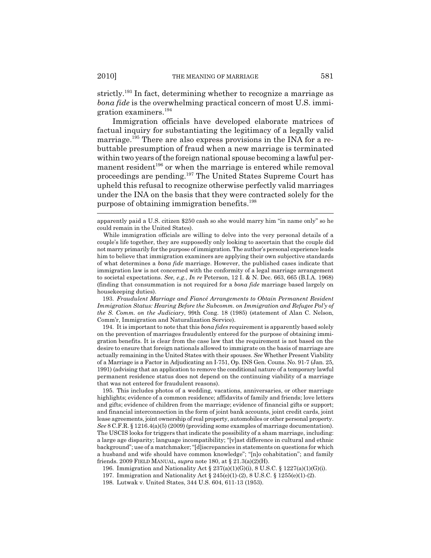strictly.193 In fact, determining whether to recognize a marriage as *bona fide* is the overwhelming practical concern of most U.S. immigration examiners.194

Immigration officials have developed elaborate matrices of factual inquiry for substantiating the legitimacy of a legally valid marriage.<sup>195</sup> There are also express provisions in the INA for a rebuttable presumption of fraud when a new marriage is terminated within two years of the foreign national spouse becoming a lawful permanent resident<sup>196</sup> or when the marriage is entered while removal proceedings are pending.<sup>197</sup> The United States Supreme Court has upheld this refusal to recognize otherwise perfectly valid marriages under the INA on the basis that they were contracted solely for the purpose of obtaining immigration benefits.198

193. *Fraudulent Marriage and Fiancé Arrangements to Obtain Permanent Resident Immigration Status: Hearing Before the Subcomm. on Immigration and Refugee Pol'y of the S. Comm. on the Judiciary*, 99th Cong. 18 (1985) (statement of Alan C. Nelson, Comm'r, Immigration and Naturalization Service).

194. It is important to note that this *bona fides* requirement is apparently based solely on the prevention of marriages fraudulently entered for the purpose of obtaining immigration benefits. It is clear from the case law that the requirement is not based on the desire to ensure that foreign nationals allowed to immigrate on the basis of marriage are actually remaining in the United States with their spouses. *See* Whether Present Viability of a Marriage is a Factor in Adjudicating an I-751, Op. INS Gen. Couns. No. 91-7 (Jan. 25, 1991) (advising that an application to remove the conditional nature of a temporary lawful permanent residence status does not depend on the continuing viability of a marriage that was not entered for fraudulent reasons).

195. This includes photos of a wedding, vacations, anniversaries, or other marriage highlights; evidence of a common residence; affidavits of family and friends; love letters and gifts; evidence of children from the marriage; evidence of financial gifts or support; and financial interconnection in the form of joint bank accounts, joint credit cards, joint lease agreements, joint ownership of real property, automobiles or other personal property. *See* 8 C.F.R. § 1216.4(a)(5) (2009) (providing some examples of marriage documentation). The USCIS looks for triggers that indicate the possibility of a sham marriage, including: a large age disparity; language incompatibility; "[v]ast difference in cultural and ethnic background"; use of a matchmaker; "[d]iscrepancies in statements on questions for which a husband and wife should have common knowledge"; "[n]o cohabitation"; and family friends. 2009 FIELD MANUAL, *supra* note 180, at § 21.3(a)(2)(H).

196. Immigration and Nationality Act § 237(a)(1)(G)(i), 8 U.S.C. § 1227(a)(1)(G)(i).

198. Lutwak v. United States, 344 U.S. 604, 611-13 (1953).

apparently paid a U.S. citizen \$250 cash so she would marry him "in name only" so he could remain in the United States).

While immigration officials are willing to delve into the very personal details of a couple's life together, they are supposedly only looking to ascertain that the couple did not marry primarily for the purpose of immigration. The author's personal experience leads him to believe that immigration examiners are applying their own subjective standards of what determines a *bona fide* marriage. However, the published cases indicate that immigration law is not concerned with the conformity of a legal marriage arrangement to societal expectations. *See, e.g.*, *In re* Peterson, 12 I. & N. Dec. 663, 665 (B.I.A. 1968) (finding that consummation is not required for a *bona fide* marriage based largely on housekeeping duties).

<sup>197.</sup> Immigration and Nationality Act § 245(e)(1)-(2), 8 U.S.C. § 1255(e)(1)-(2).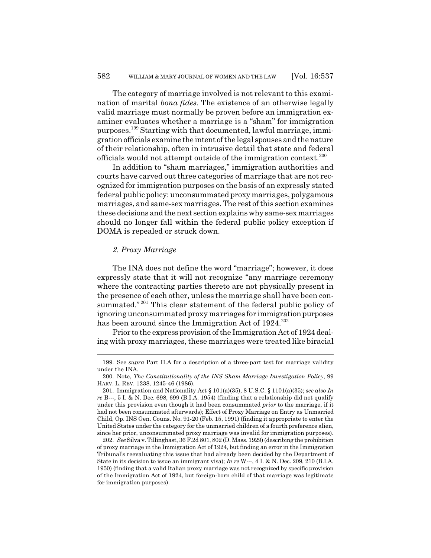The category of marriage involved is not relevant to this examination of marital *bona fides*. The existence of an otherwise legally valid marriage must normally be proven before an immigration examiner evaluates whether a marriage is a "sham" for immigration purposes.199 Starting with that documented, lawful marriage, immigration officials examine the intent of the legal spouses and the nature of their relationship, often in intrusive detail that state and federal officials would not attempt outside of the immigration context.<sup>200</sup>

In addition to "sham marriages," immigration authorities and courts have carved out three categories of marriage that are not recognized for immigration purposes on the basis of an expressly stated federal public policy: unconsummated proxy marriages, polygamous marriages, and same-sex marriages. The rest of this section examines these decisions and the next section explains why same-sex marriages should no longer fall within the federal public policy exception if DOMA is repealed or struck down.

### *2. Proxy Marriage*

The INA does not define the word "marriage"; however, it does expressly state that it will not recognize "any marriage ceremony where the contracting parties thereto are not physically present in the presence of each other, unless the marriage shall have been consummated."<sup>201</sup> This clear statement of the federal public policy of ignoring unconsummated proxy marriages for immigration purposes has been around since the Immigration Act of 1924.<sup>202</sup>

Prior to the express provision of the Immigration Act of 1924 dealing with proxy marriages, these marriages were treated like biracial

<sup>199.</sup> See *supra* Part II.A for a description of a three-part test for marriage validity under the INA.

<sup>200.</sup> Note, *The Constitutionality of the INS Sham Marriage Investigation Policy*, 99 HARV. L. REV. 1238, 1245-46 (1986).

<sup>201.</sup> Immigration and Nationality Act § 101(a)(35), 8 U.S.C. § 1101(a)(35); *see also In re* B---, 5 I. & N. Dec. 698, 699 (B.I.A. 1954) (finding that a relationship did not qualify under this provision even though it had been consummated *prior* to the marriage, if it had not been consummated afterwards); Effect of Proxy Marriage on Entry as Unmarried Child, Op. INS Gen. Couns. No. 91-20 (Feb. 15, 1991) (finding it appropriate to enter the United States under the category for the unmarried children of a fourth preference alien, since her prior, unconsummated proxy marriage was invalid for immigration purposes).

<sup>202.</sup> *See* Silva v. Tillinghast, 36 F.2d 801, 802 (D. Mass. 1929) (describing the prohibition of proxy marriage in the Immigration Act of 1924, but finding an error in the Immigration Tribunal's reevaluating this issue that had already been decided by the Department of State in its decision to issue an immigrant visa); *In re* W---, 4 I. & N. Dec. 209, 210 (B.I.A. 1950) (finding that a valid Italian proxy marriage was not recognized by specific provision of the Immigration Act of 1924, but foreign-born child of that marriage was legitimate for immigration purposes).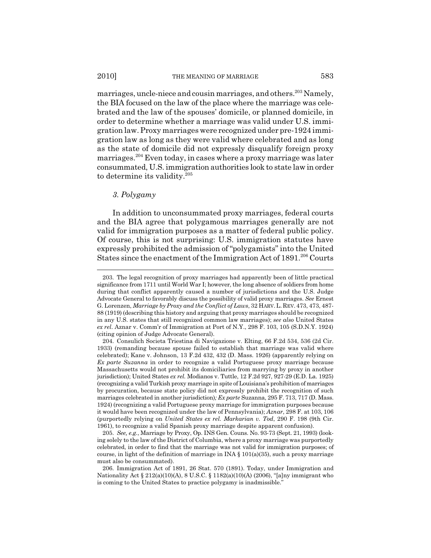marriages, uncle-niece and cousin marriages, and others.<sup>203</sup> Namely, the BIA focused on the law of the place where the marriage was celebrated and the law of the spouses' domicile, or planned domicile, in order to determine whether a marriage was valid under U.S. immigration law. Proxy marriages were recognized under pre-1924 immigration law as long as they were valid where celebrated and as long as the state of domicile did not expressly disqualify foreign proxy marriages.204 Even today, in cases where a proxy marriage was later consummated, U.S. immigration authorities look to state law in order to determine its validity.<sup>205</sup>

# *3. Polygamy*

In addition to unconsummated proxy marriages, federal courts and the BIA agree that polygamous marriages generally are not valid for immigration purposes as a matter of federal public policy. Of course, this is not surprising: U.S. immigration statutes have expressly prohibited the admission of "polygamists" into the United States since the enactment of the Immigration Act of  $1891.<sup>206</sup>$  Courts

<sup>203.</sup> The legal recognition of proxy marriages had apparently been of little practical significance from 1711 until World War I; however, the long absence of soldiers from home during that conflict apparently caused a number of jurisdictions and the U.S. Judge Advocate General to favorably discuss the possibility of valid proxy marriages. *See* Ernest G. Lorenzen, *Marriage by Proxy and the Conflict of Laws*, 32 HARV.L. REV. 473, 473, 487- 88 (1919) (describing this history and arguing that proxy marriages should be recognized in any U.S. states that still recognized common law marriages); *see also* United States *ex rel.* Aznar v. Comm'r of Immigration at Port of N.Y., 298 F. 103, 105 (S.D.N.Y. 1924) (citing opinion of Judge Advocate General).

<sup>204.</sup> Consulich Societa Triestina di Navigazione v. Elting, 66 F.2d 534, 536 (2d Cir. 1933) (remanding because spouse failed to establish that marriage was valid where celebrated); Kane v. Johnson, 13 F.2d 432, 432 (D. Mass. 1926) (apparently relying on *Ex parte Suzanna* in order to recognize a valid Portuguese proxy marriage because Massachusetts would not prohibit its domiciliaries from marrying by proxy in another jurisdiction); United States *ex rel.* Modianos v. Tuttle, 12 F.2d 927, 927-29 (E.D. La. 1925) (recognizing a valid Turkish proxy marriage in spite of Louisiana's prohibition of marriages by procuration, because state policy did not expressly prohibit the recognition of such marriages celebrated in another jurisdiction)*; Ex parte* Suzanna, 295 F. 713, 717 (D. Mass. 1924) (recognizing a valid Portuguese proxy marriage for immigration purposes because it would have been recognized under the law of Pennsylvania); *Aznar*, 298 F. at 103, 106 (purportedly relying on *United States ex rel. Markarian v. Tod*, 290 F. 198 (9th Cir. 1961), to recognize a valid Spanish proxy marriage despite apparent confusion).

<sup>205.</sup> *See, e.g.*, Marriage by Proxy, Op. INS Gen. Couns. No. 93-73 (Sept. 21, 1993) (looking solely to the law of the District of Columbia, where a proxy marriage was purportedly celebrated, in order to find that the marriage was not valid for immigration purposes; of course, in light of the definition of marriage in INA  $\S$  101(a)(35), such a proxy marriage must also be consummated).

<sup>206.</sup> Immigration Act of 1891, 26 Stat. 570 (1891). Today, under Immigration and Nationality Act § 212(a)(10)(A), 8 U.S.C. § 1182(a)(10)(A) (2006), "[a]ny immigrant who is coming to the United States to practice polygamy is inadmissible."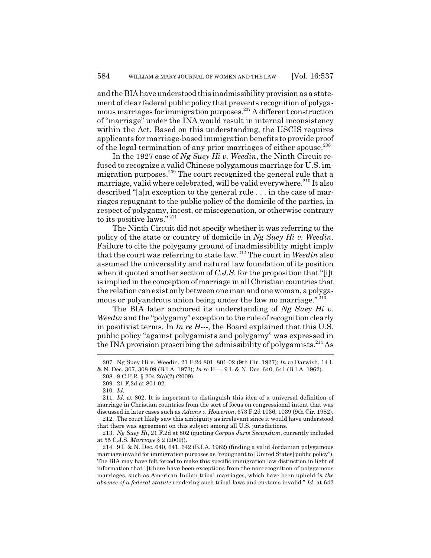and the BIA have understood this inadmissibility provision as a statement of clear federal public policy that prevents recognition of polygamous marriages for immigration purposes.207 A different construction of "marriage" under the INA would result in internal inconsistency within the Act. Based on this understanding, the USCIS requires applicants for marriage-based immigration benefits to provide proof of the legal termination of any prior marriages of either spouse.<sup>208</sup>

In the 1927 case of *Ng Suey Hi v. Weedin*, the Ninth Circuit refused to recognize a valid Chinese polygamous marriage for U.S. immigration purposes.<sup>209</sup> The court recognized the general rule that a marriage, valid where celebrated, will be valid everywhere.<sup>210</sup> It also described "[a]n exception to the general rule . . . in the case of marriages repugnant to the public policy of the domicile of the parties, in respect of polygamy, incest, or miscegenation, or otherwise contrary to its positive laws."<sup>211</sup>

The Ninth Circuit did not specify whether it was referring to the policy of the state or country of domicile in *Ng Suey Hi v. Weedin*. Failure to cite the polygamy ground of inadmissibility might imply that the court was referring to state law.212 The court in *Weedin* also assumed the universality and natural law foundation of its position when it quoted another section of *C.J.S.* for the proposition that "[i]t is implied in the conception of marriage in all Christian countries that the relation can exist only between one man and one woman, a polygamous or polyandrous union being under the law no marriage." <sup>213</sup>

The BIA later anchored its understanding of *Ng Suey Hi v. Weedin* and the "polygamy" exception to the rule of recognition clearly in positivist terms. In *In re H---*, the Board explained that this U.S. public policy "against polygamists and polygamy" was expressed in the INA provision proscribing the admissibility of polygamists.<sup>214</sup> As

<sup>207.</sup> Ng Suey Hi v. Weedin, 21 F.2d 801, 801-02 (9th Cir. 1927); *In re* Darwish, 14 I. & N. Dec. 307, 308-09 (B.I.A. 1973); *In re* H---, 9 I. & N. Dec. 640, 641 (B.I.A. 1962).

<sup>208. 8</sup> C.F.R. § 204.2(a)(2) (2009).

<sup>209. 21</sup> F.2d at 801-02.

<sup>210.</sup> *Id.*

<sup>211.</sup> *Id.* at 802. It is important to distinguish this idea of a universal definition of marriage in Christian countries from the sort of focus on congressional intent that was discussed in later cases such as *Adams v. Howerton*, 673 F.2d 1036, 1039 (9th Cir. 1982).

<sup>212.</sup> The court likely saw this ambiguity as irrelevant since it would have understood that there was agreement on this subject among all U.S. jurisdictions.

<sup>213.</sup> *Ng Suey Hi*, 21 F.2d at 802 (quoting *Corpus Juris Secundum*, currently included at 55 C.J.S. *Marriage* § 2 (2009)).

<sup>214. 9</sup> I. & N. Dec. 640, 641, 642 (B.I.A. 1962) (finding a valid Jordanian polygamous marriage invalid for immigration purposes as "repugnant to [United States] public policy"). The BIA may have felt forced to make this specific immigration law distinction in light of information that "[t]here have been exceptions from the nonrecognition of polygamous marriages, such as American Indian tribal marriages, which have been upheld *in the absence of a federal statute* rendering such tribal laws and customs invalid." *Id.* at 642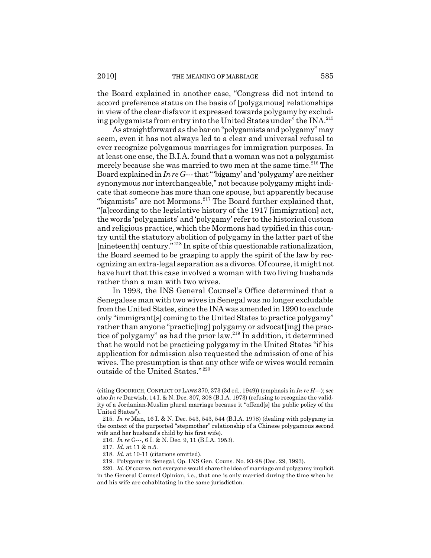the Board explained in another case, "Congress did not intend to accord preference status on the basis of [polygamous] relationships in view of the clear disfavor it expressed towards polygamy by excluding polygamists from entry into the United States under" the INA.215

As straightforward as the bar on "polygamists and polygamy" may seem, even it has not always led to a clear and universal refusal to ever recognize polygamous marriages for immigration purposes. In at least one case, the B.I.A. found that a woman was not a polygamist merely because she was married to two men at the same time.<sup>216</sup> The Board explained in *In re G---* that "'bigamy' and 'polygamy' are neither synonymous nor interchangeable," not because polygamy might indicate that someone has more than one spouse, but apparently because "bigamists" are not Mormons.<sup>217</sup> The Board further explained that, "[a]ccording to the legislative history of the 1917 [immigration] act, the words 'polygamists' and 'polygamy' refer to the historical custom and religious practice, which the Mormons had typified in this country until the statutory abolition of polygamy in the latter part of the [nineteenth] century."<sup>218</sup> In spite of this questionable rationalization, the Board seemed to be grasping to apply the spirit of the law by recognizing an extra-legal separation as a divorce. Of course, it might not have hurt that this case involved a woman with two living husbands rather than a man with two wives.

In 1993, the INS General Counsel's Office determined that a Senegalese man with two wives in Senegal was no longer excludable from the United States, since the INA was amended in 1990 to exclude only "immigrant[s] coming to the United States to practice polygamy" rather than anyone "practic [ing] polygamy or advocat [ing] the practice of polygamy" as had the prior law.219 In addition, it determined that he would not be practicing polygamy in the United States "if his application for admission also requested the admission of one of his wives. The presumption is that any other wife or wives would remain outside of the United States." <sup>220</sup>

<sup>(</sup>citing GOODRICH, CONFLICT OF LAWS 370, 373 (3d ed., 1949)) (emphasis in *In re H---*); *see also In re* Darwish, 14 I. & N. Dec. 307, 308 (B.I.A. 1973) (refusing to recognize the validity of a Jordanian-Muslim plural marriage because it "offend[s] the public policy of the United States").

<sup>215.</sup> *In re* Man, 16 I. & N. Dec. 543, 543, 544 (B.I.A. 1978) (dealing with polygamy in the context of the purported "stepmother" relationship of a Chinese polygamous second wife and her husband's child by his first wife).

<sup>216.</sup> *In re* G---, 6 I. & N. Dec. 9, 11 (B.I.A. 1953).

<sup>217.</sup> *Id.* at 11 & n.5.

<sup>218.</sup> *Id.* at 10-11 (citations omitted).

<sup>219.</sup> Polygamy in Senegal, Op. INS Gen. Couns. No. 93-98 (Dec. 29, 1993).

<sup>220.</sup> *Id.* Of course, not everyone would share the idea of marriage and polygamy implicit in the General Counsel Opinion, i.e., that one is only married during the time when he and his wife are cohabitating in the same jurisdiction.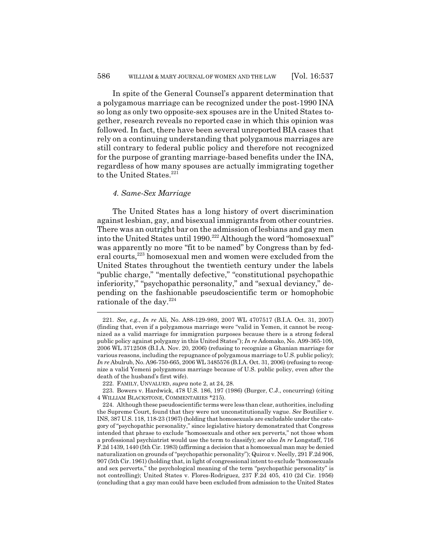In spite of the General Counsel's apparent determination that a polygamous marriage can be recognized under the post-1990 INA so long as only two opposite-sex spouses are in the United States together, research reveals no reported case in which this opinion was followed. In fact, there have been several unreported BIA cases that rely on a continuing understanding that polygamous marriages are still contrary to federal public policy and therefore not recognized for the purpose of granting marriage-based benefits under the INA, regardless of how many spouses are actually immigrating together to the United States.<sup>221</sup>

### *4. Same-Sex Marriage*

The United States has a long history of overt discrimination against lesbian, gay, and bisexual immigrants from other countries. There was an outright bar on the admission of lesbians and gay men into the United States until 1990.<sup>222</sup> Although the word "homosexual" was apparently no more "fit to be named" by Congress than by federal courts,<sup>223</sup> homosexual men and women were excluded from the United States throughout the twentieth century under the labels "public charge," "mentally defective," "constitutional psychopathic inferiority," "psychopathic personality," and "sexual deviancy," depending on the fashionable pseudoscientific term or homophobic rationale of the day.224

<sup>221.</sup> *See, e.g.*, *In re* Ali, No. A88-129-989, 2007 WL 4707517 (B.I.A. Oct. 31, 2007) (finding that, even if a polygamous marriage were "valid in Yemen, it cannot be recognized as a valid marriage for immigration purposes because there is a strong federal public policy against polygamy in this United States"); *In re* Adomako, No. A99-365-109, 2006 WL 3712508 (B.I.A. Nov. 20, 2006) (refusing to recognize a Ghanian marriage for various reasons, including the repugnance of polygamous marriage to U.S. public policy); *In re* Abulrub, No. A96-750-665, 2006 WL 3485576 (B.I.A. Oct. 31, 2006) (refusing to recognize a valid Yemeni polygamous marriage because of U.S. public policy, even after the death of the husband's first wife).

<sup>222.</sup> FAMILY, UNVALUED, *supra* note 2, at 24, 28.

<sup>223.</sup> Bowers v. Hardwick, 478 U.S. 186, 197 (1986) (Burger, C.J., concurring) (citing 4 WILLIAM BLACKSTONE, COMMENTARIES \*215).

<sup>224.</sup> Although these pseudoscientific terms were less than clear, authorities, including the Supreme Court, found that they were not unconstitutionally vague. *See* Boutilier v. INS, 387 U.S. 118, 118-23 (1967) (holding that homosexuals are excludable under the category of "psychopathic personality," since legislative history demonstrated that Congress intended that phrase to exclude "homosexuals and other sex perverts," not those whom a professional psychiatrist would use the term to classify); *see also In re* Longstaff, 716 F.2d 1439, 1440 (5th Cir. 1983) (affirming a decision that a homosexual man may be denied naturalization on grounds of "psychopathic personality"); Quiroz v. Neelly, 291 F.2d 906, 907 (5th Cir. 1961) (holding that, in light of congressional intent to exclude "homosexuals and sex perverts," the psychological meaning of the term "psychopathic personality" is not controlling); United States v. Flores-Rodriguez, 237 F.2d 405, 410 (2d Cir. 1956) (concluding that a gay man could have been excluded from admission to the United States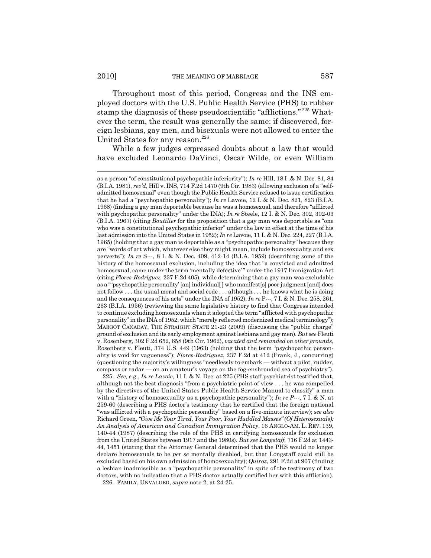Throughout most of this period, Congress and the INS employed doctors with the U.S. Public Health Service (PHS) to rubber stamp the diagnosis of these pseudoscientific "afflictions." <sup>225</sup> Whatever the term, the result was generally the same: if discovered, foreign lesbians, gay men, and bisexuals were not allowed to enter the United States for any reason.<sup>226</sup>

While a few judges expressed doubts about a law that would have excluded Leonardo DaVinci, Oscar Wilde, or even William

225. *See, e.g.*, *In re Lavoie*, 11 I. & N. Dec. at 225 (PHS staff psychiatrist testified that, although not the best diagnosis "from a psychiatric point of view . . . he was compelled by the directives of the United States Public Health Service Manual to classify" a man with a "history of homosexuality as a psychopathic personality"); *In re P---*, 7 I. & N. at 259-60 (describing a PHS doctor's testimony that he certified that the foreign national "was afflicted with a psychopathic personality" based on a five-minute interview); *see also* Richard Green, *"Give Me Your Tired, Your Poor, Your Huddled Masses" (Of Heterosexuals): An Analysis of American and Canadian Immigration Policy*, 16 ANGLO-AM. L. REV. 139, 140-44 (1987) (describing the role of the PHS in certifying homosexuals for exclusion from the United States between 1917 and the 1980s). *But see Longstaff*, 716 F.2d at 1443- 44, 1451 (stating that the Attorney General determined that the PHS would no longer declare homosexuals to be *per se* mentally disabled, but that Longstaff could still be excluded based on his own admission of homosexuality); *Quiroz*, 291 F.2d at 907 (finding a lesbian inadmissible as a "psychopathic personality" in spite of the testimony of two doctors, with no indication that a PHS doctor actually certified her with this affliction). 226. FAMILY, UNVALUED, *supra* note 2, at 24-25.

as a person "of constitutional psychopathic inferiority"); *In re* Hill, 18 I .& N. Dec. 81, 84 (B.I.A. 1981), *rev'd*, Hill v. INS, 714 F.2d 1470 (9th Cir. 1983) (allowing exclusion of a "selfadmitted homosexual" even though the Public Health Service refused to issue certification that he had a "psychopathic personality"); *In re* Lavoie, 12 I. & N. Dec. 821, 823 (B.I.A. 1968) (finding a gay man deportable because he was a homosexual, and therefore "afflicted with psychopathic personality" under the INA); *In re* Steele, 12 I. & N. Dec. 302, 302-03 (B.I.A. 1967) (citing *Boutilier* for the proposition that a gay man was deportable as "one who was a constitutional psychopathic inferior" under the law in effect at the time of his last admission into the United States in 1952); *In re* Lavoie, 11 I. & N. Dec. 224, 227 (B.I.A. 1965) (holding that a gay man is deportable as a "psychopathic personality" because they are "words of art which, whatever else they might mean, include homosexuality and sex perverts"); *In re* S---, 8 I. & N. Dec. 409, 412-14 (B.I.A. 1959) (describing some of the history of the homosexual exclusion, including the idea that "a convicted and admitted homosexual, came under the term 'mentally defective' " under the 1917 Immigration Act (citing *Flores-Rodriguez,* 237 F.2d 405), while determining that a gay man was excludable as a " 'psychopathic personality' [an] individual[ ] who manifest[s] poor judgment [and] does not follow . . . the usual moral and social code . . . although . . . he knows what he is doing and the consequences of his acts" under the INA of 1952); *In re* P---, 7 I. & N. Dec. 258, 261, 263 (B.I.A. 1956) (reviewing the same legislative history to find that Congress intended to continue excluding homosexuals when it adopted the term "afflicted with psychopathic personality" in the INA of 1952, which "merely reflected modernized medical terminology"); MARGOT CANADAY, THE STRAIGHT STATE 21-23 (2009) (discussing the "public charge" ground of exclusion and its early employment against lesbians and gay men). *But see* Fleuti v. Rosenberg, 302 F.2d 652, 658 (9th Cir. 1962), *vacated and remanded on other grounds*, Rosenberg v. Fleuti, 374 U.S. 449 (1963) (holding that the term "psychopathic personality is void for vagueness"); *Flores-Rodriguez*, 237 F.2d at 412 (Frank, J., concurring) (questioning the majority's willingness "needlessly to embark — without a pilot, rudder, compass or radar — on an amateur's voyage on the fog-enshrouded sea of psychiatry").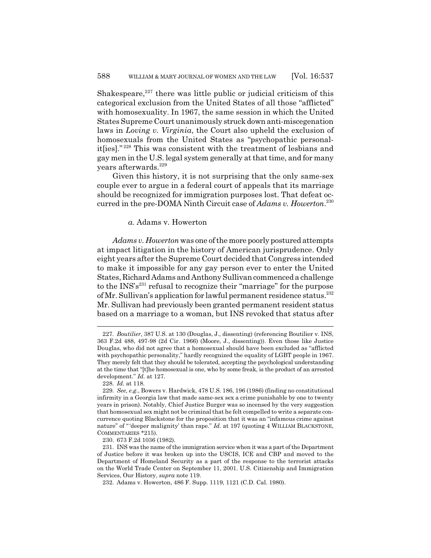Shakespeare, $227$  there was little public or judicial criticism of this categorical exclusion from the United States of all those "afflicted" with homosexuality. In 1967, the same session in which the United States Supreme Court unanimously struck down anti-miscegenation laws in *Loving v. Virginia*, the Court also upheld the exclusion of homosexuals from the United States as "psychopathic personalit[ies]." 228 This was consistent with the treatment of lesbians and gay men in the U.S. legal system generally at that time, and for many years afterwards.<sup>229</sup>

Given this history, it is not surprising that the only same-sex couple ever to argue in a federal court of appeals that its marriage should be recognized for immigration purposes lost. That defeat occurred in the pre-DOMA Ninth Circuit case of *Adams v. Howerton*. 230

## *a.* Adams v. Howerton

*Adams v. Howerton* was one of the more poorly postured attempts at impact litigation in the history of American jurisprudence. Only eight years after the Supreme Court decided that Congress intended to make it impossible for any gay person ever to enter the United States, Richard Adams and Anthony Sullivan commenced a challenge to the  $INS's<sup>231</sup>$  refusal to recognize their "marriage" for the purpose of Mr. Sullivan's application for lawful permanent residence status.<sup>232</sup> Mr. Sullivan had previously been granted permanent resident status based on a marriage to a woman, but INS revoked that status after

<sup>227.</sup> *Boutilier*, 387 U.S. at 130 (Douglas, J., dissenting) (referencing Boutilier v. INS, 363 F.2d 488, 497-98 (2d Cir. 1966) (Moore, J., dissenting)). Even those like Justice Douglas, who did not agree that a homosexual should have been excluded as "afflicted with psychopathic personality," hardly recognized the equality of LGBT people in 1967. They merely felt that they should be tolerated, accepting the psychological understanding at the time that "[t]he homosexual is one, who by some freak, is the product of an arrested development." *Id.* at 127.

<sup>228.</sup> *Id.* at 118.

<sup>229.</sup> *See, e.g.*, Bowers v. Hardwick, 478 U.S. 186, 196 (1986) (finding no constitutional infirmity in a Georgia law that made same-sex sex a crime punishable by one to twenty years in prison). Notably, Chief Justice Burger was so incensed by the very suggestion that homosexual sex might not be criminal that he felt compelled to write a separate concurrence quoting Blackstone for the proposition that it was an "infamous crime against nature" of " 'deeper malignity' than rape." *Id.* at 197 (quoting 4 WILLIAM BLACKSTONE, COMMENTARIES \*215).

<sup>230. 673</sup> F.2d 1036 (1982).

<sup>231.</sup> INS was the name of the immigration service when it was a part of the Department of Justice before it was broken up into the USCIS, ICE and CBP and moved to the Department of Homeland Security as a part of the response to the terrorist attacks on the World Trade Center on September 11, 2001. U.S. Citizenship and Immigration Services, Our History, *supra* note 119.

<sup>232.</sup> Adams v. Howerton, 486 F. Supp. 1119, 1121 (C.D. Cal. 1980).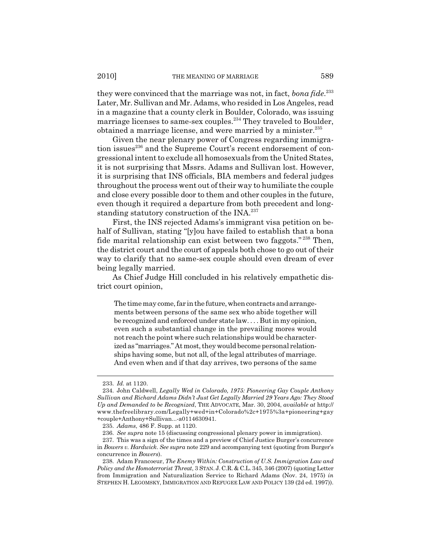they were convinced that the marriage was not, in fact, *bona fide*. 233 Later, Mr. Sullivan and Mr. Adams, who resided in Los Angeles, read in a magazine that a county clerk in Boulder, Colorado, was issuing marriage licenses to same-sex couples.<sup>234</sup> They traveled to Boulder, obtained a marriage license, and were married by a minister.<sup>235</sup>

Given the near plenary power of Congress regarding immigration issues<sup>236</sup> and the Supreme Court's recent endorsement of congressional intent to exclude all homosexuals from the United States, it is not surprising that Mssrs. Adams and Sullivan lost. However, it is surprising that INS officials, BIA members and federal judges throughout the process went out of their way to humiliate the couple and close every possible door to them and other couples in the future, even though it required a departure from both precedent and longstanding statutory construction of the INA.<sup>237</sup>

First, the INS rejected Adams's immigrant visa petition on behalf of Sullivan, stating "[y]ou have failed to establish that a bona fide marital relationship can exist between two faggots." 238 Then, the district court and the court of appeals both chose to go out of their way to clarify that no same-sex couple should even dream of ever being legally married.

As Chief Judge Hill concluded in his relatively empathetic district court opinion,

The time may come, far in the future, when contracts and arrangements between persons of the same sex who abide together will be recognized and enforced under state law. . . . But in my opinion, even such a substantial change in the prevailing mores would not reach the point where such relationships would be characterized as "marriages." At most, they would become personal relationships having some, but not all, of the legal attributes of marriage. And even when and if that day arrives, two persons of the same

<sup>233.</sup> *Id.* at 1120.

<sup>234.</sup> John Caldwell, *Legally Wed in Colorado, 1975: Pioneering Gay Couple Anthony Sullivan and Richard Adams Didn't Just Get Legally Married 29 Years Ago: They Stood Up and Demanded to be Recognized*, THE ADVOCATE, Mar. 30, 2004, *available at* http:// www.thefreelibrary.com/Legally+wed+in+Colorado%2c+1975%3a+pioneering+gay +couple+Anthony+Sullivan...-a0114630941.

<sup>235.</sup> *Adams*, 486 F. Supp. at 1120.

<sup>236.</sup> *See supra* note 15 (discussing congressional plenary power in immigration).

<sup>237.</sup> This was a sign of the times and a preview of Chief Justice Burger's concurrence in *Bowers v. Hardwick*. *See supra* note 229 and accompanying text (quoting from Burger's concurrence in *Bowers*).

<sup>238.</sup> Adam Francoeur, *The Enemy Within: Construction of U.S. Immigration Law and Policy and the Homoterrorist Threat*, 3 STAN. J. C.R. & C.L. 345, 346 (2007) (quoting Letter from Immigration and Naturalization Service to Richard Adams (Nov. 24, 1975) *in* STEPHEN H. LEGOMSKY, IMMIGRATION AND REFUGEE LAW AND POLICY 139 (2d ed. 1997)).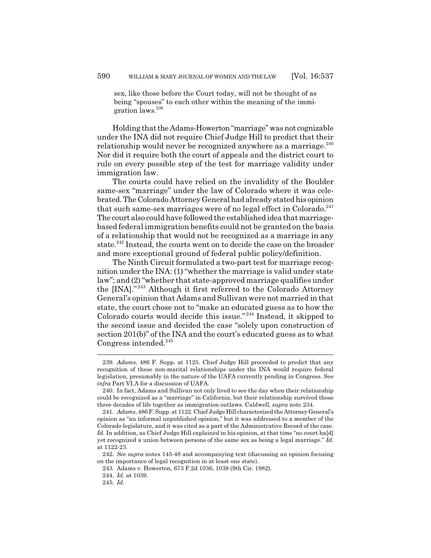sex, like those before the Court today, will not be thought of as being "spouses" to each other within the meaning of the immigration laws.<sup>239</sup>

Holding that the Adams-Howerton "marriage" was not cognizable under the INA did not require Chief Judge Hill to predict that their relationship would never be recognized anywhere as a marriage. $240$ Nor did it require both the court of appeals and the district court to rule on every possible step of the test for marriage validity under immigration law.

The courts could have relied on the invalidity of the Boulder same-sex "marriage" under the law of Colorado where it was celebrated. The Colorado Attorney General had already stated his opinion that such same-sex marriages were of no legal effect in Colorado. $^{241}$ The court also could have followed the established idea that marriagebased federal immigration benefits could not be granted on the basis of a relationship that would not be recognized as a marriage in any state.<sup>242</sup> Instead, the courts went on to decide the case on the broader and more exceptional ground of federal public policy/definition.

The Ninth Circuit formulated a two-part test for marriage recognition under the INA: (1) "whether the marriage is valid under state law"; and (2) "whether that state-approved marriage qualifies under the [INA]." 243 Although it first referred to the Colorado Attorney General's opinion that Adams and Sullivan were not married in that state, the court chose not to "make an educated guess as to how the Colorado courts would decide this issue." 244 Instead, it skipped to the second issue and decided the case "solely upon construction of section 201(b)" of the INA and the court's educated guess as to what Congress intended. $245$ 

<sup>239.</sup> *Adams*, 486 F. Supp. at 1125. Chief Judge Hill proceeded to predict that any recognition of these non-marital relationships under the INA would require federal legislation, presumably in the nature of the UAFA currently pending in Congress. See *infra* Part VI.A for a discussion of UAFA.

<sup>240.</sup> In fact, Adams and Sullivan not only lived to see the day when their relationship could be recognized as a "marriage" in California, but their relationship survived those three decades of life together as immigration outlaws. Caldwell, *supra* note 234.

<sup>241.</sup> *Adams*, 486 F. Supp. at 1122. Chief Judge Hill characterized the Attorney General's opinion as "an informal unpublished opinion," but it was addressed to a member of the Colorado legislature, and it was cited as a part of the Administrative Record of the case. *Id.* In addition, as Chief Judge Hill explained in his opinion, at that time "no court ha[d] yet recognized a union between persons of the same sex as being a legal marriage." *Id.* at 1122-23.

<sup>242.</sup> *See supra* notes 145-48 and accompanying text (discussing an opinion focusing on the importance of legal recognition in at least one state).

<sup>243.</sup> Adams v. Howerton, 673 F.2d 1036, 1038 (9th Cir. 1982).

<sup>244.</sup> *Id.* at 1039.

<sup>245.</sup> *Id.*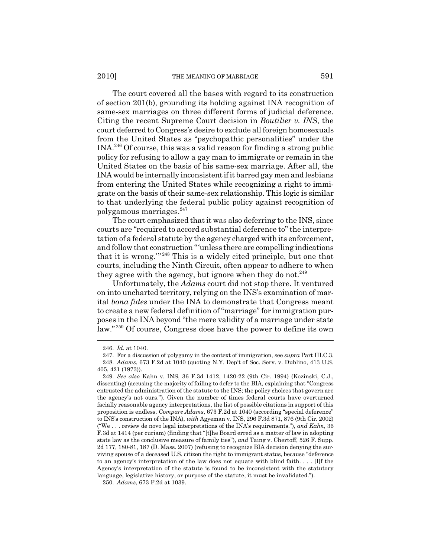The court covered all the bases with regard to its construction of section 201(b), grounding its holding against INA recognition of same-sex marriages on three different forms of judicial deference. Citing the recent Supreme Court decision in *Boutilier v. INS*, the court deferred to Congress's desire to exclude all foreign homosexuals from the United States as "psychopathic personalities" under the INA.246 Of course, this was a valid reason for finding a strong public policy for refusing to allow a gay man to immigrate or remain in the United States on the basis of his same-sex marriage. After all, the INA would be internally inconsistent if it barred gay men and lesbians from entering the United States while recognizing a right to immigrate on the basis of their same-sex relationship. This logic is similar to that underlying the federal public policy against recognition of polygamous marriages.<sup>247</sup>

The court emphasized that it was also deferring to the INS, since courts are "required to accord substantial deference to" the interpretation of a federal statute by the agency charged with its enforcement, and follow that construction "'unless there are compelling indications that it is wrong.'" 248 This is a widely cited principle, but one that courts, including the Ninth Circuit, often appear to adhere to when they agree with the agency, but ignore when they do not.<sup>249</sup>

Unfortunately, the *Adams* court did not stop there. It ventured on into uncharted territory, relying on the INS's examination of marital *bona fides* under the INA to demonstrate that Congress meant to create a new federal definition of "marriage" for immigration purposes in the INA beyond "the mere validity of a marriage under state law." 250 Of course, Congress does have the power to define its own

250. *Adams*, 673 F.2d at 1039.

<sup>246.</sup> *Id.* at 1040.

<sup>247.</sup> For a discussion of polygamy in the context of immigration, see *supra* Part III.C.3. 248. *Adams*, 673 F.2d at 1040 (quoting N.Y. Dep't of Soc. Serv. v. Dublino, 413 U.S. 405, 421 (1973)).

<sup>249.</sup> *See also* Kahn v. INS, 36 F.3d 1412, 1420-22 (9th Cir. 1994) (Kozinski, C.J., dissenting) (accusing the majority of failing to defer to the BIA, explaining that "Congress entrusted the administration of the statute to the INS; the policy choices that govern are the agency's not ours."). Given the number of times federal courts have overturned facially reasonable agency interpretations, the list of possible citations in support of this proposition is endless. *Compare Adams*, 673 F.2d at 1040 (according "special deference" to INS's construction of the INA), *with* Agyeman v. INS, 296 F.3d 871, 876 (9th Cir. 2002) ("We . . . review de novo legal interpretations of the INA's requirements."), *and Kahn*, 36 F.3d at 1414 (per curiam) (finding that "[t]he Board erred as a matter of law in adopting state law as the conclusive measure of family ties"), *and* Taing v. Chertoff, 526 F. Supp. 2d 177, 180-81, 187 (D. Mass. 2007) (refusing to recognize BIA decision denying the surviving spouse of a deceased U.S. citizen the right to immigrant status, because "deference to an agency's interpretation of the law does not equate with blind faith.  $\ldots$  [I]f the Agency's interpretation of the statute is found to be inconsistent with the statutory language, legislative history, or purpose of the statute, it must be invalidated.").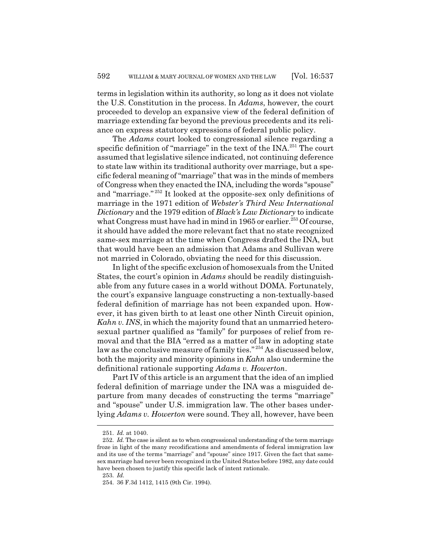terms in legislation within its authority, so long as it does not violate the U.S. Constitution in the process. In *Adams*, however, the court proceeded to develop an expansive view of the federal definition of marriage extending far beyond the previous precedents and its reliance on express statutory expressions of federal public policy.

The *Adams* court looked to congressional silence regarding a specific definition of "marriage" in the text of the INA.<sup>251</sup> The court assumed that legislative silence indicated, not continuing deference to state law within its traditional authority over marriage, but a specific federal meaning of "marriage" that was in the minds of members of Congress when they enacted the INA, including the words "spouse" and "marriage." 252 It looked at the opposite-sex only definitions of marriage in the 1971 edition of *Webster's Third New International Dictionary* and the 1979 edition of *Black's Law Dictionary* to indicate what Congress must have had in mind in 1965 or earlier.<sup>253</sup> Of course, it should have added the more relevant fact that no state recognized same-sex marriage at the time when Congress drafted the INA, but that would have been an admission that Adams and Sullivan were not married in Colorado, obviating the need for this discussion.

In light of the specific exclusion of homosexuals from the United States, the court's opinion in *Adams* should be readily distinguishable from any future cases in a world without DOMA. Fortunately, the court's expansive language constructing a non-textually-based federal definition of marriage has not been expanded upon. However, it has given birth to at least one other Ninth Circuit opinion, *Kahn v. INS*, in which the majority found that an unmarried heterosexual partner qualified as "family" for purposes of relief from removal and that the BIA "erred as a matter of law in adopting state law as the conclusive measure of family ties."<sup>254</sup> As discussed below, both the majority and minority opinions in *Kahn* also undermine the definitional rationale supporting *Adams v. Howerton*.

Part IV of this article is an argument that the idea of an implied federal definition of marriage under the INA was a misguided departure from many decades of constructing the terms "marriage" and "spouse" under U.S. immigration law. The other bases underlying *Adams v. Howerton* were sound. They all, however, have been

<sup>251.</sup> *Id.* at 1040.

<sup>252.</sup> *Id.* The case is silent as to when congressional understanding of the term marriage froze in light of the many recodifications and amendments of federal immigration law and its use of the terms "marriage" and "spouse" since 1917. Given the fact that samesex marriage had never been recognized in the United States before 1982, any date could have been chosen to justify this specific lack of intent rationale.

<sup>253.</sup> *Id.*

<sup>254. 36</sup> F.3d 1412, 1415 (9th Cir. 1994).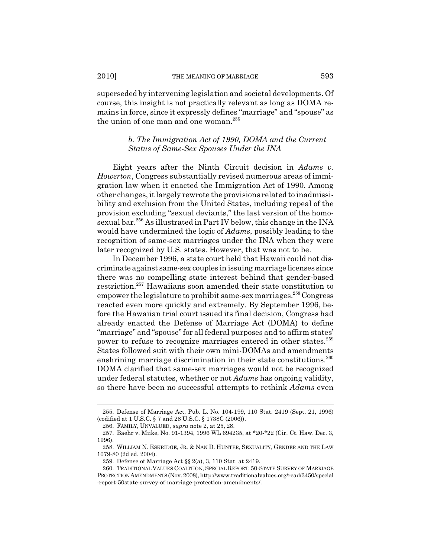superseded by intervening legislation and societal developments. Of course, this insight is not practically relevant as long as DOMA remains in force, since it expressly defines "marriage" and "spouse" as the union of one man and one woman.<sup>255</sup>

## *b. The Immigration Act of 1990, DOMA and the Current Status of Same-Sex Spouses Under the INA*

Eight years after the Ninth Circuit decision in *Adams v. Howerton*, Congress substantially revised numerous areas of immigration law when it enacted the Immigration Act of 1990. Among other changes, it largely rewrote the provisions related to inadmissibility and exclusion from the United States, including repeal of the provision excluding "sexual deviants," the last version of the homosexual bar.<sup>256</sup> As illustrated in Part IV below, this change in the INA would have undermined the logic of *Adams*, possibly leading to the recognition of same-sex marriages under the INA when they were later recognized by U.S. states. However, that was not to be.

In December 1996, a state court held that Hawaii could not discriminate against same-sex couples in issuing marriage licenses since there was no compelling state interest behind that gender-based restriction.257 Hawaiians soon amended their state constitution to empower the legislature to prohibit same-sex marriages.<sup>258</sup> Congress reacted even more quickly and extremely. By September 1996, before the Hawaiian trial court issued its final decision, Congress had already enacted the Defense of Marriage Act (DOMA) to define "marriage" and "spouse" for all federal purposes and to affirm states' power to refuse to recognize marriages entered in other states.<sup>259</sup> States followed suit with their own mini-DOMAs and amendments enshrining marriage discrimination in their state constitutions. $260$ DOMA clarified that same-sex marriages would not be recognized under federal statutes, whether or not *Adams* has ongoing validity, so there have been no successful attempts to rethink *Adams* even

<sup>255.</sup> Defense of Marriage Act, Pub. L. No. 104-199, 110 Stat. 2419 (Sept. 21, 1996) (codified at 1 U.S.C. § 7 and 28 U.S.C. § 1738C (2006)).

<sup>256.</sup> FAMILY, UNVALUED, *supra* note 2, at 25, 28.

<sup>257.</sup> Baehr v. Miike, No. 91-1394, 1996 WL 694235, at \*20-\*22 (Cir. Ct. Haw. Dec. 3, 1996).

<sup>258.</sup> WILLIAM N. ESKRIDGE, JR. & NAN D. HUNTER, SEXUALITY, GENDER AND THE LAW 1079-80 (2d ed. 2004).

<sup>259.</sup> Defense of Marriage Act §§ 2(a), 3, 110 Stat. at 2419.

<sup>260.</sup> TRADITIONAL VALUES COALITION, SPECIAL REPORT: 50-STATE SURVEY OF MARRIAGE PROTECTION AMENDMENTS (Nov. 2008), http://www.traditionalvalues.org/read/3450/special -report-50state-survey-of-marriage-protection-amendments/.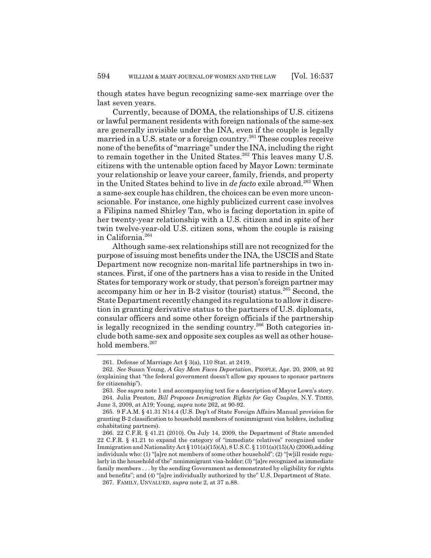though states have begun recognizing same-sex marriage over the last seven years.

Currently, because of DOMA, the relationships of U.S. citizens or lawful permanent residents with foreign nationals of the same-sex are generally invisible under the INA, even if the couple is legally married in a U.S. state or a foreign country.<sup>261</sup> These couples receive none of the benefits of "marriage" under the INA, including the right to remain together in the United States.<sup>262</sup> This leaves many U.S. citizens with the untenable option faced by Mayor Lown: terminate your relationship or leave your career, family, friends, and property in the United States behind to live in *de facto* exile abroad.263 When a same-sex couple has children, the choices can be even more unconscionable. For instance, one highly publicized current case involves a Filipina named Shirley Tan, who is facing deportation in spite of her twenty-year relationship with a U.S. citizen and in spite of her twin twelve-year-old U.S. citizen sons, whom the couple is raising in California.264

Although same-sex relationships still are not recognized for the purpose of issuing most benefits under the INA, the USCIS and State Department now recognize non-marital life partnerships in two instances. First, if one of the partners has a visa to reside in the United States for temporary work or study, that person's foreign partner may accompany him or her in B-2 visitor (tourist) status.<sup>265</sup> Second, the State Department recently changed its regulations to allow it discretion in granting derivative status to the partners of U.S. diplomats, consular officers and some other foreign officials if the partnership is legally recognized in the sending country.<sup>266</sup> Both categories include both same-sex and opposite sex couples as well as other household members.<sup>267</sup>

<sup>261.</sup> Defense of Marriage Act § 3(a), 110 Stat. at 2419.

<sup>262.</sup> *See* Susan Young, *A Gay Mom Faces Deportation*, PEOPLE, Apr. 20, 2009, at 92 (explaining that "the federal government doesn't allow gay spouses to sponsor partners for citizenship").

<sup>263.</sup> See *supra* note 1 and accompanying text for a description of Mayor Lown's story. 264. Julia Preston, *Bill Proposes Immigration Rights for Gay Couples*, N.Y. TIMES, June 3, 2009, at A19; Young, *supra* note 262, at 90-92.

<sup>265. 9</sup> F.A.M. § 41.31 N14.4 (U.S. Dep't of State Foreign Affairs Manual provision for granting B-2 classification to household members of nonimmigrant visa holders, including cohabitating partners).

<sup>266. 22</sup> C.F.R. § 41.21 (2010). On July 14, 2009, the Department of State amended 22 C.F.R. § 41.21 to expand the category of "immediate relatives" recognized under Immigration and Nationality Act § 101(a)(15)(A), 8 U.S.C. § 1101(a)(15)(A) (2006),adding individuals who: (1) "[a]re not members of some other household"; (2) "[w]ill reside regularly in the household of the" nonimmigrant visa-holder; (3) "[a]re recognized as immediate family members . . . by the sending Government as demonstrated by eligibility for rights and benefits"; and (4) "[a]re individually authorized by the" U.S. Department of State.

<sup>267.</sup> FAMILY, UNVALUED, *supra* note 2, at 37 n.88.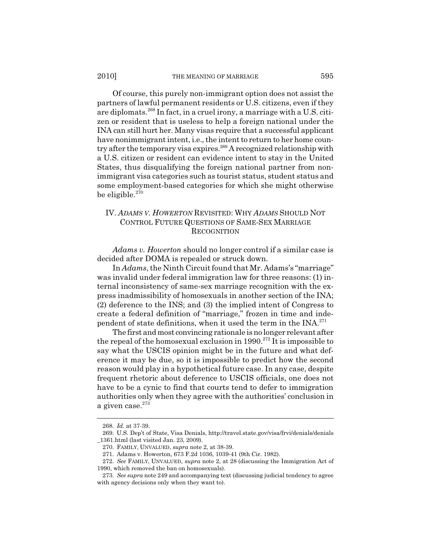Of course, this purely non-immigrant option does not assist the partners of lawful permanent residents or U.S. citizens, even if they are diplomats.<sup>268</sup> In fact, in a cruel irony, a marriage with a U.S. citizen or resident that is useless to help a foreign national under the INA can still hurt her. Many visas require that a successful applicant have nonimmigrant intent, i.e., the intent to return to her home country after the temporary visa expires.<sup>269</sup> A recognized relationship with a U.S. citizen or resident can evidence intent to stay in the United States, thus disqualifying the foreign national partner from nonimmigrant visa categories such as tourist status, student status and some employment-based categories for which she might otherwise be eligible. $270$ 

# IV. *ADAMS V. HOWERTON* REVISITED: WHY *ADAMS* SHOULD NOT CONTROL FUTURE QUESTIONS OF SAME-SEX MARRIAGE **RECOGNITION**

*Adams v. Howerton* should no longer control if a similar case is decided after DOMA is repealed or struck down.

In *Adams*, the Ninth Circuit found that Mr. Adams's "marriage" was invalid under federal immigration law for three reasons: (1) internal inconsistency of same-sex marriage recognition with the express inadmissibility of homosexuals in another section of the INA; (2) deference to the INS; and (3) the implied intent of Congress to create a federal definition of "marriage," frozen in time and independent of state definitions, when it used the term in the  $INA^{271}$ .

The first and most convincing rationale is no longer relevant after the repeal of the homosexual exclusion in  $1990.<sup>272</sup>$  It is impossible to say what the USCIS opinion might be in the future and what deference it may be due, so it is impossible to predict how the second reason would play in a hypothetical future case. In any case, despite frequent rhetoric about deference to USCIS officials, one does not have to be a cynic to find that courts tend to defer to immigration authorities only when they agree with the authorities' conclusion in a given case.<sup>273</sup>

<sup>268.</sup> *Id.* at 37-39.

<sup>269.</sup> U.S. Dep't of State, Visa Denials, http://travel.state.gov/visa/frvi/denials/denials \_1361.html (last visited Jan. 23, 2009).

<sup>270.</sup> FAMILY, UNVALUED, *supra* note 2, at 38-39.

<sup>271.</sup> Adams v. Howerton, 673 F.2d 1036, 1039-41 (9th Cir. 1982).

<sup>272.</sup> *See* FAMILY, UNVALUED, *supra* note 2, at 28 (discussing the Immigration Act of 1990, which removed the ban on homosexuals).

<sup>273.</sup> *See supra* note 249 and accompanying text (discussing judicial tendency to agree with agency decisions only when they want to).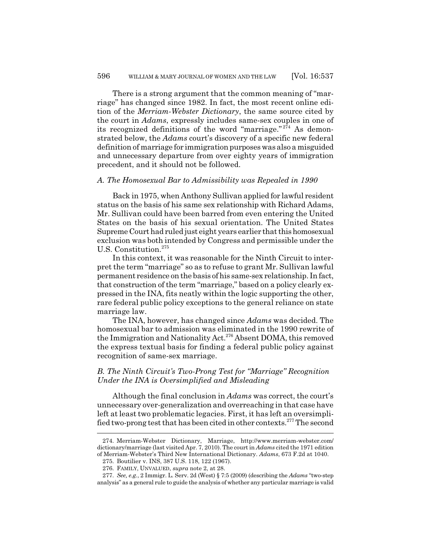There is a strong argument that the common meaning of "marriage" has changed since 1982. In fact, the most recent online edition of the *Merriam-Webster Dictionary*, the same source cited by the court in *Adams*, expressly includes same-sex couples in one of its recognized definitions of the word "marriage." $2\overline{7}4$  As demonstrated below, the *Adams* court's discovery of a specific new federal definition of marriage for immigration purposes was also a misguided and unnecessary departure from over eighty years of immigration precedent, and it should not be followed.

#### *A. The Homosexual Bar to Admissibility was Repealed in 1990*

Back in 1975, when Anthony Sullivan applied for lawful resident status on the basis of his same sex relationship with Richard Adams, Mr. Sullivan could have been barred from even entering the United States on the basis of his sexual orientation. The United States Supreme Court had ruled just eight years earlier that this homosexual exclusion was both intended by Congress and permissible under the U.S. Constitution.<sup>275</sup>

In this context, it was reasonable for the Ninth Circuit to interpret the term "marriage" so as to refuse to grant Mr. Sullivan lawful permanent residence on the basis of his same-sex relationship. In fact, that construction of the term "marriage," based on a policy clearly expressed in the INA, fits neatly within the logic supporting the other, rare federal public policy exceptions to the general reliance on state marriage law.

The INA, however, has changed since *Adams* was decided. The homosexual bar to admission was eliminated in the 1990 rewrite of the Immigration and Nationality Act.<sup>276</sup> Absent DOMA, this removed the express textual basis for finding a federal public policy against recognition of same-sex marriage.

### *B. The Ninth Circuit's Two-Prong Test for "Marriage" Recognition Under the INA is Oversimplified and Misleading*

Although the final conclusion in *Adams* was correct, the court's unnecessary over-generalization and overreaching in that case have left at least two problematic legacies. First, it has left an oversimplified two-prong test that has been cited in other contexts.277 The second

<sup>274.</sup> Merriam-Webster Dictionary, Marriage, http://www.merriam-webster.com/ dictionary/marriage (last visited Apr. 7, 2010). The court in *Adams* cited the 1971 edition of Merriam-Webster's Third New International Dictionary. *Adams*, 673 F.2d at 1040.

<sup>275.</sup> Boutilier v. INS, 387 U.S. 118, 122 (1967).

<sup>276.</sup> FAMILY, UNVALUED, *supra* note 2, at 28.

<sup>277.</sup> *See, e.g.*, 2 Immigr. L. Serv. 2d (West) § 7:5 (2009) (describing the *Adams* "two-step analysis" as a general rule to guide the analysis of whether any particular marriage is valid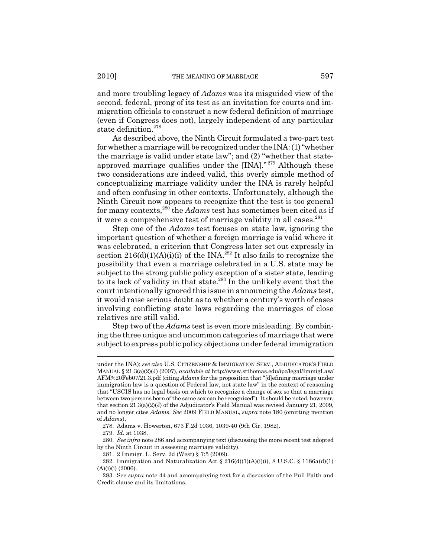and more troubling legacy of *Adams* was its misguided view of the second, federal, prong of its test as an invitation for courts and immigration officials to construct a new federal definition of marriage (even if Congress does not), largely independent of any particular state definition.278

As described above, the Ninth Circuit formulated a two-part test for whether a marriage will be recognized under the INA: (1) "whether the marriage is valid under state law"; and (2) "whether that stateapproved marriage qualifies under the [INA]." 279 Although these two considerations are indeed valid, this overly simple method of conceptualizing marriage validity under the INA is rarely helpful and often confusing in other contexts. Unfortunately, although the Ninth Circuit now appears to recognize that the test is too general for many contexts,280 the *Adams* test has sometimes been cited as if it were a comprehensive test of marriage validity in all cases.<sup>281</sup>

Step one of the *Adams* test focuses on state law, ignoring the important question of whether a foreign marriage is valid where it was celebrated, a criterion that Congress later set out expressly in section  $216(d)(1)(A)(i)$  of the INA.<sup>282</sup> It also fails to recognize the possibility that even a marriage celebrated in a U.S. state may be subject to the strong public policy exception of a sister state, leading to its lack of validity in that state.<sup>283</sup> In the unlikely event that the court intentionally ignored this issue in announcing the *Adams* test, it would raise serious doubt as to whether a century's worth of cases involving conflicting state laws regarding the marriages of close relatives are still valid.

Step two of the *Adams* test is even more misleading. By combining the three unique and uncommon categories of marriage that were subject to express public policy objections under federal immigration

under the INA); *see also* U.S. CITIZENSHIP & IMMIGRATION SERV., ADJUDICATOR'S FIELD MANUAL § 21.3(a)(2)(J) (2007), *available at* http://www.stthomas.edu/ipc/legal/ImmigLaw/ AFM%20Feb07/21.3.pdf (citing *Adams* for the proposition that "[d]efining marriage under immigration law is a question of Federal law, not state law" in the context of reasoning that "USCIS has no legal basis on which to recognize a change of sex so that a marriage between two persons born of the same sex can be recognized"). It should be noted, however, that section 21.3(a)(2)(J) of the Adjudicator's Field Manual was revised January 21, 2009, and no longer cites *Adams*. *See* 2009 FIELD MANUAL, *supra* note 180 (omitting mention of *Adams*).

<sup>278.</sup> Adams v. Howerton, 673 F.2d 1036, 1039-40 (9th Cir. 1982).

<sup>279.</sup> *Id.* at 1038.

<sup>280.</sup> *See infra* note 286 and accompanying text (discussing the more recent test adopted by the Ninth Circuit in assessing marriage validity).

<sup>281. 2</sup> Immigr. L. Serv. 2d (West) § 7:5 (2009).

<sup>282.</sup> Immigration and Naturalization Act § 216(d)(1)(A)(i)(i), 8 U.S.C. § 1186a(d)(1)  $(A)(i)(i)$  (2006).

<sup>283.</sup> See *supra* note 44 and accompanying text for a discussion of the Full Faith and Credit clause and its limitations.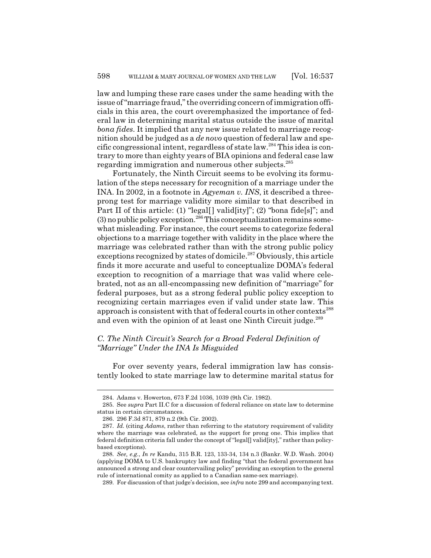law and lumping these rare cases under the same heading with the issue of "marriage fraud," the overriding concern of immigration officials in this area, the court overemphasized the importance of federal law in determining marital status outside the issue of marital *bona fides*. It implied that any new issue related to marriage recognition should be judged as a *de novo* question of federal law and specific congressional intent, regardless of state law.284 This idea is contrary to more than eighty years of BIA opinions and federal case law regarding immigration and numerous other subjects.285

Fortunately, the Ninth Circuit seems to be evolving its formulation of the steps necessary for recognition of a marriage under the INA. In 2002, in a footnote in *Agyeman v. INS*, it described a threeprong test for marriage validity more similar to that described in Part II of this article: (1) "legal[] valid[ity]"; (2) "bona fide[s]"; and  $(3)$  no public policy exception.<sup>286</sup> This conceptualization remains somewhat misleading. For instance, the court seems to categorize federal objections to a marriage together with validity in the place where the marriage was celebrated rather than with the strong public policy exceptions recognized by states of domicile.<sup>287</sup> Obviously, this article finds it more accurate and useful to conceptualize DOMA's federal exception to recognition of a marriage that was valid where celebrated, not as an all-encompassing new definition of "marriage" for federal purposes, but as a strong federal public policy exception to recognizing certain marriages even if valid under state law. This approach is consistent with that of federal courts in other contexts<sup>288</sup> and even with the opinion of at least one Ninth Circuit judge.<sup>289</sup>

# *C. The Ninth Circuit's Search for a Broad Federal Definition of "Marriage" Under the INA Is Misguided*

For over seventy years, federal immigration law has consistently looked to state marriage law to determine marital status for

289. For discussion of that judge's decision, see *infra* note 299 and accompanying text.

<sup>284.</sup> Adams v. Howerton, 673 F.2d 1036, 1039 (9th Cir. 1982).

<sup>285.</sup> See *supra* Part II.C for a discussion of federal reliance on state law to determine status in certain circumstances.

<sup>286. 296</sup> F.3d 871, 879 n.2 (9th Cir. 2002).

<sup>287.</sup> *Id.* (citing *Adams*, rather than referring to the statutory requirement of validity where the marriage was celebrated, as the support for prong one. This implies that federal definition criteria fall under the concept of "legal[] valid[ity]," rather than policybased exceptions).

<sup>288.</sup> *See, e.g.*, *In re* Kandu, 315 B.R. 123, 133-34, 134 n.3 (Bankr. W.D. Wash. 2004) (applying DOMA to U.S. bankruptcy law and finding "that the federal government has announced a strong and clear countervailing policy" providing an exception to the general rule of international comity as applied to a Canadian same-sex marriage).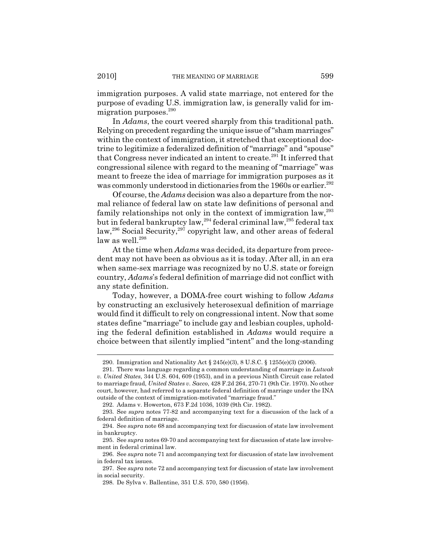immigration purposes. A valid state marriage, not entered for the purpose of evading U.S. immigration law, is generally valid for immigration purposes.<sup>290</sup>

In *Adams*, the court veered sharply from this traditional path. Relying on precedent regarding the unique issue of "sham marriages" within the context of immigration, it stretched that exceptional doctrine to legitimize a federalized definition of "marriage" and "spouse" that Congress never indicated an intent to create.<sup>291</sup> It inferred that congressional silence with regard to the meaning of "marriage" was meant to freeze the idea of marriage for immigration purposes as it was commonly understood in dictionaries from the 1960s or earlier.<sup>292</sup>

Of course, the *Adams* decision was also a departure from the normal reliance of federal law on state law definitions of personal and family relationships not only in the context of immigration law,<sup>293</sup> but in federal bankruptcy law,294 federal criminal law,295 federal tax law,<sup>296</sup> Social Security,<sup>297</sup> copyright law, and other areas of federal law as well.<sup>298</sup>

At the time when *Adams* was decided, its departure from precedent may not have been as obvious as it is today. After all, in an era when same-sex marriage was recognized by no U.S. state or foreign country, *Adams*'s federal definition of marriage did not conflict with any state definition.

Today, however, a DOMA-free court wishing to follow *Adams* by constructing an exclusively heterosexual definition of marriage would find it difficult to rely on congressional intent. Now that some states define "marriage" to include gay and lesbian couples, upholding the federal definition established in *Adams* would require a choice between that silently implied "intent" and the long-standing

<sup>290.</sup> Immigration and Nationality Act  $\S 245(e)(3)$ , 8 U.S.C.  $\S 1255(e)(3)$  (2006).

<sup>291.</sup> There was language regarding a common understanding of marriage in *Lutwak v. United States*, 344 U.S. 604, 609 (1953), and in a previous Ninth Circuit case related to marriage fraud, *United States v. Sacco*, 428 F.2d 264, 270-71 (9th Cir. 1970). No other court, however, had referred to a separate federal definition of marriage under the INA outside of the context of immigration-motivated "marriage fraud."

<sup>292.</sup> Adams v. Howerton, 673 F.2d 1036, 1039 (9th Cir. 1982).

<sup>293.</sup> See *supra* notes 77-82 and accompanying text for a discussion of the lack of a federal definition of marriage.

<sup>294.</sup> See *supra* note 68 and accompanying text for discussion of state law involvement in bankruptcy.

<sup>295.</sup> See *supra* notes 69-70 and accompanying text for discussion of state law involvement in federal criminal law.

<sup>296.</sup> See *supra* note 71 and accompanying text for discussion of state law involvement in federal tax issues.

<sup>297.</sup> See *supra* note 72 and accompanying text for discussion of state law involvement in social security.

<sup>298.</sup> De Sylva v. Ballentine, 351 U.S. 570, 580 (1956).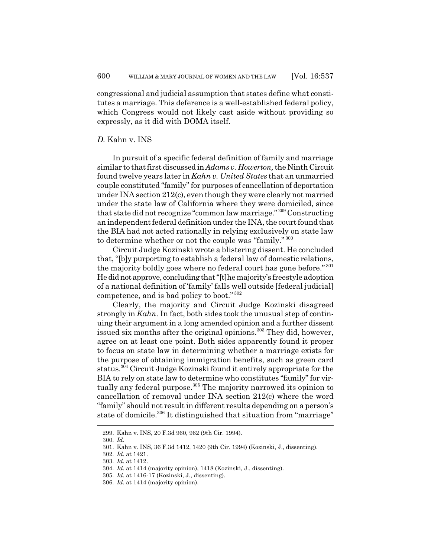congressional and judicial assumption that states define what constitutes a marriage. This deference is a well-established federal policy, which Congress would not likely cast aside without providing so expressly, as it did with DOMA itself.

### *D.* Kahn v. INS

In pursuit of a specific federal definition of family and marriage similar to that first discussed in *Adams v. Howerton,* the Ninth Circuit found twelve years later in *Kahn v. United States* that an unmarried couple constituted "family" for purposes of cancellation of deportation under INA section 212(c), even though they were clearly not married under the state law of California where they were domiciled, since that state did not recognize "common law marriage." 299 Constructing an independent federal definition under the INA, the court found that the BIA had not acted rationally in relying exclusively on state law to determine whether or not the couple was "family." <sup>300</sup>

Circuit Judge Kozinski wrote a blistering dissent. He concluded that, "[b]y purporting to establish a federal law of domestic relations, the majority boldly goes where no federal court has gone before." 301 He did not approve, concluding that "[t]he majority's freestyle adoption of a national definition of 'family' falls well outside [federal judicial] competence, and is bad policy to boot." <sup>302</sup>

Clearly, the majority and Circuit Judge Kozinski disagreed strongly in *Kahn.* In fact, both sides took the unusual step of continuing their argument in a long amended opinion and a further dissent issued six months after the original opinions.<sup>303</sup> They did, however, agree on at least one point. Both sides apparently found it proper to focus on state law in determining whether a marriage exists for the purpose of obtaining immigration benefits, such as green card status.304 Circuit Judge Kozinski found it entirely appropriate for the BIA to rely on state law to determine who constitutes "family" for virtually any federal purpose.<sup>305</sup> The majority narrowed its opinion to cancellation of removal under INA section 212(c) where the word "family" should not result in different results depending on a person's state of domicile.<sup>306</sup> It distinguished that situation from "marriage"

<sup>299.</sup> Kahn v. INS, 20 F.3d 960, 962 (9th Cir. 1994).

<sup>300.</sup> *Id.*

<sup>301.</sup> Kahn v. INS, 36 F.3d 1412, 1420 (9th Cir. 1994) (Kozinski, J., dissenting).

<sup>302.</sup> *Id.* at 1421.

<sup>303.</sup> *Id.* at 1412.

<sup>304.</sup> *Id.* at 1414 (majority opinion), 1418 (Kozinski, J., dissenting).

<sup>305.</sup> *Id.* at 1416-17 (Kozinski, J., dissenting).

<sup>306.</sup> *Id.* at 1414 (majority opinion).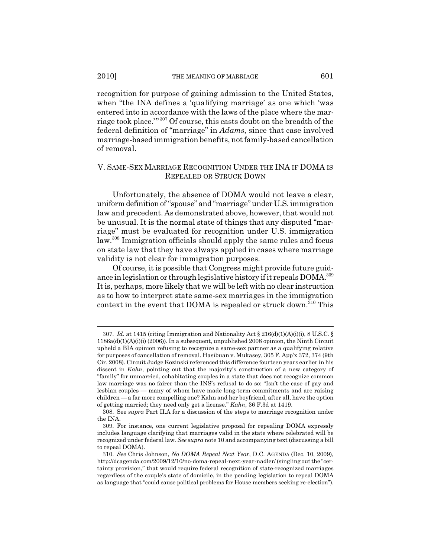recognition for purpose of gaining admission to the United States, when "the INA defines a 'qualifying marriage' as one which 'was entered into in accordance with the laws of the place where the marriage took place.'" 307 Of course, this casts doubt on the breadth of the federal definition of "marriage" in *Adams*, since that case involved marriage-based immigration benefits, not family-based cancellation

# V. SAME-SEX MARRIAGE RECOGNITION UNDER THE INA IF DOMA IS REPEALED OR STRUCK DOWN

Unfortunately, the absence of DOMA would not leave a clear, uniform definition of "spouse" and "marriage" under U.S. immigration law and precedent. As demonstrated above, however, that would not be unusual. It is the normal state of things that any disputed "marriage" must be evaluated for recognition under U.S. immigration law.308 Immigration officials should apply the same rules and focus on state law that they have always applied in cases where marriage validity is not clear for immigration purposes.

Of course, it is possible that Congress might provide future guidance in legislation or through legislative history if it repeals DOMA.<sup>309</sup> It is, perhaps, more likely that we will be left with no clear instruction as to how to interpret state same-sex marriages in the immigration context in the event that DOMA is repealed or struck down.<sup>310</sup> This

of removal.

<sup>307.</sup> *Id.* at 1415 (citing Immigration and Nationality Act § 216(d)(1)(A)(i)(i), 8 U.S.C. § 1186a(d)(1)(A)(i)(i) (2006)). In a subsequent, unpublished 2008 opinion, the Ninth Circuit upheld a BIA opinion refusing to recognize a same-sex partner as a qualifying relative for purposes of cancellation of removal. Hasibuan v. Mukasey, 305 F. App'x 372, 374 (9th Cir. 2008). Circuit Judge Kozinski referenced this difference fourteen years earlier in his dissent in *Kahn*, pointing out that the majority's construction of a new category of "family" for unmarried, cohabitating couples in a state that does not recognize common law marriage was no fairer than the INS's refusal to do so: "Isn't the case of gay and lesbian couples — many of whom have made long-term commitments and are raising children — a far more compelling one? Kahn and her boyfriend, after all, have the option of getting married; they need only get a license." *Kahn*, 36 F.3d at 1419.

<sup>308.</sup> See *supra* Part II.A for a discussion of the steps to marriage recognition under the INA.

<sup>309.</sup> For instance, one current legislative proposal for repealing DOMA expressly includes language clarifying that marriages valid in the state where celebrated will be recognized under federal law. *See supra* note 10 and accompanying text (discussing a bill to repeal DOMA).

<sup>310.</sup> *See* Chris Johnson, *No DOMA Repeal Next Year*, D.C. AGENDA (Dec. 10, 2009), http://dcagenda.com/2009/12/10/no-doma-repeal-next-year-nadler/ (singling out the "certainty provision," that would require federal recognition of state-recognized marriages regardless of the couple's state of domicile, in the pending legislation to repeal DOMA as language that "could cause political problems for House members seeking re-election").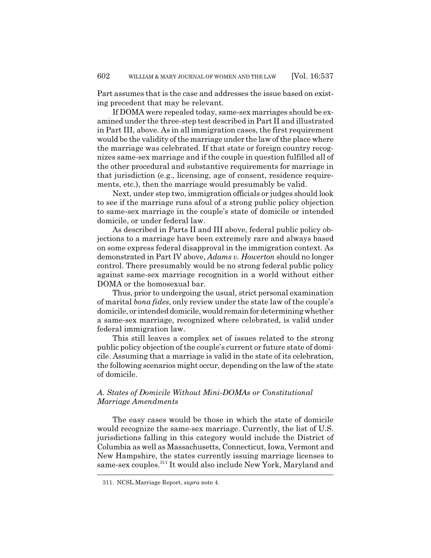Part assumes that is the case and addresses the issue based on existing precedent that may be relevant.

If DOMA were repealed today, same-sex marriages should be examined under the three-step test described in Part II and illustrated in Part III, above. As in all immigration cases, the first requirement would be the validity of the marriage under the law of the place where the marriage was celebrated. If that state or foreign country recognizes same-sex marriage and if the couple in question fulfilled all of the other procedural and substantive requirements for marriage in that jurisdiction (e.g., licensing, age of consent, residence requirements, etc.), then the marriage would presumably be valid.

Next, under step two, immigration officials or judges should look to see if the marriage runs afoul of a strong public policy objection to same-sex marriage in the couple's state of domicile or intended domicile, or under federal law.

As described in Parts II and III above, federal public policy objections to a marriage have been extremely rare and always based on some express federal disapproval in the immigration context. As demonstrated in Part IV above, *Adams v. Howerton* should no longer control. There presumably would be no strong federal public policy against same-sex marriage recognition in a world without either DOMA or the homosexual bar.

Thus, prior to undergoing the usual, strict personal examination of marital *bona fides*, only review under the state law of the couple's domicile, or intended domicile, would remain for determining whether a same-sex marriage, recognized where celebrated, is valid under federal immigration law.

This still leaves a complex set of issues related to the strong public policy objection of the couple's current or future state of domicile. Assuming that a marriage is valid in the state of its celebration, the following scenarios might occur, depending on the law of the state of domicile.

# *A. States of Domicile Without Mini-DOMAs or Constitutional Marriage Amendments*

The easy cases would be those in which the state of domicile would recognize the same-sex marriage. Currently, the list of U.S. jurisdictions falling in this category would include the District of Columbia as well as Massachusetts, Connecticut, Iowa, Vermont and New Hampshire, the states currently issuing marriage licenses to same-sex couples.<sup>311</sup> It would also include New York, Maryland and

<sup>311.</sup> NCSL Marriage Report, *supra* note 4.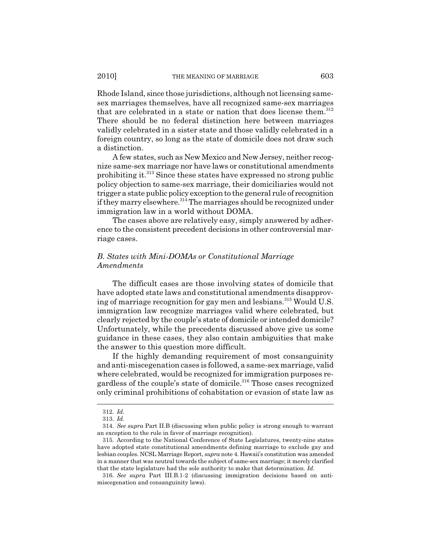Rhode Island, since those jurisdictions, although not licensing samesex marriages themselves, have all recognized same-sex marriages that are celebrated in a state or nation that does license them.<sup>312</sup> There should be no federal distinction here between marriages validly celebrated in a sister state and those validly celebrated in a foreign country, so long as the state of domicile does not draw such a distinction.

A few states, such as New Mexico and New Jersey, neither recognize same-sex marriage nor have laws or constitutional amendments prohibiting it.313 Since these states have expressed no strong public policy objection to same-sex marriage, their domiciliaries would not trigger a state public policy exception to the general rule of recognition if they marry elsewhere.<sup>314</sup> The marriages should be recognized under immigration law in a world without DOMA.

The cases above are relatively easy, simply answered by adherence to the consistent precedent decisions in other controversial marriage cases.

# *B. States with Mini-DOMAs or Constitutional Marriage Amendments*

The difficult cases are those involving states of domicile that have adopted state laws and constitutional amendments disapproving of marriage recognition for gay men and lesbians.<sup>315</sup> Would U.S. immigration law recognize marriages valid where celebrated, but clearly rejected by the couple's state of domicile or intended domicile? Unfortunately, while the precedents discussed above give us some guidance in these cases, they also contain ambiguities that make the answer to this question more difficult.

If the highly demanding requirement of most consanguinity and anti-miscegenation cases is followed, a same-sex marriage, valid where celebrated, would be recognized for immigration purposes regardless of the couple's state of domicile.<sup>316</sup> Those cases recognized only criminal prohibitions of cohabitation or evasion of state law as

<sup>312.</sup> *Id.*

<sup>313.</sup> *Id.*

<sup>314.</sup> *See supra* Part II.B (discussing when public policy is strong enough to warrant an exception to the rule in favor of marriage recognition).

<sup>315.</sup> According to the National Conference of State Legislatures, twenty-nine states have adopted state constitutional amendments defining marriage to exclude gay and lesbian couples. NCSL Marriage Report, *supra* note 4. Hawaii's constitution was amended in a manner that was neutral towards the subject of same-sex marriage; it merely clarified that the state legislature had the sole authority to make that determination. *Id.*

<sup>316.</sup> *See supra* Part III.B.1-2 (discussing immigration decisions based on antimiscegenation and consanguinity laws).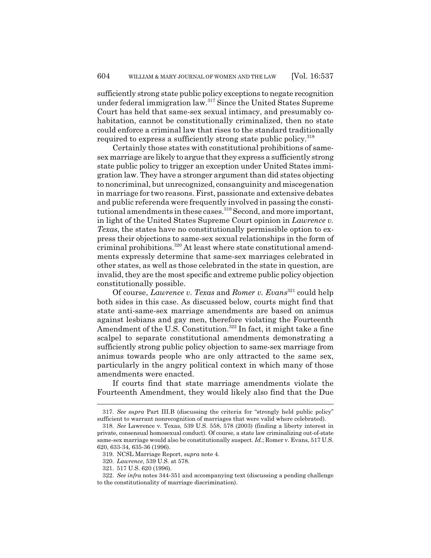sufficiently strong state public policy exceptions to negate recognition under federal immigration law.317 Since the United States Supreme Court has held that same-sex sexual intimacy, and presumably cohabitation, cannot be constitutionally criminalized, then no state could enforce a criminal law that rises to the standard traditionally required to express a sufficiently strong state public policy.<sup>318</sup>

Certainly those states with constitutional prohibitions of samesex marriage are likely to argue that they express a sufficiently strong state public policy to trigger an exception under United States immigration law. They have a stronger argument than did states objecting to noncriminal, but unrecognized, consanguinity and miscegenation in marriage for two reasons. First, passionate and extensive debates and public referenda were frequently involved in passing the constitutional amendments in these cases.<sup>319</sup> Second, and more important, in light of the United States Supreme Court opinion in *Lawrence v. Texas*, the states have no constitutionally permissible option to express their objections to same-sex sexual relationships in the form of criminal prohibitions.<sup>320</sup> At least where state constitutional amendments expressly determine that same-sex marriages celebrated in other states, as well as those celebrated in the state in question, are invalid, they are the most specific and extreme public policy objection constitutionally possible.

Of course, *Lawrence v. Texas* and *Romer v. Evans*321 could help both sides in this case. As discussed below, courts might find that state anti-same-sex marriage amendments are based on animus against lesbians and gay men, therefore violating the Fourteenth Amendment of the U.S. Constitution.<sup>322</sup> In fact, it might take a fine scalpel to separate constitutional amendments demonstrating a sufficiently strong public policy objection to same-sex marriage from animus towards people who are only attracted to the same sex, particularly in the angry political context in which many of those amendments were enacted.

If courts find that state marriage amendments violate the Fourteenth Amendment, they would likely also find that the Due

<sup>317.</sup> *See supra* Part III.B (discussing the criteria for "strongly held public policy" sufficient to warrant nonrecognition of marriages that were valid where celebrated).

<sup>318.</sup> *See* Lawrence v. Texas, 539 U.S. 558, 578 (2003) (finding a liberty interest in private, consensual homosexual conduct). Of course, a state law criminalizing out-of-state same-sex marriage would also be constitutionally suspect. *Id.*; Romer v. Evans, 517 U.S. 620, 633-34, 635-36 (1996).

<sup>319.</sup> NCSL Marriage Report, *supra* note 4.

<sup>320.</sup> *Lawrence*, 539 U.S. at 578.

<sup>321. 517</sup> U.S. 620 (1996).

<sup>322.</sup> *See infra* notes 344-351 and accompanying text (discussing a pending challenge to the constitutionality of marriage discrimination).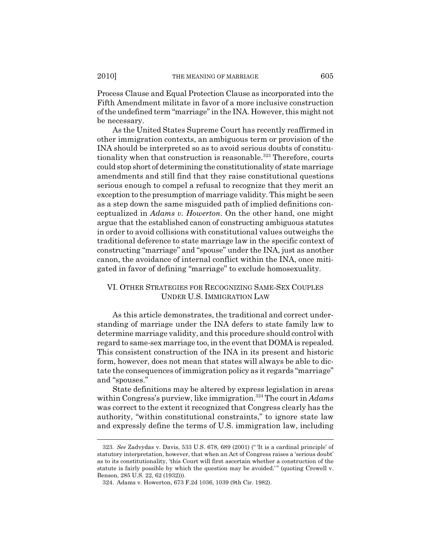Process Clause and Equal Protection Clause as incorporated into the Fifth Amendment militate in favor of a more inclusive construction of the undefined term "marriage" in the INA. However, this might not be necessary.

As the United States Supreme Court has recently reaffirmed in other immigration contexts, an ambiguous term or provision of the INA should be interpreted so as to avoid serious doubts of constitutionality when that construction is reasonable.<sup>323</sup> Therefore, courts could stop short of determining the constitutionality of state marriage amendments and still find that they raise constitutional questions serious enough to compel a refusal to recognize that they merit an exception to the presumption of marriage validity. This might be seen as a step down the same misguided path of implied definitions conceptualized in *Adams v. Howerton*. On the other hand, one might argue that the established canon of constructing ambiguous statutes in order to avoid collisions with constitutional values outweighs the traditional deference to state marriage law in the specific context of constructing "marriage" and "spouse" under the INA, just as another canon, the avoidance of internal conflict within the INA, once mitigated in favor of defining "marriage" to exclude homosexuality.

# VI. OTHER STRATEGIES FOR RECOGNIZING SAME-SEX COUPLES UNDER U.S. IMMIGRATION LAW

As this article demonstrates, the traditional and correct understanding of marriage under the INA defers to state family law to determine marriage validity, and this procedure should control with regard to same-sex marriage too, in the event that DOMA is repealed. This consistent construction of the INA in its present and historic form, however, does not mean that states will always be able to dictate the consequences of immigration policy as it regards "marriage" and "spouses."

State definitions may be altered by express legislation in areas within Congress's purview, like immigration.<sup>324</sup> The court in *Adams* was correct to the extent it recognized that Congress clearly has the authority, "within constitutional constraints," to ignore state law and expressly define the terms of U.S. immigration law, including

<sup>323.</sup> *See* Zadvydas v. Davis, 533 U.S. 678, 689 (2001) (" 'It is a cardinal principle' of statutory interpretation, however, that when an Act of Congress raises a 'serious doubt' as to its constitutionality, 'this Court will first ascertain whether a construction of the statute is fairly possible by which the question may be avoided.' " (quoting Crowell v. Benson, 285 U.S. 22, 62 (1932))).

<sup>324.</sup> Adams v. Howerton, 673 F.2d 1036, 1039 (9th Cir. 1982).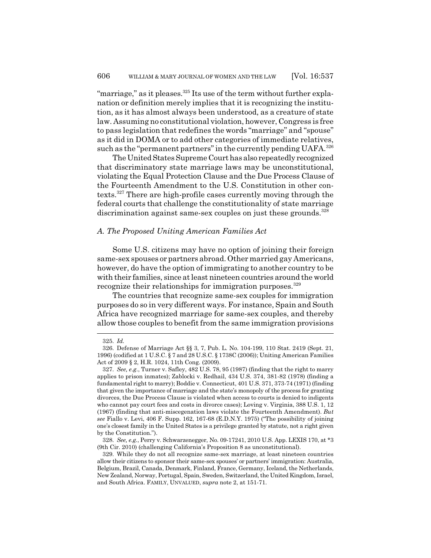"marriage," as it pleases. $325$  Its use of the term without further explanation or definition merely implies that it is recognizing the institution, as it has almost always been understood, as a creature of state law. Assuming no constitutional violation, however, Congress is free to pass legislation that redefines the words "marriage" and "spouse" as it did in DOMA or to add other categories of immediate relatives, such as the "permanent partners" in the currently pending UAFA.<sup>326</sup>

The United States Supreme Court has also repeatedly recognized that discriminatory state marriage laws may be unconstitutional, violating the Equal Protection Clause and the Due Process Clause of the Fourteenth Amendment to the U.S. Constitution in other contexts.327 There are high-profile cases currently moving through the federal courts that challenge the constitutionality of state marriage discrimination against same-sex couples on just these grounds.<sup>328</sup>

### *A. The Proposed Uniting American Families Act*

Some U.S. citizens may have no option of joining their foreign same-sex spouses or partners abroad. Other married gay Americans, however, do have the option of immigrating to another country to be with their families, since at least nineteen countries around the world recognize their relationships for immigration purposes.<sup>329</sup>

The countries that recognize same-sex couples for immigration purposes do so in very different ways. For instance, Spain and South Africa have recognized marriage for same-sex couples, and thereby allow those couples to benefit from the same immigration provisions

<sup>325.</sup> *Id.*

<sup>326.</sup> Defense of Marriage Act §§ 3, 7, Pub. L. No. 104-199, 110 Stat. 2419 (Sept. 21, 1996) (codified at 1 U.S.C. § 7 and 28 U.S.C. § 1738C (2006)); Uniting American Families Act of 2009 § 2, H.R. 1024, 11th Cong. (2009).

<sup>327.</sup> *See, e.g.*, Turner v. Safley, 482 U.S. 78, 95 (1987) (finding that the right to marry applies to prison inmates); Zablocki v. Redhail, 434 U.S. 374, 381-82 (1978) (finding a fundamental right to marry); Boddie v. Connecticut, 401 U.S. 371, 373-74 (1971) (finding that given the importance of marriage and the state's monopoly of the process for granting divorces, the Due Process Clause is violated when access to courts is denied to indigents who cannot pay court fees and costs in divorce cases); Loving v. Virginia, 388 U.S. 1, 12 (1967) (finding that anti-miscegenation laws violate the Fourteenth Amendment). *But see* Fiallo v. Levi, 406 F. Supp. 162, 167-68 (E.D.N.Y. 1975) ("The possibility of joining one's closest family in the United States is a privilege granted by statute, not a right given by the Constitution.").

<sup>328.</sup> *See, e.g.*, Perry v. Schwarzenegger, No. 09-17241, 2010 U.S. App. LEXIS 170, at \*3 (9th Cir. 2010) (challenging California's Proposition 8 as unconstitutional).

<sup>329.</sup> While they do not all recognize same-sex marriage, at least nineteen countries allow their citizens to sponsor their same-sex spouses' or partners' immigration: Australia, Belgium, Brazil, Canada, Denmark, Finland, France, Germany, Iceland, the Netherlands, New Zealand, Norway, Portugal, Spain, Sweden, Switzerland, the United Kingdom, Israel, and South Africa. FAMILY, UNVALUED, *supra* note 2, at 151-71.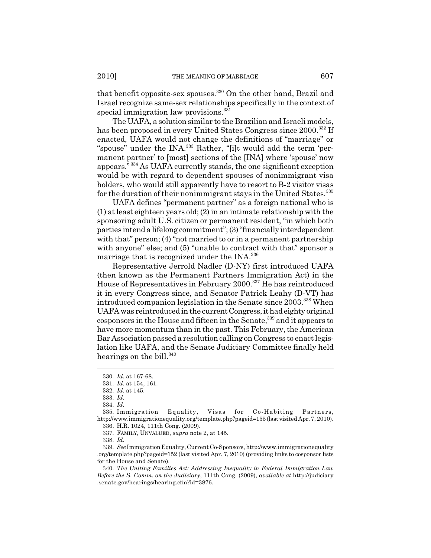that benefit opposite-sex spouses.330 On the other hand, Brazil and Israel recognize same-sex relationships specifically in the context of special immigration law provisions.<sup>331</sup>

The UAFA, a solution similar to the Brazilian and Israeli models, has been proposed in every United States Congress since 2000.<sup>332</sup> If enacted, UAFA would not change the definitions of "marriage" or "spouse" under the INA.<sup>333</sup> Rather, "[i]t would add the term 'permanent partner' to [most] sections of the [INA] where 'spouse' now appears." 334 As UAFA currently stands, the one significant exception would be with regard to dependent spouses of nonimmigrant visa holders, who would still apparently have to resort to B-2 visitor visas for the duration of their nonimmigrant stays in the United States.<sup>335</sup>

UAFA defines "permanent partner" as a foreign national who is (1) at least eighteen years old; (2) in an intimate relationship with the sponsoring adult U.S. citizen or permanent resident, "in which both parties intend a lifelong commitment"; (3) "financially interdependent with that" person; (4) "not married to or in a permanent partnership with anyone" else; and (5) "unable to contract with that" sponsor a marriage that is recognized under the INA.336

Representative Jerrold Nadler (D-NY) first introduced UAFA (then known as the Permanent Partners Immigration Act) in the House of Representatives in February 2000.337 He has reintroduced it in every Congress since, and Senator Patrick Leahy (D-VT) has introduced companion legislation in the Senate since 2003.<sup>338</sup> When UAFA was reintroduced in the current Congress, it had eighty original cosponsors in the House and fifteen in the Senate,<sup>339</sup> and it appears to have more momentum than in the past. This February, the American Bar Association passed a resolution calling on Congress to enact legislation like UAFA, and the Senate Judiciary Committee finally held hearings on the bill.<sup>340</sup>

<sup>330.</sup> *Id.* at 167-68.

<sup>331.</sup> *Id.* at 154, 161.

<sup>332.</sup> *Id.* at 145.

<sup>333.</sup> *Id.*

<sup>334.</sup> *Id.*

<sup>335.</sup> Immigration Equality, Visas for Co-Habiting Partners, http://www.immigrationequality.org/template.php?pageid=155 (last visited Apr. 7, 2010). 336. H.R. 1024, 111th Cong. (2009).

<sup>337.</sup> FAMILY, UNVALUED, *supra* note 2, at 145.

<sup>338.</sup> *Id.*

<sup>339.</sup> *See* Immigration Equality, Current Co-Sponsors, http://www.immigrationequality .org/template.php?pageid=152 (last visited Apr. 7, 2010) (providing links to cosponsor lists for the House and Senate).

<sup>340.</sup> *The Uniting Families Act: Addressing Inequality in Federal Immigration Law Before the S. Comm. on the Judiciary*, 111th Cong. (2009), *available at* http://judiciary .senate.gov/hearings/hearing.cfm?id=3876.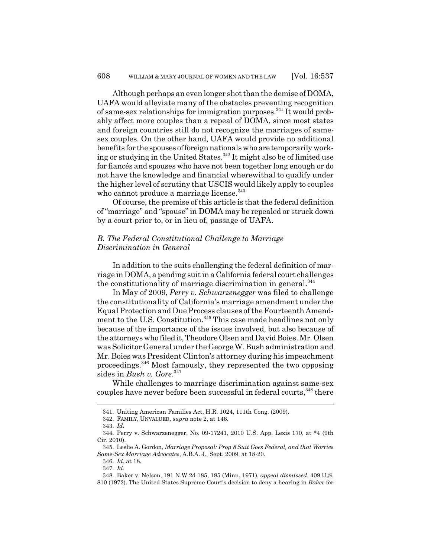Although perhaps an even longer shot than the demise of DOMA, UAFA would alleviate many of the obstacles preventing recognition of same-sex relationships for immigration purposes.<sup>341</sup> It would probably affect more couples than a repeal of DOMA, since most states and foreign countries still do not recognize the marriages of samesex couples. On the other hand, UAFA would provide no additional benefits for the spouses of foreign nationals who are temporarily working or studying in the United States.342 It might also be of limited use for fiancés and spouses who have not been together long enough or do not have the knowledge and financial wherewithal to qualify under the higher level of scrutiny that USCIS would likely apply to couples who cannot produce a marriage license.<sup>343</sup>

Of course, the premise of this article is that the federal definition of "marriage" and "spouse" in DOMA may be repealed or struck down by a court prior to, or in lieu of, passage of UAFA.

## *B. The Federal Constitutional Challenge to Marriage Discrimination in General*

In addition to the suits challenging the federal definition of marriage in DOMA, a pending suit in a California federal court challenges the constitutionality of marriage discrimination in general.<sup>344</sup>

In May of 2009, *Perry v. Schwarzenegger* was filed to challenge the constitutionality of California's marriage amendment under the Equal Protection and Due Process clauses of the Fourteenth Amendment to the U.S. Constitution.<sup>345</sup> This case made headlines not only because of the importance of the issues involved, but also because of the attorneys who filed it, Theodore Olsen and David Boies. Mr. Olsen was Solicitor General under the George W. Bush administration and Mr. Boies was President Clinton's attorney during his impeachment proceedings.346 Most famously, they represented the two opposing sides in *Bush v. Gore*. 347

While challenges to marriage discrimination against same-sex couples have never before been successful in federal courts, 348 there

<sup>341.</sup> Uniting American Families Act, H.R. 1024, 111th Cong. (2009).

<sup>342.</sup> FAMILY, UNVALUED, *supra* note 2, at 146.

<sup>343.</sup> *Id.*

<sup>344.</sup> Perry v. Schwarzenegger, No. 09-17241, 2010 U.S. App. Lexis 170, at \*4 (9th Cir. 2010).

<sup>345.</sup> Leslie A. Gordon, *Marriage Proposal: Prop 8 Suit Goes Federal, and that Worries Same-Sex Marriage Advocates*, A.B.A. J., Sept. 2009, at 18-20.

<sup>346.</sup> *Id.* at 18.

<sup>347.</sup> *Id.*

<sup>348.</sup> Baker v. Nelson, 191 N.W.2d 185, 185 (Minn. 1971), *appeal dismissed*, 409 U.S. 810 (1972). The United States Supreme Court's decision to deny a hearing in *Baker* for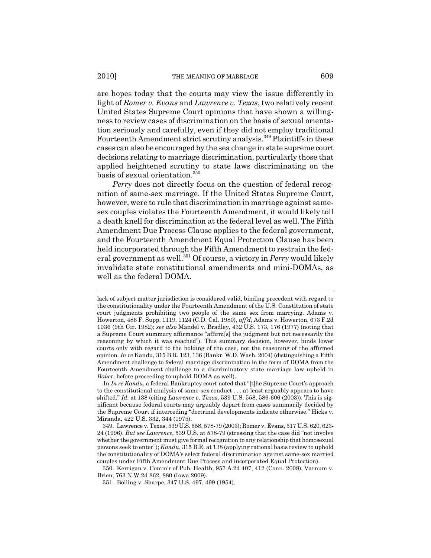are hopes today that the courts may view the issue differently in light of *Romer v. Evans* and *Lawrence v. Texas*, two relatively recent United States Supreme Court opinions that have shown a willingness to review cases of discrimination on the basis of sexual orientation seriously and carefully, even if they did not employ traditional Fourteenth Amendment strict scrutiny analysis.<sup>349</sup> Plaintiffs in these cases can also be encouraged by the sea change in state supreme court decisions relating to marriage discrimination, particularly those that applied heightened scrutiny to state laws discriminating on the basis of sexual orientation.<sup>350</sup>

*Perry* does not directly focus on the question of federal recognition of same-sex marriage. If the United States Supreme Court, however, were to rule that discrimination in marriage against samesex couples violates the Fourteenth Amendment, it would likely toll a death knell for discrimination at the federal level as well. The Fifth Amendment Due Process Clause applies to the federal government, and the Fourteenth Amendment Equal Protection Clause has been held incorporated through the Fifth Amendment to restrain the federal government as well.351 Of course, a victory in *Perry* would likely invalidate state constitutional amendments and mini-DOMAs, as well as the federal DOMA.

lack of subject matter jurisdiction is considered valid, binding precedent with regard to the constitutionality under the Fourteenth Amendment of the U.S. Constitution of state court judgments prohibiting two people of the same sex from marrying. Adams v. Howerton, 486 F. Supp. 1119, 1124 (C.D. Cal. 1980), *aff'd*, Adams v. Howerton, 673 F.2d 1036 (9th Cir. 1982); *see also* Mandel v. Bradley, 432 U.S. 173, 176 (1977) (noting that a Supreme Court summary affirmance "affirm[s] the judgment but not necessarily the reasoning by which it was reached"). This summary decision, however, binds lower courts only with regard to the holding of the case, not the reasoning of the affirmed opinion. *In re* Kandu, 315 B.R. 123, 136 (Bankr. W.D. Wash. 2004) (distinguishing a Fifth Amendment challenge to federal marriage discrimination in the form of DOMA from the Fourteenth Amendment challenge to a discriminatory state marriage law upheld in *Baker*, before proceeding to uphold DOMA as well).

In *In re Kandu*, a federal Bankruptcy court noted that "[t]he Supreme Court's approach to the constitutional analysis of same-sex conduct . . . at least arguably appears to have shifted." *Id.* at 138 (citing *Lawrence v. Texas*, 539 U.S. 558, 586-606 (2003)). This is significant because federal courts may arguably depart from cases summarily decided by the Supreme Court if interceding "doctrinal developments indicate otherwise." Hicks v. Miranda, 422 U.S. 332, 344 (1975).

<sup>349.</sup> Lawrence v. Texas, 539 U.S. 558, 578-79 (2003); Romer v. Evans, 517 U.S. 620, 623- 24 (1996). *But see Lawrence*, 539 U.S. at 578-79 (stressing that the case did "not involve whether the government must give formal recognition to any relationship that homosexual persons seek to enter"); *Kandu*, 315 B.R. at 138 (applying rational basis review to uphold the constitutionality of DOMA's select federal discrimination against same-sex married couples under Fifth Amendment Due Process and incorporated Equal Protection).

<sup>350.</sup> Kerrigan v. Comm'r of Pub. Health, 957 A.2d 407, 412 (Conn. 2008); Varnum v. Brien, 763 N.W.2d 862, 880 (Iowa 2009).

<sup>351.</sup> Bolling v. Sharpe, 347 U.S. 497, 499 (1954).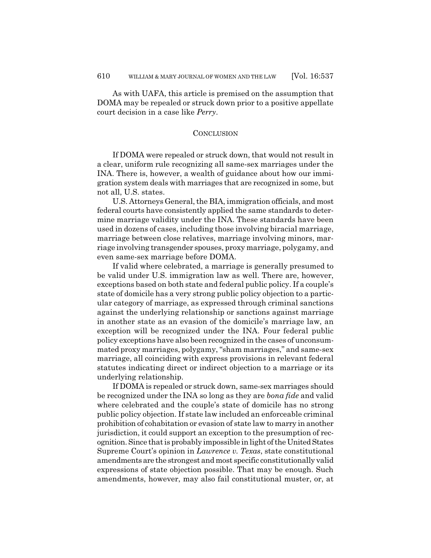As with UAFA, this article is premised on the assumption that DOMA may be repealed or struck down prior to a positive appellate court decision in a case like *Perry*.

## **CONCLUSION**

If DOMA were repealed or struck down, that would not result in a clear, uniform rule recognizing all same-sex marriages under the INA. There is, however, a wealth of guidance about how our immigration system deals with marriages that are recognized in some, but not all, U.S. states.

U.S. Attorneys General, the BIA, immigration officials, and most federal courts have consistently applied the same standards to determine marriage validity under the INA. These standards have been used in dozens of cases, including those involving biracial marriage, marriage between close relatives, marriage involving minors, marriage involving transgender spouses, proxy marriage, polygamy, and even same-sex marriage before DOMA.

If valid where celebrated, a marriage is generally presumed to be valid under U.S. immigration law as well. There are, however, exceptions based on both state and federal public policy. If a couple's state of domicile has a very strong public policy objection to a particular category of marriage, as expressed through criminal sanctions against the underlying relationship or sanctions against marriage in another state as an evasion of the domicile's marriage law, an exception will be recognized under the INA. Four federal public policy exceptions have also been recognized in the cases of unconsummated proxy marriages, polygamy, "sham marriages," and same-sex marriage, all coinciding with express provisions in relevant federal statutes indicating direct or indirect objection to a marriage or its underlying relationship.

If DOMA is repealed or struck down, same-sex marriages should be recognized under the INA so long as they are *bona fide* and valid where celebrated and the couple's state of domicile has no strong public policy objection. If state law included an enforceable criminal prohibition of cohabitation or evasion of state law to marry in another jurisdiction, it could support an exception to the presumption of recognition. Since that is probably impossible in light of the United States Supreme Court's opinion in *Lawrence v. Texas*, state constitutional amendments are the strongest and most specific constitutionally valid expressions of state objection possible. That may be enough. Such amendments, however, may also fail constitutional muster, or, at